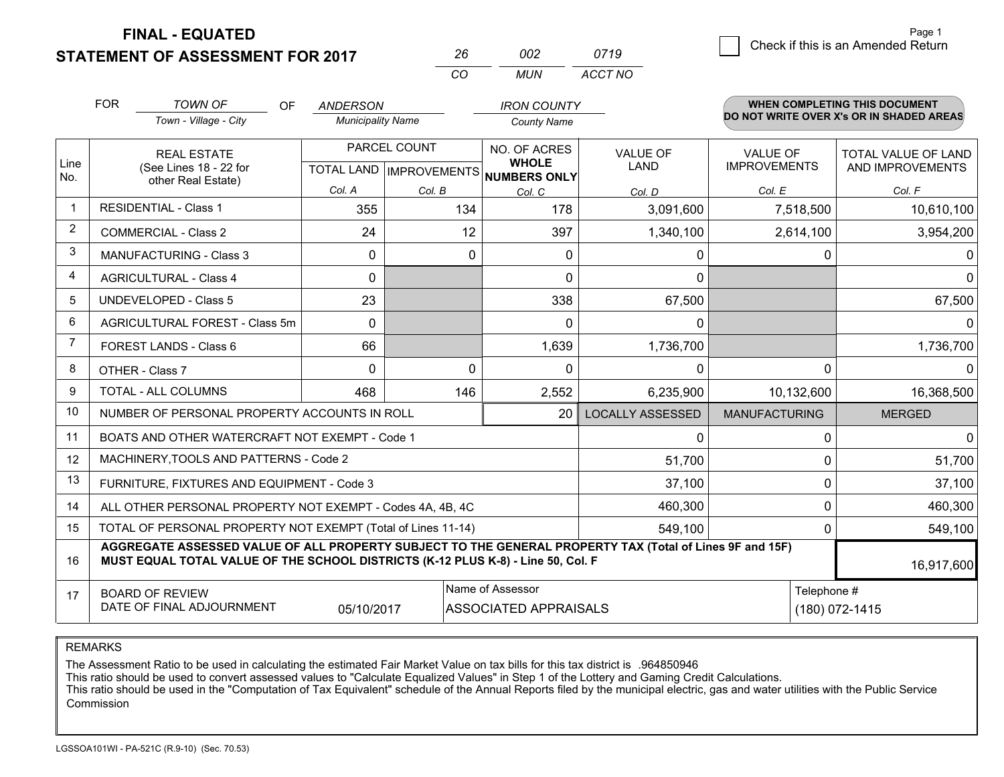**STATEMENT OF ASSESSMENT FOR 2017 FINAL - EQUATED**

g **Check if this is an Amended Return** Page 1

|                | <b>FOR</b>                                                              | <b>TOWN OF</b><br><b>OF</b>                                                                                                                                                                  | <b>ANDERSON</b>          |              | <b>IRON COUNTY</b>                                   |                         |                      | <b>WHEN COMPLETING THIS DOCUMENT</b><br>DO NOT WRITE OVER X's OR IN SHADED AREAS |
|----------------|-------------------------------------------------------------------------|----------------------------------------------------------------------------------------------------------------------------------------------------------------------------------------------|--------------------------|--------------|------------------------------------------------------|-------------------------|----------------------|----------------------------------------------------------------------------------|
|                |                                                                         | Town - Village - City                                                                                                                                                                        | <b>Municipality Name</b> |              | <b>County Name</b>                                   |                         |                      |                                                                                  |
|                |                                                                         | <b>REAL ESTATE</b>                                                                                                                                                                           |                          | PARCEL COUNT | NO. OF ACRES                                         | <b>VALUE OF</b>         | <b>VALUE OF</b>      | <b>TOTAL VALUE OF LAND</b>                                                       |
| Line<br>No.    |                                                                         | (See Lines 18 - 22 for<br>other Real Estate)                                                                                                                                                 |                          |              | <b>WHOLE</b><br>TOTAL LAND IMPROVEMENTS NUMBERS ONLY | <b>LAND</b>             | <b>IMPROVEMENTS</b>  | AND IMPROVEMENTS                                                                 |
|                |                                                                         |                                                                                                                                                                                              | Col. A                   | Col. B       | Col. C                                               | Col. D                  | Col. E               | Col. F                                                                           |
| $\overline{1}$ |                                                                         | <b>RESIDENTIAL - Class 1</b>                                                                                                                                                                 | 355                      | 134          | 178                                                  | 3,091,600               | 7,518,500            | 10,610,100                                                                       |
| 2              |                                                                         | <b>COMMERCIAL - Class 2</b>                                                                                                                                                                  | 24                       | 12           | 397                                                  | 1,340,100               | 2,614,100            | 3,954,200                                                                        |
| 3              |                                                                         | <b>MANUFACTURING - Class 3</b>                                                                                                                                                               | 0                        | $\Omega$     | $\mathbf{0}$                                         | 0                       | 0                    | $\mathbf 0$                                                                      |
| 4              |                                                                         | <b>AGRICULTURAL - Class 4</b>                                                                                                                                                                | $\Omega$                 |              | $\Omega$                                             | $\Omega$                |                      | $\mathbf{0}$                                                                     |
| .5             |                                                                         | <b>UNDEVELOPED - Class 5</b>                                                                                                                                                                 | 23                       |              | 338                                                  | 67,500                  |                      | 67,500                                                                           |
| 6              |                                                                         | <b>AGRICULTURAL FOREST - Class 5m</b>                                                                                                                                                        | $\Omega$                 |              | $\mathbf{0}$                                         | $\mathbf{0}$            |                      | $\Omega$                                                                         |
| $\overline{7}$ |                                                                         | FOREST LANDS - Class 6                                                                                                                                                                       | 66                       |              | 1,639                                                | 1,736,700               |                      | 1,736,700                                                                        |
| 8              |                                                                         | OTHER - Class 7                                                                                                                                                                              | $\Omega$                 | $\Omega$     | $\Omega$                                             | $\Omega$                | $\Omega$             | $\Omega$                                                                         |
| 9              |                                                                         | <b>TOTAL - ALL COLUMNS</b>                                                                                                                                                                   | 468                      | 146          | 2,552                                                | 6,235,900               | 10,132,600           | 16,368,500                                                                       |
| 10             |                                                                         | NUMBER OF PERSONAL PROPERTY ACCOUNTS IN ROLL                                                                                                                                                 |                          |              | 20                                                   | <b>LOCALLY ASSESSED</b> | <b>MANUFACTURING</b> | <b>MERGED</b>                                                                    |
| 11             |                                                                         | BOATS AND OTHER WATERCRAFT NOT EXEMPT - Code 1                                                                                                                                               |                          |              |                                                      | $\mathbf{0}$            | $\Omega$             | $\mathbf 0$                                                                      |
| 12             |                                                                         | MACHINERY, TOOLS AND PATTERNS - Code 2                                                                                                                                                       |                          |              |                                                      | 51,700                  | $\mathbf 0$          | 51,700                                                                           |
| 13             |                                                                         | FURNITURE, FIXTURES AND EQUIPMENT - Code 3                                                                                                                                                   |                          |              |                                                      | 37,100                  | $\mathbf 0$          | 37,100                                                                           |
| 14             |                                                                         | ALL OTHER PERSONAL PROPERTY NOT EXEMPT - Codes 4A, 4B, 4C                                                                                                                                    |                          |              |                                                      | 460,300                 | $\mathbf 0$          | 460,300                                                                          |
| 15             |                                                                         | TOTAL OF PERSONAL PROPERTY NOT EXEMPT (Total of Lines 11-14)                                                                                                                                 |                          |              |                                                      | 549,100                 | $\mathbf{0}$         | 549,100                                                                          |
| 16             |                                                                         | AGGREGATE ASSESSED VALUE OF ALL PROPERTY SUBJECT TO THE GENERAL PROPERTY TAX (Total of Lines 9F and 15F)<br>MUST EQUAL TOTAL VALUE OF THE SCHOOL DISTRICTS (K-12 PLUS K-8) - Line 50, Col. F |                          |              |                                                      |                         |                      | 16,917,600                                                                       |
| 17             |                                                                         | <b>BOARD OF REVIEW</b>                                                                                                                                                                       |                          |              | Name of Assessor                                     |                         | Telephone #          |                                                                                  |
|                | DATE OF FINAL ADJOURNMENT<br><b>ASSOCIATED APPRAISALS</b><br>05/10/2017 |                                                                                                                                                                                              |                          |              |                                                      |                         |                      | (180) 072-1415                                                                   |

*MUN*

*ACCT NO0719*

*<sup>26</sup> <sup>002</sup>*

*CO*

REMARKS

The Assessment Ratio to be used in calculating the estimated Fair Market Value on tax bills for this tax district is .964850946<br>This ratio should be used to convert assessed values to "Calculate Equalized Values" in Step 1 Commission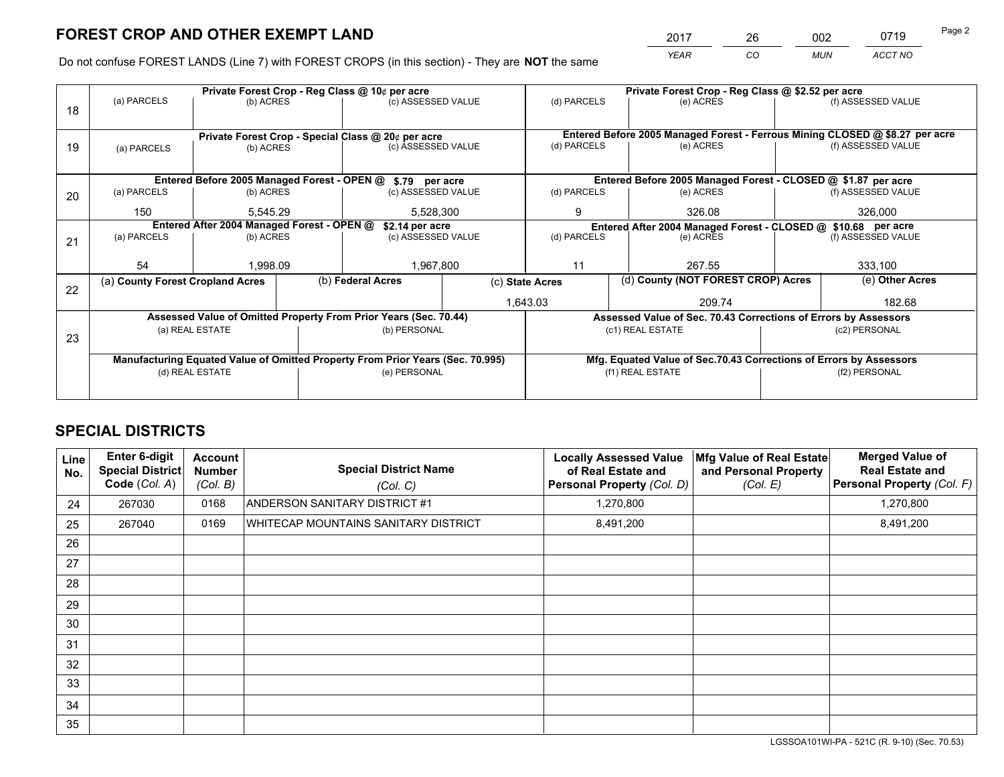*YEAR CO MUN ACCT NO* 2017 26 002 0719

Do not confuse FOREST LANDS (Line 7) with FOREST CROPS (in this section) - They are **NOT** the same

|    | Private Forest Crop - Reg Class @ 10¢ per acre                |                 |  |                                                                                |                                                               | Private Forest Crop - Reg Class @ \$2.52 per acre                            |                                                                    |                    |                    |
|----|---------------------------------------------------------------|-----------------|--|--------------------------------------------------------------------------------|---------------------------------------------------------------|------------------------------------------------------------------------------|--------------------------------------------------------------------|--------------------|--------------------|
| 18 | (a) PARCELS                                                   | (b) ACRES       |  | (c) ASSESSED VALUE                                                             |                                                               | (d) PARCELS                                                                  | (e) ACRES                                                          |                    | (f) ASSESSED VALUE |
|    |                                                               |                 |  |                                                                                |                                                               |                                                                              |                                                                    |                    |                    |
|    |                                                               |                 |  | Private Forest Crop - Special Class @ 20¢ per acre                             |                                                               | Entered Before 2005 Managed Forest - Ferrous Mining CLOSED @ \$8.27 per acre |                                                                    |                    |                    |
| 19 | (a) PARCELS                                                   | (b) ACRES       |  | (c) ASSESSED VALUE                                                             |                                                               | (d) PARCELS                                                                  | (e) ACRES                                                          |                    | (f) ASSESSED VALUE |
|    |                                                               |                 |  |                                                                                |                                                               |                                                                              |                                                                    |                    |                    |
|    | Entered Before 2005 Managed Forest - OPEN @<br>\$.79 per acre |                 |  |                                                                                |                                                               |                                                                              | Entered Before 2005 Managed Forest - CLOSED @ \$1.87 per acre      |                    |                    |
| 20 | (a) PARCELS                                                   | (b) ACRES       |  | (c) ASSESSED VALUE                                                             |                                                               | (d) PARCELS                                                                  | (e) ACRES                                                          |                    | (f) ASSESSED VALUE |
|    | 150                                                           | 5.545.29        |  | 5,528,300                                                                      |                                                               | 9                                                                            | 326.08                                                             |                    | 326,000            |
|    | Entered After 2004 Managed Forest - OPEN @<br>\$2.14 per acre |                 |  |                                                                                | Entered After 2004 Managed Forest - CLOSED @ \$10.68 per acre |                                                                              |                                                                    |                    |                    |
| 21 | (a) PARCELS                                                   | (b) ACRES       |  | (c) ASSESSED VALUE                                                             |                                                               | (d) PARCELS<br>(e) ACRES                                                     |                                                                    | (f) ASSESSED VALUE |                    |
|    |                                                               |                 |  |                                                                                |                                                               |                                                                              |                                                                    |                    |                    |
|    | 54                                                            | 1,998.09        |  | 1,967,800                                                                      |                                                               | 11                                                                           | 267.55                                                             |                    | 333,100            |
| 22 | (a) County Forest Cropland Acres                              |                 |  | (b) Federal Acres                                                              | (c) State Acres                                               |                                                                              | (d) County (NOT FOREST CROP) Acres                                 |                    | (e) Other Acres    |
|    |                                                               |                 |  |                                                                                | 1,643.03                                                      |                                                                              | 209.74                                                             |                    | 182.68             |
|    |                                                               |                 |  | Assessed Value of Omitted Property From Prior Years (Sec. 70.44)               |                                                               |                                                                              | Assessed Value of Sec. 70.43 Corrections of Errors by Assessors    |                    |                    |
| 23 |                                                               | (a) REAL ESTATE |  | (b) PERSONAL                                                                   |                                                               |                                                                              | (c1) REAL ESTATE                                                   |                    | (c2) PERSONAL      |
|    |                                                               |                 |  |                                                                                |                                                               |                                                                              |                                                                    |                    |                    |
|    |                                                               |                 |  | Manufacturing Equated Value of Omitted Property From Prior Years (Sec. 70.995) |                                                               |                                                                              | Mfg. Equated Value of Sec.70.43 Corrections of Errors by Assessors |                    |                    |
|    | (d) REAL ESTATE                                               |                 |  | (e) PERSONAL                                                                   |                                                               | (f1) REAL ESTATE                                                             |                                                                    | (f2) PERSONAL      |                    |
|    |                                                               |                 |  |                                                                                |                                                               |                                                                              |                                                                    |                    |                    |

## **SPECIAL DISTRICTS**

| <b>Line</b><br>No. | Enter 6-digit<br><b>Special District</b><br>Code (Col. A) | <b>Account</b><br><b>Number</b><br>(Col. B) | <b>Special District Name</b><br>(Col. C) | <b>Locally Assessed Value</b><br>of Real Estate and<br>Personal Property (Col. D) | Mfg Value of Real Estate<br>and Personal Property<br>(Col. E) | <b>Merged Value of</b><br><b>Real Estate and</b><br>Personal Property (Col. F) |
|--------------------|-----------------------------------------------------------|---------------------------------------------|------------------------------------------|-----------------------------------------------------------------------------------|---------------------------------------------------------------|--------------------------------------------------------------------------------|
| 24                 | 267030                                                    | 0168                                        | ANDERSON SANITARY DISTRICT #1            | 1,270,800                                                                         |                                                               | 1,270,800                                                                      |
| 25                 | 267040                                                    | 0169                                        | WHITECAP MOUNTAINS SANITARY DISTRICT     | 8,491,200                                                                         |                                                               | 8,491,200                                                                      |
| 26                 |                                                           |                                             |                                          |                                                                                   |                                                               |                                                                                |
| 27                 |                                                           |                                             |                                          |                                                                                   |                                                               |                                                                                |
| 28                 |                                                           |                                             |                                          |                                                                                   |                                                               |                                                                                |
| 29                 |                                                           |                                             |                                          |                                                                                   |                                                               |                                                                                |
| 30                 |                                                           |                                             |                                          |                                                                                   |                                                               |                                                                                |
| 31                 |                                                           |                                             |                                          |                                                                                   |                                                               |                                                                                |
| 32                 |                                                           |                                             |                                          |                                                                                   |                                                               |                                                                                |
| 33                 |                                                           |                                             |                                          |                                                                                   |                                                               |                                                                                |
| 34                 |                                                           |                                             |                                          |                                                                                   |                                                               |                                                                                |
| 35                 |                                                           |                                             |                                          |                                                                                   |                                                               |                                                                                |

LGSSOA101WI-PA - 521C (R. 9-10) (Sec. 70.53)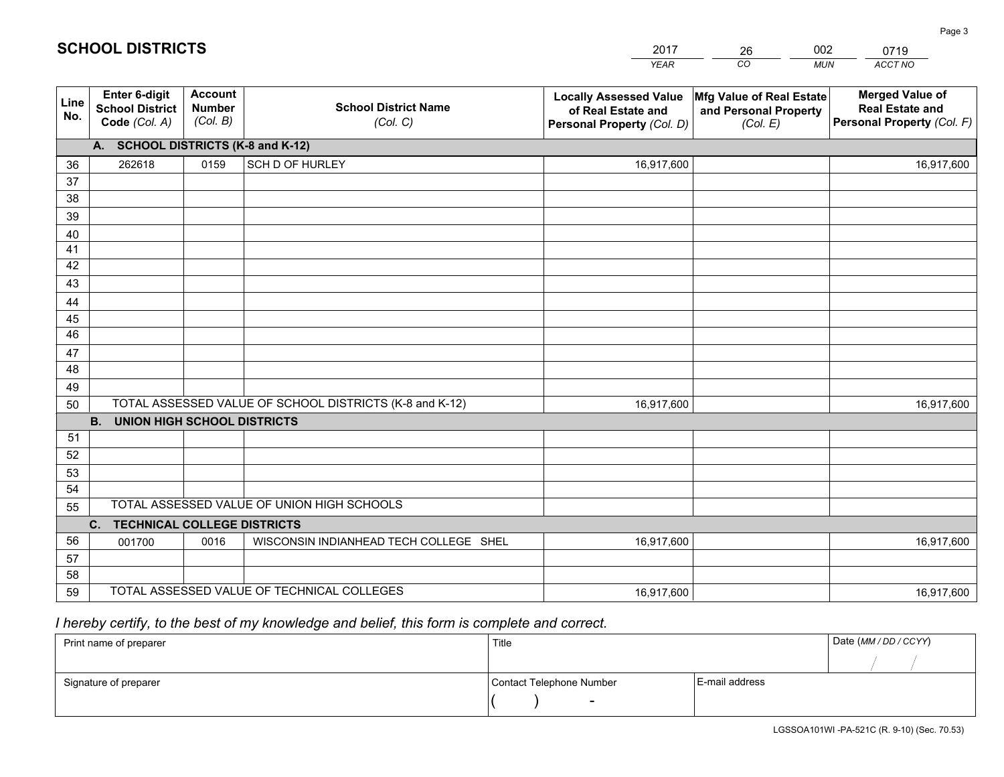|             |                                                          |                                             |                                                         | <b>YEAR</b>                                                                       | CO<br><b>MUN</b>                                              | ACCT NO                                                                        |
|-------------|----------------------------------------------------------|---------------------------------------------|---------------------------------------------------------|-----------------------------------------------------------------------------------|---------------------------------------------------------------|--------------------------------------------------------------------------------|
| Line<br>No. | Enter 6-digit<br><b>School District</b><br>Code (Col. A) | <b>Account</b><br><b>Number</b><br>(Col. B) | <b>School District Name</b><br>(Col. C)                 | <b>Locally Assessed Value</b><br>of Real Estate and<br>Personal Property (Col. D) | Mfg Value of Real Estate<br>and Personal Property<br>(Col. E) | <b>Merged Value of</b><br><b>Real Estate and</b><br>Personal Property (Col. F) |
|             | A. SCHOOL DISTRICTS (K-8 and K-12)                       |                                             |                                                         |                                                                                   |                                                               |                                                                                |
| 36          | 262618                                                   | 0159                                        | SCH D OF HURLEY                                         | 16,917,600                                                                        |                                                               | 16,917,600                                                                     |
| 37          |                                                          |                                             |                                                         |                                                                                   |                                                               |                                                                                |
| 38          |                                                          |                                             |                                                         |                                                                                   |                                                               |                                                                                |
| 39          |                                                          |                                             |                                                         |                                                                                   |                                                               |                                                                                |
| 40          |                                                          |                                             |                                                         |                                                                                   |                                                               |                                                                                |
| 41          |                                                          |                                             |                                                         |                                                                                   |                                                               |                                                                                |
| 42          |                                                          |                                             |                                                         |                                                                                   |                                                               |                                                                                |
| 43          |                                                          |                                             |                                                         |                                                                                   |                                                               |                                                                                |
| 44<br>45    |                                                          |                                             |                                                         |                                                                                   |                                                               |                                                                                |
| 46          |                                                          |                                             |                                                         |                                                                                   |                                                               |                                                                                |
| 47          |                                                          |                                             |                                                         |                                                                                   |                                                               |                                                                                |
| 48          |                                                          |                                             |                                                         |                                                                                   |                                                               |                                                                                |
| 49          |                                                          |                                             |                                                         |                                                                                   |                                                               |                                                                                |
| 50          |                                                          |                                             | TOTAL ASSESSED VALUE OF SCHOOL DISTRICTS (K-8 and K-12) | 16,917,600                                                                        |                                                               | 16,917,600                                                                     |
|             | <b>B.</b><br><b>UNION HIGH SCHOOL DISTRICTS</b>          |                                             |                                                         |                                                                                   |                                                               |                                                                                |
| 51          |                                                          |                                             |                                                         |                                                                                   |                                                               |                                                                                |
| 52          |                                                          |                                             |                                                         |                                                                                   |                                                               |                                                                                |
| 53          |                                                          |                                             |                                                         |                                                                                   |                                                               |                                                                                |
| 54          |                                                          |                                             |                                                         |                                                                                   |                                                               |                                                                                |
| 55          |                                                          |                                             | TOTAL ASSESSED VALUE OF UNION HIGH SCHOOLS              |                                                                                   |                                                               |                                                                                |
|             | C. TECHNICAL COLLEGE DISTRICTS                           |                                             |                                                         |                                                                                   |                                                               |                                                                                |
| 56          | 001700                                                   | 0016                                        | WISCONSIN INDIANHEAD TECH COLLEGE SHEL                  | 16,917,600                                                                        |                                                               | 16,917,600                                                                     |
| 57<br>58    |                                                          |                                             |                                                         |                                                                                   |                                                               |                                                                                |
| 59          |                                                          |                                             | TOTAL ASSESSED VALUE OF TECHNICAL COLLEGES              | 16,917,600                                                                        |                                                               | 16,917,600                                                                     |
|             |                                                          |                                             |                                                         |                                                                                   |                                                               |                                                                                |

26

002

## *I hereby certify, to the best of my knowledge and belief, this form is complete and correct.*

**SCHOOL DISTRICTS**

| Print name of preparer | Title                    |                | Date (MM / DD / CCYY) |
|------------------------|--------------------------|----------------|-----------------------|
|                        |                          |                |                       |
| Signature of preparer  | Contact Telephone Number | E-mail address |                       |
|                        | $\sim$                   |                |                       |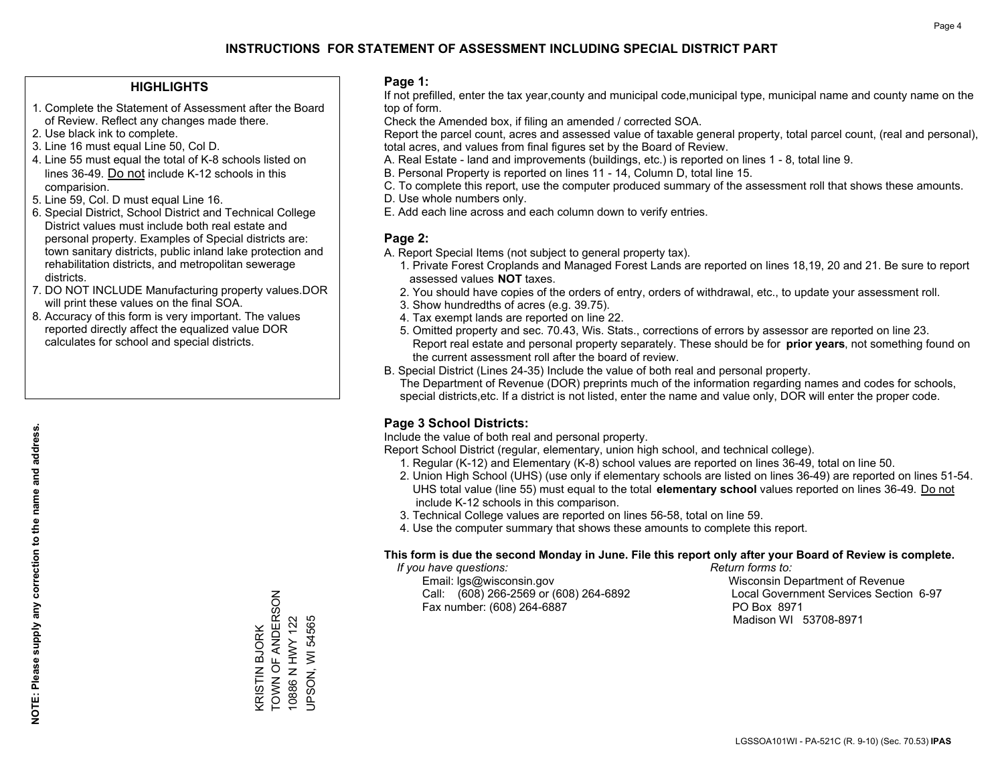#### **HIGHLIGHTS**

- 1. Complete the Statement of Assessment after the Board of Review. Reflect any changes made there.
- 2. Use black ink to complete.
- 3. Line 16 must equal Line 50, Col D.
- 4. Line 55 must equal the total of K-8 schools listed on lines 36-49. Do not include K-12 schools in this comparision.
- 5. Line 59, Col. D must equal Line 16.
- 6. Special District, School District and Technical College District values must include both real estate and personal property. Examples of Special districts are: town sanitary districts, public inland lake protection and rehabilitation districts, and metropolitan sewerage districts.
- 7. DO NOT INCLUDE Manufacturing property values.DOR will print these values on the final SOA.

KRISTIN BJORK TOWN OF ANDERSON 10886 N HWY 122 UPSON, WI 54565

KRISTIN BJORK<br>TOWN OF ANDERSON

10886 N HWY 122 **JPSON, WI 54565** 

 8. Accuracy of this form is very important. The values reported directly affect the equalized value DOR calculates for school and special districts.

#### **Page 1:**

 If not prefilled, enter the tax year,county and municipal code,municipal type, municipal name and county name on the top of form.

Check the Amended box, if filing an amended / corrected SOA.

 Report the parcel count, acres and assessed value of taxable general property, total parcel count, (real and personal), total acres, and values from final figures set by the Board of Review.

- A. Real Estate land and improvements (buildings, etc.) is reported on lines 1 8, total line 9.
- B. Personal Property is reported on lines 11 14, Column D, total line 15.
- C. To complete this report, use the computer produced summary of the assessment roll that shows these amounts.
- D. Use whole numbers only.
- E. Add each line across and each column down to verify entries.

#### **Page 2:**

- A. Report Special Items (not subject to general property tax).
- 1. Private Forest Croplands and Managed Forest Lands are reported on lines 18,19, 20 and 21. Be sure to report assessed values **NOT** taxes.
- 2. You should have copies of the orders of entry, orders of withdrawal, etc., to update your assessment roll.
	- 3. Show hundredths of acres (e.g. 39.75).
- 4. Tax exempt lands are reported on line 22.
- 5. Omitted property and sec. 70.43, Wis. Stats., corrections of errors by assessor are reported on line 23. Report real estate and personal property separately. These should be for **prior years**, not something found on the current assessment roll after the board of review.
- B. Special District (Lines 24-35) Include the value of both real and personal property.

 The Department of Revenue (DOR) preprints much of the information regarding names and codes for schools, special districts,etc. If a district is not listed, enter the name and value only, DOR will enter the proper code.

### **Page 3 School Districts:**

Include the value of both real and personal property.

Report School District (regular, elementary, union high school, and technical college).

- 1. Regular (K-12) and Elementary (K-8) school values are reported on lines 36-49, total on line 50.
- 2. Union High School (UHS) (use only if elementary schools are listed on lines 36-49) are reported on lines 51-54. UHS total value (line 55) must equal to the total **elementary school** values reported on lines 36-49. Do notinclude K-12 schools in this comparison.
- 3. Technical College values are reported on lines 56-58, total on line 59.
- 4. Use the computer summary that shows these amounts to complete this report.

#### **This form is due the second Monday in June. File this report only after your Board of Review is complete.**

 *If you have questions: Return forms to:*

 Email: lgs@wisconsin.gov Wisconsin Department of RevenueCall:  $(608)$  266-2569 or  $(608)$  264-6892 Fax number: (608) 264-6887 PO Box 8971

Local Government Services Section 6-97 Madison WI 53708-8971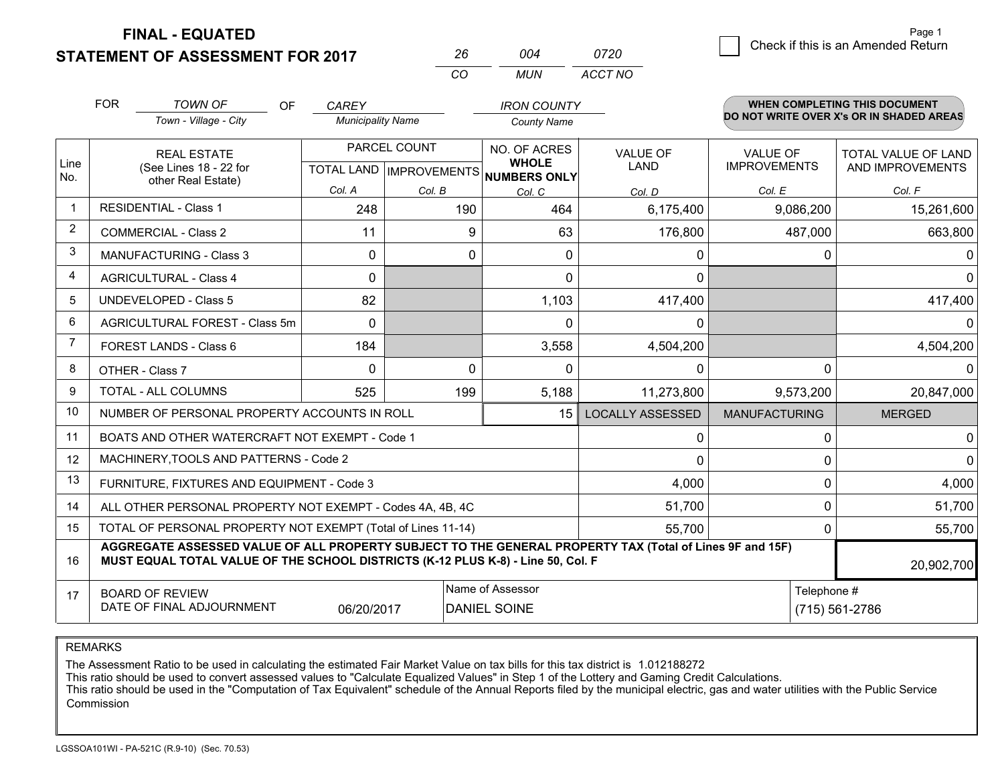**STATEMENT OF ASSESSMENT FOR 2017** 

| - 004 | 0720       | Check if this is an Amended Return |
|-------|------------|------------------------------------|
|       | MUN ACCTNO |                                    |

|                | <b>FOR</b>                                                                                                   | <b>TOWN OF</b><br>OF.                                                                                                                                                                        | <b>CAREY</b>             |              | <b>IRON COUNTY</b>                                   |                         |                      | <b>WHEN COMPLETING THIS DOCUMENT</b>     |
|----------------|--------------------------------------------------------------------------------------------------------------|----------------------------------------------------------------------------------------------------------------------------------------------------------------------------------------------|--------------------------|--------------|------------------------------------------------------|-------------------------|----------------------|------------------------------------------|
|                |                                                                                                              | Town - Village - City                                                                                                                                                                        | <b>Municipality Name</b> |              | <b>County Name</b>                                   |                         |                      | DO NOT WRITE OVER X's OR IN SHADED AREAS |
|                |                                                                                                              | <b>REAL ESTATE</b>                                                                                                                                                                           |                          | PARCEL COUNT | NO. OF ACRES                                         | <b>VALUE OF</b>         | <b>VALUE OF</b>      | <b>TOTAL VALUE OF LAND</b>               |
| Line<br>No.    |                                                                                                              | (See Lines 18 - 22 for<br>other Real Estate)                                                                                                                                                 |                          |              | <b>WHOLE</b><br>TOTAL LAND IMPROVEMENTS NUMBERS ONLY | <b>LAND</b>             | <b>IMPROVEMENTS</b>  | AND IMPROVEMENTS                         |
|                |                                                                                                              |                                                                                                                                                                                              | Col. A                   | Col. B       | Col. C                                               | Col. D                  | Col. E               | Col. F                                   |
|                |                                                                                                              | <b>RESIDENTIAL - Class 1</b>                                                                                                                                                                 | 248                      | 190          | 464                                                  | 6,175,400               | 9,086,200            | 15,261,600                               |
| $\overline{2}$ |                                                                                                              | <b>COMMERCIAL - Class 2</b>                                                                                                                                                                  | 11                       | 9            | 63                                                   | 176,800                 | 487,000              | 663,800                                  |
| 3              |                                                                                                              | <b>MANUFACTURING - Class 3</b>                                                                                                                                                               | $\Omega$                 | $\Omega$     | $\Omega$                                             | 0                       | 0                    | $\mathbf{0}$                             |
| 4              |                                                                                                              | <b>AGRICULTURAL - Class 4</b>                                                                                                                                                                | $\Omega$                 |              | $\Omega$                                             | $\Omega$                |                      | $\Omega$                                 |
| 5              |                                                                                                              | <b>UNDEVELOPED - Class 5</b>                                                                                                                                                                 | 82                       |              | 1,103                                                | 417,400                 |                      | 417,400                                  |
| 6              |                                                                                                              | AGRICULTURAL FOREST - Class 5m                                                                                                                                                               | $\Omega$                 |              | $\Omega$                                             | 0                       |                      | 0                                        |
| 7              |                                                                                                              | FOREST LANDS - Class 6                                                                                                                                                                       | 184                      |              | 3,558                                                | 4,504,200               |                      | 4,504,200                                |
| 8              |                                                                                                              | OTHER - Class 7                                                                                                                                                                              | $\Omega$                 | $\Omega$     | $\Omega$                                             | 0                       | $\Omega$             | 0                                        |
| 9              |                                                                                                              | TOTAL - ALL COLUMNS                                                                                                                                                                          | 525                      | 199          | 5,188                                                | 11,273,800              | 9,573,200            | 20,847,000                               |
| 10             |                                                                                                              | NUMBER OF PERSONAL PROPERTY ACCOUNTS IN ROLL                                                                                                                                                 |                          |              | 15                                                   | <b>LOCALLY ASSESSED</b> | <b>MANUFACTURING</b> | <b>MERGED</b>                            |
| 11             |                                                                                                              | BOATS AND OTHER WATERCRAFT NOT EXEMPT - Code 1                                                                                                                                               |                          |              |                                                      | 0                       | 0                    | 0                                        |
| 12             |                                                                                                              | MACHINERY, TOOLS AND PATTERNS - Code 2                                                                                                                                                       |                          |              |                                                      | 0                       | $\mathbf 0$          | $\mathbf 0$                              |
| 13             |                                                                                                              | FURNITURE, FIXTURES AND EQUIPMENT - Code 3                                                                                                                                                   |                          |              |                                                      | 4,000                   | $\Omega$             | 4,000                                    |
| 14             |                                                                                                              | ALL OTHER PERSONAL PROPERTY NOT EXEMPT - Codes 4A, 4B, 4C                                                                                                                                    |                          |              |                                                      | 51,700                  | $\Omega$             | 51,700                                   |
| 15             |                                                                                                              | TOTAL OF PERSONAL PROPERTY NOT EXEMPT (Total of Lines 11-14)                                                                                                                                 |                          |              |                                                      | 55,700                  | $\Omega$             | 55,700                                   |
| 16             |                                                                                                              | AGGREGATE ASSESSED VALUE OF ALL PROPERTY SUBJECT TO THE GENERAL PROPERTY TAX (Total of Lines 9F and 15F)<br>MUST EQUAL TOTAL VALUE OF THE SCHOOL DISTRICTS (K-12 PLUS K-8) - Line 50, Col. F |                          |              |                                                      |                         |                      | 20,902,700                               |
| 17             | Name of Assessor<br><b>BOARD OF REVIEW</b><br>DATE OF FINAL ADJOURNMENT<br><b>DANIEL SOINE</b><br>06/20/2017 |                                                                                                                                                                                              |                          |              |                                                      |                         | Telephone #          | (715) 561-2786                           |

*CO*

*<sup>26</sup> <sup>004</sup>*

REMARKS

The Assessment Ratio to be used in calculating the estimated Fair Market Value on tax bills for this tax district is 1.012188272<br>This ratio should be used to convert assessed values to "Calculate Equalized Values" in Step Commission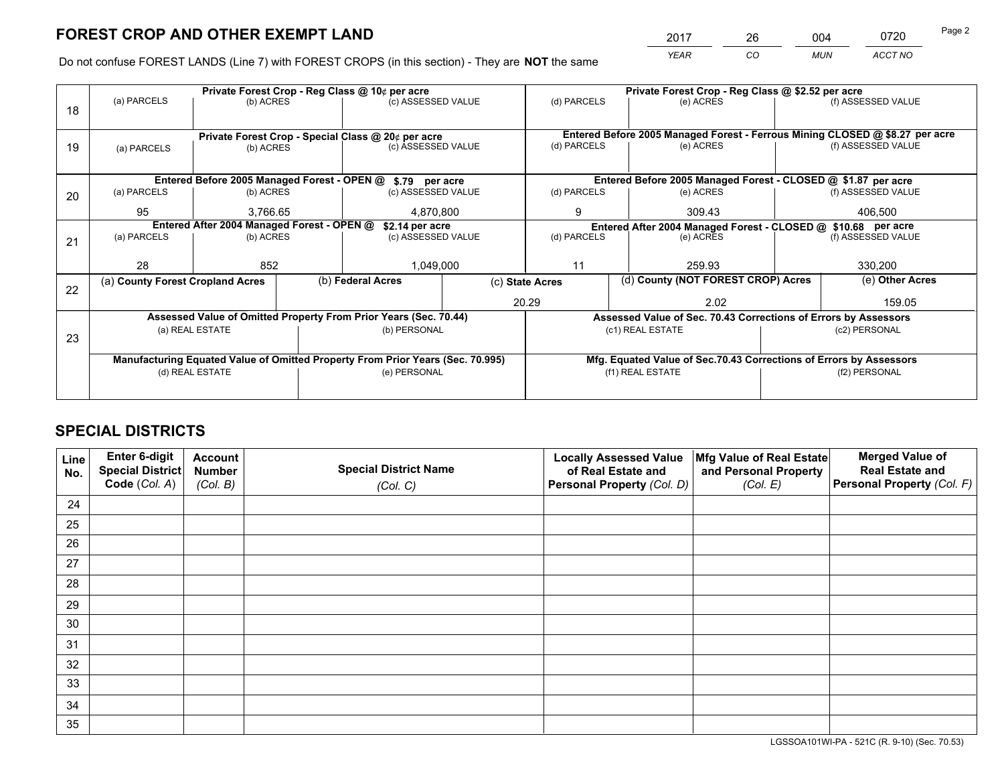*YEAR CO MUN ACCT NO* 2017 26 004 0720 Page 2

Do not confuse FOREST LANDS (Line 7) with FOREST CROPS (in this section) - They are **NOT** the same

|    | Private Forest Crop - Reg Class @ 10¢ per acre |                                                               |  |                                                                                |  |                          | Private Forest Crop - Reg Class @ \$2.52 per acre                            |  |                    |  |
|----|------------------------------------------------|---------------------------------------------------------------|--|--------------------------------------------------------------------------------|--|--------------------------|------------------------------------------------------------------------------|--|--------------------|--|
| 18 | (a) PARCELS                                    | (b) ACRES                                                     |  | (c) ASSESSED VALUE                                                             |  | (d) PARCELS              | (e) ACRES                                                                    |  | (f) ASSESSED VALUE |  |
|    |                                                |                                                               |  |                                                                                |  |                          | Entered Before 2005 Managed Forest - Ferrous Mining CLOSED @ \$8.27 per acre |  |                    |  |
| 19 | (a) PARCELS                                    | (b) ACRES                                                     |  | Private Forest Crop - Special Class @ 20¢ per acre<br>(c) ASSESSED VALUE       |  | (d) PARCELS              | (e) ACRES                                                                    |  | (f) ASSESSED VALUE |  |
|    |                                                |                                                               |  |                                                                                |  |                          |                                                                              |  |                    |  |
|    |                                                |                                                               |  |                                                                                |  |                          |                                                                              |  |                    |  |
|    |                                                | Entered Before 2005 Managed Forest - OPEN @                   |  | \$.79 per acre                                                                 |  |                          | Entered Before 2005 Managed Forest - CLOSED @ \$1.87 per acre                |  |                    |  |
| 20 | (a) PARCELS                                    | (b) ACRES                                                     |  | (c) ASSESSED VALUE                                                             |  | (d) PARCELS              | (e) ACRES                                                                    |  | (f) ASSESSED VALUE |  |
|    | 95                                             | 3,766.65                                                      |  | 4,870,800                                                                      |  | 9                        | 309.43                                                                       |  | 406,500            |  |
|    |                                                | Entered After 2004 Managed Forest - OPEN @<br>\$2.14 per acre |  |                                                                                |  |                          | Entered After 2004 Managed Forest - CLOSED @ \$10.68 per acre                |  |                    |  |
| 21 | (a) PARCELS                                    | (b) ACRES                                                     |  | (c) ASSESSED VALUE                                                             |  | (d) PARCELS<br>(e) ACRES |                                                                              |  | (f) ASSESSED VALUE |  |
|    |                                                |                                                               |  |                                                                                |  |                          |                                                                              |  |                    |  |
|    | 28                                             | 852                                                           |  | 1,049,000                                                                      |  | 11                       | 259.93                                                                       |  | 330,200            |  |
|    | (a) County Forest Cropland Acres               |                                                               |  | (b) Federal Acres                                                              |  | (c) State Acres          | (d) County (NOT FOREST CROP) Acres                                           |  | (e) Other Acres    |  |
| 22 |                                                |                                                               |  |                                                                                |  |                          |                                                                              |  |                    |  |
|    |                                                |                                                               |  |                                                                                |  | 20.29                    | 2.02                                                                         |  | 159.05             |  |
|    |                                                |                                                               |  | Assessed Value of Omitted Property From Prior Years (Sec. 70.44)               |  |                          | Assessed Value of Sec. 70.43 Corrections of Errors by Assessors              |  |                    |  |
|    |                                                | (a) REAL ESTATE                                               |  | (b) PERSONAL                                                                   |  |                          | (c1) REAL ESTATE                                                             |  | (c2) PERSONAL      |  |
| 23 |                                                |                                                               |  |                                                                                |  |                          |                                                                              |  |                    |  |
|    |                                                |                                                               |  | Manufacturing Equated Value of Omitted Property From Prior Years (Sec. 70.995) |  |                          | Mfg. Equated Value of Sec.70.43 Corrections of Errors by Assessors           |  |                    |  |
|    |                                                | (d) REAL ESTATE                                               |  | (e) PERSONAL                                                                   |  | (f1) REAL ESTATE         |                                                                              |  | (f2) PERSONAL      |  |
|    |                                                |                                                               |  |                                                                                |  |                          |                                                                              |  |                    |  |
|    |                                                |                                                               |  |                                                                                |  |                          |                                                                              |  |                    |  |

## **SPECIAL DISTRICTS**

| Line<br>No. | Enter 6-digit<br><b>Special District</b> | <b>Account</b><br><b>Number</b> | <b>Special District Name</b> | <b>Locally Assessed Value</b><br>of Real Estate and | Mfg Value of Real Estate<br>and Personal Property | <b>Merged Value of</b><br><b>Real Estate and</b> |
|-------------|------------------------------------------|---------------------------------|------------------------------|-----------------------------------------------------|---------------------------------------------------|--------------------------------------------------|
|             | Code (Col. A)                            | (Col. B)                        | (Col. C)                     | Personal Property (Col. D)                          | (Col. E)                                          | Personal Property (Col. F)                       |
| 24          |                                          |                                 |                              |                                                     |                                                   |                                                  |
| 25          |                                          |                                 |                              |                                                     |                                                   |                                                  |
| 26          |                                          |                                 |                              |                                                     |                                                   |                                                  |
| 27          |                                          |                                 |                              |                                                     |                                                   |                                                  |
| 28          |                                          |                                 |                              |                                                     |                                                   |                                                  |
| 29          |                                          |                                 |                              |                                                     |                                                   |                                                  |
| 30          |                                          |                                 |                              |                                                     |                                                   |                                                  |
| 31          |                                          |                                 |                              |                                                     |                                                   |                                                  |
| 32          |                                          |                                 |                              |                                                     |                                                   |                                                  |
| 33          |                                          |                                 |                              |                                                     |                                                   |                                                  |
| 34          |                                          |                                 |                              |                                                     |                                                   |                                                  |
| 35          |                                          |                                 |                              |                                                     |                                                   |                                                  |

LGSSOA101WI-PA - 521C (R. 9-10) (Sec. 70.53)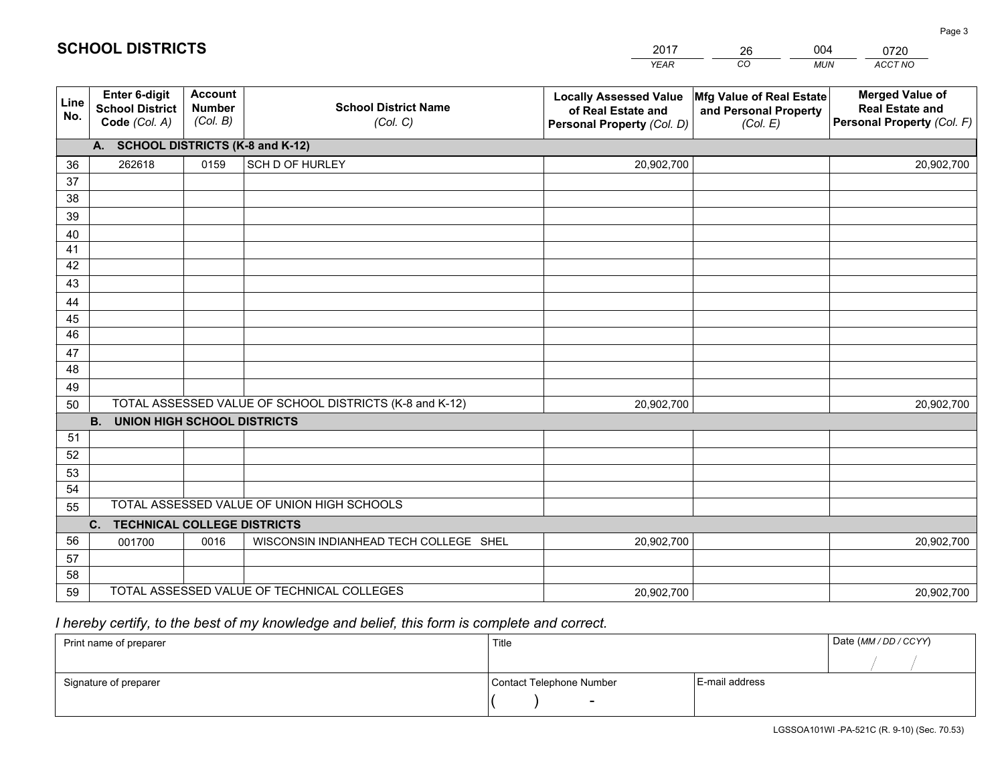|             |                                                          |                                             |                                                         | <b>YEAR</b>                                                                       | CO<br><b>MUN</b>                                              | ACCT NO                                                                        |
|-------------|----------------------------------------------------------|---------------------------------------------|---------------------------------------------------------|-----------------------------------------------------------------------------------|---------------------------------------------------------------|--------------------------------------------------------------------------------|
| Line<br>No. | Enter 6-digit<br><b>School District</b><br>Code (Col. A) | <b>Account</b><br><b>Number</b><br>(Col. B) | <b>School District Name</b><br>(Col. C)                 | <b>Locally Assessed Value</b><br>of Real Estate and<br>Personal Property (Col. D) | Mfg Value of Real Estate<br>and Personal Property<br>(Col. E) | <b>Merged Value of</b><br><b>Real Estate and</b><br>Personal Property (Col. F) |
|             | A. SCHOOL DISTRICTS (K-8 and K-12)                       |                                             |                                                         |                                                                                   |                                                               |                                                                                |
| 36          | 262618                                                   | 0159                                        | SCH D OF HURLEY                                         | 20,902,700                                                                        |                                                               | 20,902,700                                                                     |
| 37          |                                                          |                                             |                                                         |                                                                                   |                                                               |                                                                                |
| 38          |                                                          |                                             |                                                         |                                                                                   |                                                               |                                                                                |
| 39          |                                                          |                                             |                                                         |                                                                                   |                                                               |                                                                                |
| 40          |                                                          |                                             |                                                         |                                                                                   |                                                               |                                                                                |
| 41          |                                                          |                                             |                                                         |                                                                                   |                                                               |                                                                                |
| 42          |                                                          |                                             |                                                         |                                                                                   |                                                               |                                                                                |
| 43          |                                                          |                                             |                                                         |                                                                                   |                                                               |                                                                                |
| 44          |                                                          |                                             |                                                         |                                                                                   |                                                               |                                                                                |
| 45<br>46    |                                                          |                                             |                                                         |                                                                                   |                                                               |                                                                                |
|             |                                                          |                                             |                                                         |                                                                                   |                                                               |                                                                                |
| 47<br>48    |                                                          |                                             |                                                         |                                                                                   |                                                               |                                                                                |
| 49          |                                                          |                                             |                                                         |                                                                                   |                                                               |                                                                                |
| 50          |                                                          |                                             | TOTAL ASSESSED VALUE OF SCHOOL DISTRICTS (K-8 and K-12) | 20,902,700                                                                        |                                                               | 20,902,700                                                                     |
|             | <b>B.</b><br><b>UNION HIGH SCHOOL DISTRICTS</b>          |                                             |                                                         |                                                                                   |                                                               |                                                                                |
| 51          |                                                          |                                             |                                                         |                                                                                   |                                                               |                                                                                |
| 52          |                                                          |                                             |                                                         |                                                                                   |                                                               |                                                                                |
| 53          |                                                          |                                             |                                                         |                                                                                   |                                                               |                                                                                |
| 54          |                                                          |                                             |                                                         |                                                                                   |                                                               |                                                                                |
| 55          |                                                          |                                             | TOTAL ASSESSED VALUE OF UNION HIGH SCHOOLS              |                                                                                   |                                                               |                                                                                |
|             | C. TECHNICAL COLLEGE DISTRICTS                           |                                             |                                                         |                                                                                   |                                                               |                                                                                |
| 56          | 001700                                                   | 0016                                        | WISCONSIN INDIANHEAD TECH COLLEGE SHEL                  | 20,902,700                                                                        |                                                               | 20,902,700                                                                     |
| 57          |                                                          |                                             |                                                         |                                                                                   |                                                               |                                                                                |
| 58          |                                                          |                                             |                                                         |                                                                                   |                                                               |                                                                                |
| 59          |                                                          |                                             | TOTAL ASSESSED VALUE OF TECHNICAL COLLEGES              | 20,902,700                                                                        |                                                               | 20,902,700                                                                     |

26

004

## *I hereby certify, to the best of my knowledge and belief, this form is complete and correct.*

**SCHOOL DISTRICTS**

| Print name of preparer | Title                    |                | Date (MM / DD / CCYY) |
|------------------------|--------------------------|----------------|-----------------------|
|                        |                          |                |                       |
| Signature of preparer  | Contact Telephone Number | E-mail address |                       |
|                        | $\sim$                   |                |                       |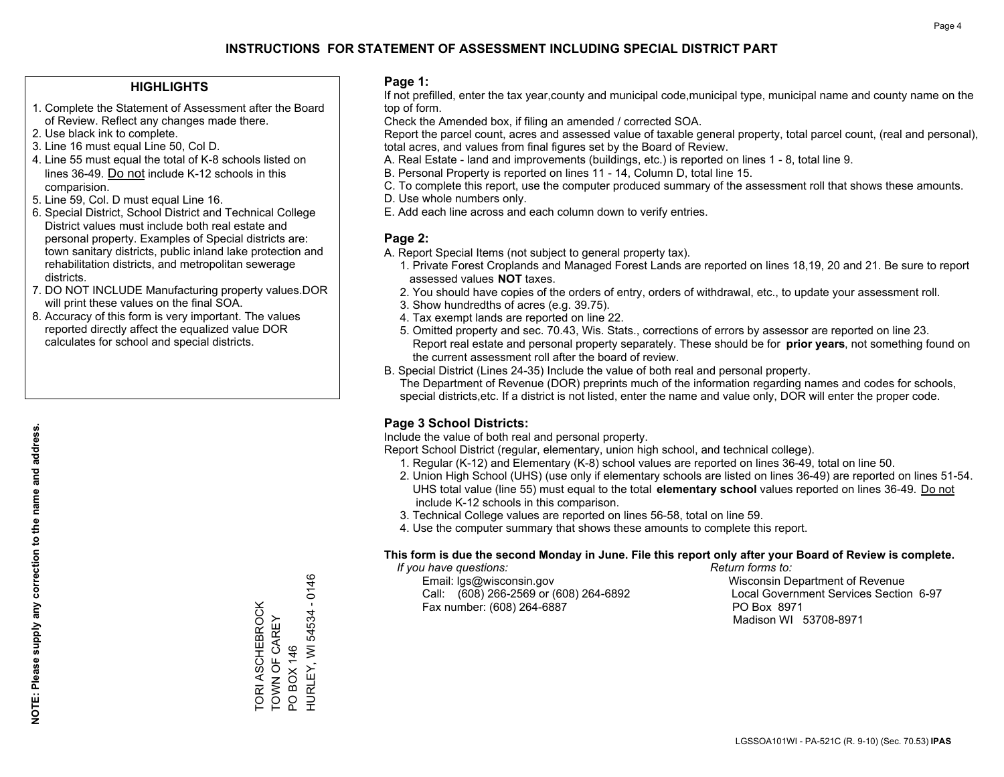#### **HIGHLIGHTS**

- 1. Complete the Statement of Assessment after the Board of Review. Reflect any changes made there.
- 2. Use black ink to complete.
- 3. Line 16 must equal Line 50, Col D.
- 4. Line 55 must equal the total of K-8 schools listed on lines 36-49. Do not include K-12 schools in this comparision.
- 5. Line 59, Col. D must equal Line 16.
- 6. Special District, School District and Technical College District values must include both real estate and personal property. Examples of Special districts are: town sanitary districts, public inland lake protection and rehabilitation districts, and metropolitan sewerage districts.
- 7. DO NOT INCLUDE Manufacturing property values.DOR will print these values on the final SOA.
- 8. Accuracy of this form is very important. The values reported directly affect the equalized value DOR calculates for school and special districts.

#### **Page 1:**

 If not prefilled, enter the tax year,county and municipal code,municipal type, municipal name and county name on the top of form.

Check the Amended box, if filing an amended / corrected SOA.

 Report the parcel count, acres and assessed value of taxable general property, total parcel count, (real and personal), total acres, and values from final figures set by the Board of Review.

- A. Real Estate land and improvements (buildings, etc.) is reported on lines 1 8, total line 9.
- B. Personal Property is reported on lines 11 14, Column D, total line 15.
- C. To complete this report, use the computer produced summary of the assessment roll that shows these amounts.
- D. Use whole numbers only.
- E. Add each line across and each column down to verify entries.

#### **Page 2:**

- A. Report Special Items (not subject to general property tax).
- 1. Private Forest Croplands and Managed Forest Lands are reported on lines 18,19, 20 and 21. Be sure to report assessed values **NOT** taxes.
- 2. You should have copies of the orders of entry, orders of withdrawal, etc., to update your assessment roll.
	- 3. Show hundredths of acres (e.g. 39.75).
- 4. Tax exempt lands are reported on line 22.
- 5. Omitted property and sec. 70.43, Wis. Stats., corrections of errors by assessor are reported on line 23. Report real estate and personal property separately. These should be for **prior years**, not something found on the current assessment roll after the board of review.
- B. Special District (Lines 24-35) Include the value of both real and personal property.
- The Department of Revenue (DOR) preprints much of the information regarding names and codes for schools, special districts,etc. If a district is not listed, enter the name and value only, DOR will enter the proper code.

### **Page 3 School Districts:**

Include the value of both real and personal property.

Report School District (regular, elementary, union high school, and technical college).

- 1. Regular (K-12) and Elementary (K-8) school values are reported on lines 36-49, total on line 50.
- 2. Union High School (UHS) (use only if elementary schools are listed on lines 36-49) are reported on lines 51-54. UHS total value (line 55) must equal to the total **elementary school** values reported on lines 36-49. Do notinclude K-12 schools in this comparison.
- 3. Technical College values are reported on lines 56-58, total on line 59.
- 4. Use the computer summary that shows these amounts to complete this report.

#### **This form is due the second Monday in June. File this report only after your Board of Review is complete.**

 *If you have questions: Return forms to:*

 Email: lgs@wisconsin.gov Wisconsin Department of RevenueCall:  $(608)$  266-2569 or  $(608)$  264-6892 Fax number: (608) 264-6887 PO Box 8971

Local Government Services Section 6-97 Madison WI 53708-8971

TORI ASCHEBROCK TOWN OF CAREY PO BOX 146

TORI ASCHEBROCK<br>TOWN OF CAREY

HURLEY, WI 54534 - 0146

HURLEY, WI 54534 - 0146

PO BOX 146

**NOTE: Please supply any correction to the name and address.**

NOTE: Please supply any correction to the name and address.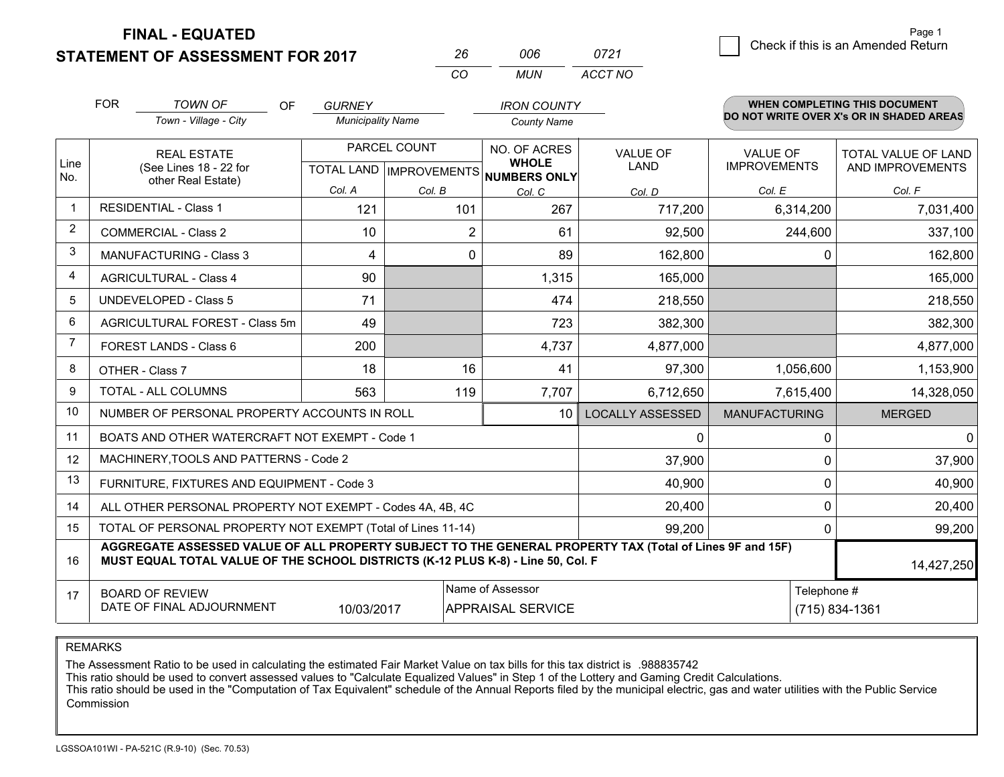**STATEMENT OF ASSESSMENT FOR 2017** 

| 26 | NUE  | 0721    |
|----|------|---------|
| rη | MUN. | ACCT NO |

|                | <b>FOR</b>                                                                                                                                                                                   | <b>TOWN OF</b><br><b>OF</b>                                  | <b>GURNEY</b>            |                           | <b>IRON COUNTY</b>                  |                         |                      | <b>WHEN COMPLETING THIS DOCUMENT</b>     |
|----------------|----------------------------------------------------------------------------------------------------------------------------------------------------------------------------------------------|--------------------------------------------------------------|--------------------------|---------------------------|-------------------------------------|-------------------------|----------------------|------------------------------------------|
|                |                                                                                                                                                                                              | Town - Village - City                                        | <b>Municipality Name</b> |                           | <b>County Name</b>                  |                         |                      | DO NOT WRITE OVER X's OR IN SHADED AREAS |
|                |                                                                                                                                                                                              | <b>REAL ESTATE</b>                                           |                          | PARCEL COUNT              | NO. OF ACRES                        | <b>VALUE OF</b>         | <b>VALUE OF</b>      | TOTAL VALUE OF LAND                      |
| Line<br>No.    |                                                                                                                                                                                              | (See Lines 18 - 22 for<br>other Real Estate)                 |                          | TOTAL LAND   IMPROVEMENTS | <b>WHOLE</b><br><b>NUMBERS ONLY</b> | <b>LAND</b>             | <b>IMPROVEMENTS</b>  | AND IMPROVEMENTS                         |
|                |                                                                                                                                                                                              |                                                              | Col. A                   | Col. B                    | Col. C                              | Col. D                  | Col. E               | Col. F                                   |
| $\mathbf 1$    |                                                                                                                                                                                              | <b>RESIDENTIAL - Class 1</b>                                 | 121                      | 101                       | 267                                 | 717,200                 | 6,314,200            | 7,031,400                                |
| 2              |                                                                                                                                                                                              | <b>COMMERCIAL - Class 2</b>                                  | 10                       | $\overline{2}$            | 61                                  | 92,500                  | 244,600              | 337,100                                  |
| 3              |                                                                                                                                                                                              | <b>MANUFACTURING - Class 3</b>                               | 4                        | 0                         | 89                                  | 162,800                 | $\Omega$             | 162,800                                  |
| 4              |                                                                                                                                                                                              | <b>AGRICULTURAL - Class 4</b>                                | 90                       |                           | 1,315                               | 165,000                 |                      | 165,000                                  |
| 5              |                                                                                                                                                                                              | <b>UNDEVELOPED - Class 5</b>                                 | 71                       |                           | 474                                 | 218,550                 |                      | 218,550                                  |
| 6              |                                                                                                                                                                                              | AGRICULTURAL FOREST - Class 5m                               | 49                       |                           | 723                                 | 382,300                 |                      | 382,300                                  |
| $\overline{7}$ |                                                                                                                                                                                              | FOREST LANDS - Class 6                                       | 200                      |                           | 4,737                               | 4,877,000               |                      | 4,877,000                                |
| 8              |                                                                                                                                                                                              | OTHER - Class 7                                              | 18                       | 16                        | 41                                  | 97,300                  | 1,056,600            | 1,153,900                                |
| 9              |                                                                                                                                                                                              | TOTAL - ALL COLUMNS                                          | 563                      | 119                       | 7,707                               | 6,712,650               | 7,615,400            | 14,328,050                               |
| 10             |                                                                                                                                                                                              | NUMBER OF PERSONAL PROPERTY ACCOUNTS IN ROLL                 |                          |                           | 10                                  | <b>LOCALLY ASSESSED</b> | <b>MANUFACTURING</b> | <b>MERGED</b>                            |
| 11             |                                                                                                                                                                                              | BOATS AND OTHER WATERCRAFT NOT EXEMPT - Code 1               |                          |                           |                                     | 0                       | 0                    | $\mathbf{0}$                             |
| 12             |                                                                                                                                                                                              | MACHINERY, TOOLS AND PATTERNS - Code 2                       |                          |                           |                                     | 37,900                  | 0                    | 37,900                                   |
| 13             |                                                                                                                                                                                              | FURNITURE, FIXTURES AND EQUIPMENT - Code 3                   |                          |                           |                                     | 40,900                  | 0                    | 40,900                                   |
| 14             |                                                                                                                                                                                              | ALL OTHER PERSONAL PROPERTY NOT EXEMPT - Codes 4A, 4B, 4C    |                          |                           |                                     | 20,400                  | 0                    | 20,400                                   |
| 15             |                                                                                                                                                                                              | TOTAL OF PERSONAL PROPERTY NOT EXEMPT (Total of Lines 11-14) |                          |                           |                                     | 99,200                  | 0                    | 99,200                                   |
| 16             | AGGREGATE ASSESSED VALUE OF ALL PROPERTY SUBJECT TO THE GENERAL PROPERTY TAX (Total of Lines 9F and 15F)<br>MUST EQUAL TOTAL VALUE OF THE SCHOOL DISTRICTS (K-12 PLUS K-8) - Line 50, Col. F |                                                              |                          |                           |                                     |                         |                      | 14,427,250                               |
| 17             | Name of Assessor<br><b>BOARD OF REVIEW</b><br>DATE OF FINAL ADJOURNMENT<br>10/03/2017<br><b>APPRAISAL SERVICE</b>                                                                            |                                                              |                          |                           |                                     |                         | Telephone #          | (715) 834-1361                           |

REMARKS

The Assessment Ratio to be used in calculating the estimated Fair Market Value on tax bills for this tax district is .988835742

This ratio should be used to convert assessed values to "Calculate Equalized Values" in Step 1 of the Lottery and Gaming Credit Calculations.<br>This ratio should be used in the "Computation of Tax Equivalent" schedule of the Commission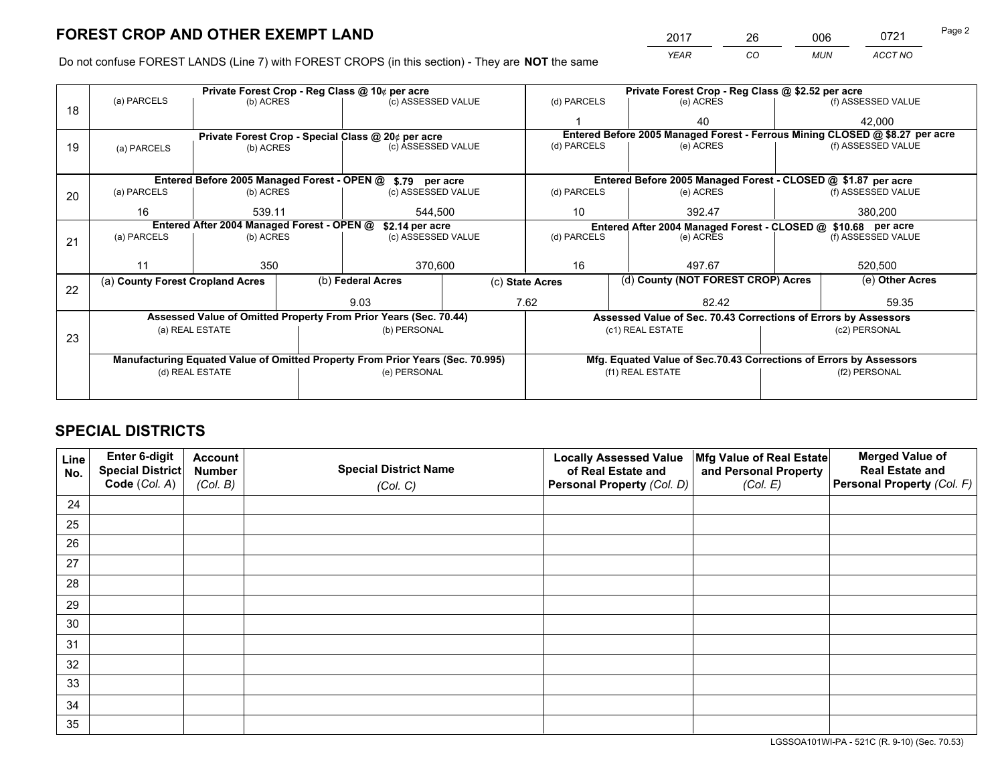*YEAR CO MUN ACCT NO* 2017 26 006 0721

Do not confuse FOREST LANDS (Line 7) with FOREST CROPS (in this section) - They are **NOT** the same

|    | Private Forest Crop - Reg Class @ 10¢ per acre                |                                                    |    |                                                                                |                 | Private Forest Crop - Reg Class @ \$2.52 per acre                            |                                                                 |               |                    |  |
|----|---------------------------------------------------------------|----------------------------------------------------|----|--------------------------------------------------------------------------------|-----------------|------------------------------------------------------------------------------|-----------------------------------------------------------------|---------------|--------------------|--|
| 18 | (a) PARCELS                                                   | (b) ACRES                                          |    | (c) ASSESSED VALUE                                                             |                 | (d) PARCELS                                                                  | (e) ACRES                                                       |               | (f) ASSESSED VALUE |  |
|    |                                                               |                                                    |    |                                                                                |                 |                                                                              | 40                                                              |               | 42,000             |  |
|    |                                                               | Private Forest Crop - Special Class @ 20¢ per acre |    |                                                                                |                 | Entered Before 2005 Managed Forest - Ferrous Mining CLOSED @ \$8.27 per acre |                                                                 |               |                    |  |
| 19 | (a) PARCELS                                                   | (b) ACRES                                          |    | (c) ASSESSED VALUE                                                             |                 | (d) PARCELS                                                                  | (e) ACRES                                                       |               | (f) ASSESSED VALUE |  |
|    |                                                               |                                                    |    |                                                                                |                 |                                                                              |                                                                 |               |                    |  |
|    |                                                               | Entered Before 2005 Managed Forest - OPEN @        |    | \$.79 per acre                                                                 |                 |                                                                              | Entered Before 2005 Managed Forest - CLOSED @ \$1.87 per acre   |               |                    |  |
| 20 | (a) PARCELS                                                   | (b) ACRES                                          |    | (c) ASSESSED VALUE                                                             |                 | (d) PARCELS                                                                  | (e) ACRES                                                       |               | (f) ASSESSED VALUE |  |
|    | 16<br>539.11<br>544,500                                       |                                                    | 10 | 392.47                                                                         |                 | 380,200                                                                      |                                                                 |               |                    |  |
|    | Entered After 2004 Managed Forest - OPEN @<br>\$2.14 per acre |                                                    |    |                                                                                |                 | Entered After 2004 Managed Forest - CLOSED @ \$10.68 per acre                |                                                                 |               |                    |  |
| 21 | (a) PARCELS                                                   | (b) ACRES                                          |    | (c) ASSESSED VALUE                                                             |                 | (d) PARCELS<br>(e) ACRES                                                     |                                                                 |               | (f) ASSESSED VALUE |  |
|    |                                                               |                                                    |    |                                                                                |                 |                                                                              |                                                                 |               |                    |  |
|    | 11                                                            | 350                                                |    | 370,600                                                                        |                 | 16<br>497.67                                                                 |                                                                 | 520,500       |                    |  |
| 22 | (a) County Forest Cropland Acres                              |                                                    |    | (b) Federal Acres                                                              | (c) State Acres |                                                                              | (d) County (NOT FOREST CROP) Acres                              |               | (e) Other Acres    |  |
|    |                                                               |                                                    |    | 9.03                                                                           | 7.62            |                                                                              | 82.42                                                           |               | 59.35              |  |
|    |                                                               |                                                    |    | Assessed Value of Omitted Property From Prior Years (Sec. 70.44)               |                 |                                                                              | Assessed Value of Sec. 70.43 Corrections of Errors by Assessors |               |                    |  |
|    |                                                               | (a) REAL ESTATE                                    |    | (b) PERSONAL                                                                   |                 |                                                                              | (c1) REAL ESTATE                                                |               | (c2) PERSONAL      |  |
| 23 |                                                               |                                                    |    |                                                                                |                 |                                                                              |                                                                 |               |                    |  |
|    |                                                               |                                                    |    | Manufacturing Equated Value of Omitted Property From Prior Years (Sec. 70.995) |                 | Mfg. Equated Value of Sec.70.43 Corrections of Errors by Assessors           |                                                                 |               |                    |  |
|    | (d) REAL ESTATE                                               |                                                    |    | (e) PERSONAL                                                                   |                 | (f1) REAL ESTATE                                                             |                                                                 | (f2) PERSONAL |                    |  |
|    |                                                               |                                                    |    |                                                                                |                 |                                                                              |                                                                 |               |                    |  |

## **SPECIAL DISTRICTS**

| Line<br>No. | Enter 6-digit<br><b>Special District</b> | <b>Account</b><br><b>Number</b> | <b>Special District Name</b> | <b>Locally Assessed Value</b><br>of Real Estate and | Mfg Value of Real Estate<br>and Personal Property | <b>Merged Value of</b><br><b>Real Estate and</b> |
|-------------|------------------------------------------|---------------------------------|------------------------------|-----------------------------------------------------|---------------------------------------------------|--------------------------------------------------|
|             | Code (Col. A)                            | (Col. B)                        | (Col. C)                     | Personal Property (Col. D)                          | (Col. E)                                          | Personal Property (Col. F)                       |
| 24          |                                          |                                 |                              |                                                     |                                                   |                                                  |
| 25          |                                          |                                 |                              |                                                     |                                                   |                                                  |
| 26          |                                          |                                 |                              |                                                     |                                                   |                                                  |
| 27          |                                          |                                 |                              |                                                     |                                                   |                                                  |
| 28          |                                          |                                 |                              |                                                     |                                                   |                                                  |
| 29          |                                          |                                 |                              |                                                     |                                                   |                                                  |
| 30          |                                          |                                 |                              |                                                     |                                                   |                                                  |
| 31          |                                          |                                 |                              |                                                     |                                                   |                                                  |
| 32          |                                          |                                 |                              |                                                     |                                                   |                                                  |
| 33          |                                          |                                 |                              |                                                     |                                                   |                                                  |
| 34          |                                          |                                 |                              |                                                     |                                                   |                                                  |
| 35          |                                          |                                 |                              |                                                     |                                                   |                                                  |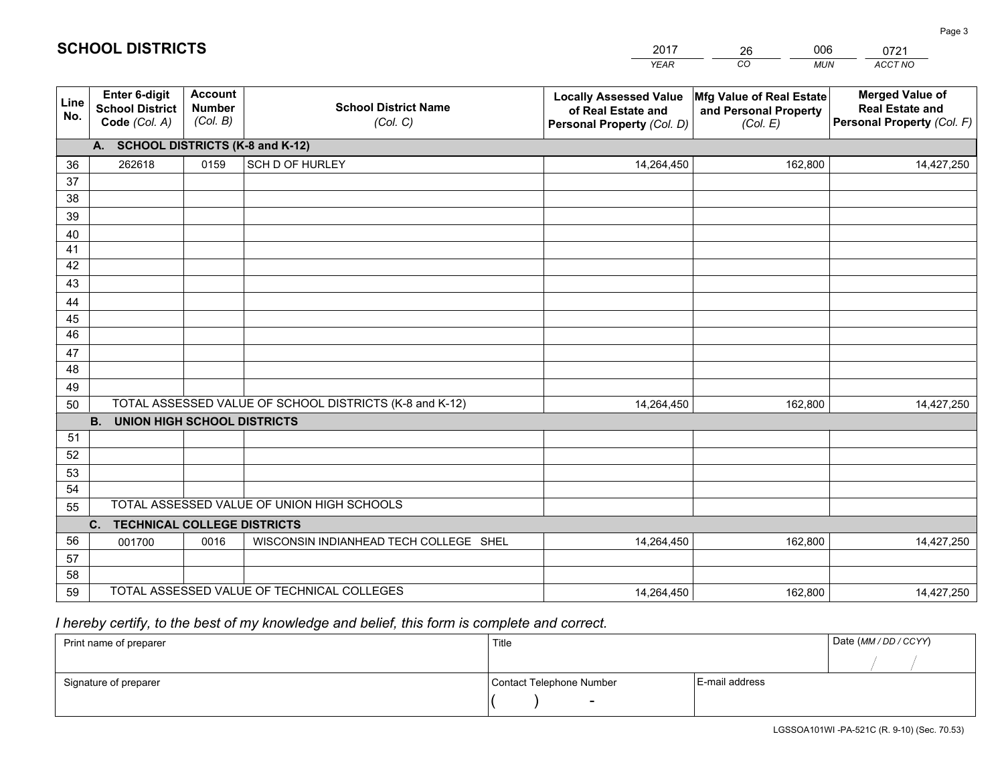|             |                                                                 |                                             |                                                         | <b>YEAR</b>                                                                       | CO<br><b>MUN</b>                                              | <b>ACCT NO</b>                                                                 |
|-------------|-----------------------------------------------------------------|---------------------------------------------|---------------------------------------------------------|-----------------------------------------------------------------------------------|---------------------------------------------------------------|--------------------------------------------------------------------------------|
| Line<br>No. | <b>Enter 6-digit</b><br><b>School District</b><br>Code (Col. A) | <b>Account</b><br><b>Number</b><br>(Col. B) | <b>School District Name</b><br>(Col. C)                 | <b>Locally Assessed Value</b><br>of Real Estate and<br>Personal Property (Col. D) | Mfg Value of Real Estate<br>and Personal Property<br>(Col. E) | <b>Merged Value of</b><br><b>Real Estate and</b><br>Personal Property (Col. F) |
|             | A. SCHOOL DISTRICTS (K-8 and K-12)                              |                                             |                                                         |                                                                                   |                                                               |                                                                                |
| 36          | 262618                                                          | 0159                                        | SCH D OF HURLEY                                         | 14,264,450                                                                        | 162,800                                                       | 14,427,250                                                                     |
| 37          |                                                                 |                                             |                                                         |                                                                                   |                                                               |                                                                                |
| 38          |                                                                 |                                             |                                                         |                                                                                   |                                                               |                                                                                |
| 39          |                                                                 |                                             |                                                         |                                                                                   |                                                               |                                                                                |
| 40          |                                                                 |                                             |                                                         |                                                                                   |                                                               |                                                                                |
| 41<br>42    |                                                                 |                                             |                                                         |                                                                                   |                                                               |                                                                                |
| 43          |                                                                 |                                             |                                                         |                                                                                   |                                                               |                                                                                |
|             |                                                                 |                                             |                                                         |                                                                                   |                                                               |                                                                                |
| 44<br>45    |                                                                 |                                             |                                                         |                                                                                   |                                                               |                                                                                |
| 46          |                                                                 |                                             |                                                         |                                                                                   |                                                               |                                                                                |
| 47          |                                                                 |                                             |                                                         |                                                                                   |                                                               |                                                                                |
| 48          |                                                                 |                                             |                                                         |                                                                                   |                                                               |                                                                                |
| 49          |                                                                 |                                             |                                                         |                                                                                   |                                                               |                                                                                |
| 50          |                                                                 |                                             | TOTAL ASSESSED VALUE OF SCHOOL DISTRICTS (K-8 and K-12) | 14,264,450                                                                        | 162,800                                                       | 14,427,250                                                                     |
|             | <b>B.</b><br><b>UNION HIGH SCHOOL DISTRICTS</b>                 |                                             |                                                         |                                                                                   |                                                               |                                                                                |
| 51          |                                                                 |                                             |                                                         |                                                                                   |                                                               |                                                                                |
| 52          |                                                                 |                                             |                                                         |                                                                                   |                                                               |                                                                                |
| 53          |                                                                 |                                             |                                                         |                                                                                   |                                                               |                                                                                |
| 54          |                                                                 |                                             |                                                         |                                                                                   |                                                               |                                                                                |
| 55          |                                                                 |                                             | TOTAL ASSESSED VALUE OF UNION HIGH SCHOOLS              |                                                                                   |                                                               |                                                                                |
|             | C.<br><b>TECHNICAL COLLEGE DISTRICTS</b>                        |                                             |                                                         |                                                                                   |                                                               |                                                                                |
| 56          | 001700                                                          | 0016                                        | WISCONSIN INDIANHEAD TECH COLLEGE SHEL                  | 14,264,450                                                                        | 162,800                                                       | 14,427,250                                                                     |
| 57<br>58    |                                                                 |                                             |                                                         |                                                                                   |                                                               |                                                                                |
| 59          |                                                                 |                                             | TOTAL ASSESSED VALUE OF TECHNICAL COLLEGES              | 14,264,450                                                                        | 162,800                                                       | 14,427,250                                                                     |
|             |                                                                 |                                             |                                                         |                                                                                   |                                                               |                                                                                |

26

006

## *I hereby certify, to the best of my knowledge and belief, this form is complete and correct.*

**SCHOOL DISTRICTS**

| Print name of preparer | Title                    |                | Date (MM / DD / CCYY) |
|------------------------|--------------------------|----------------|-----------------------|
|                        |                          |                |                       |
| Signature of preparer  | Contact Telephone Number | E-mail address |                       |
|                        | $\overline{\phantom{0}}$ |                |                       |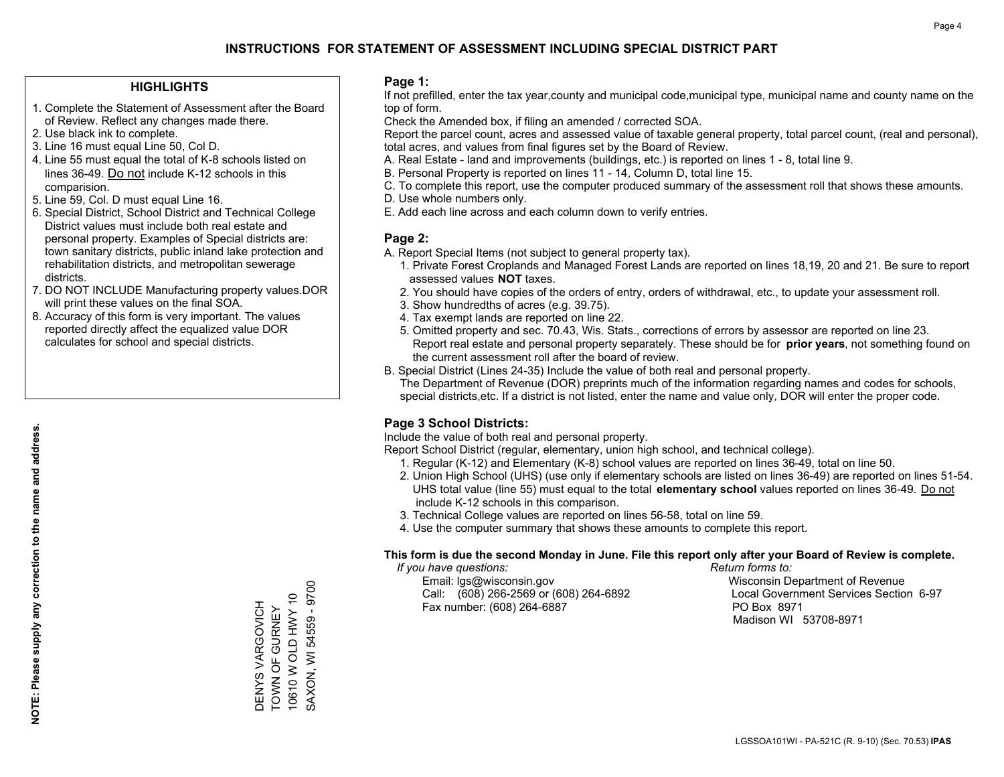#### **HIGHLIGHTS**

- 1. Complete the Statement of Assessment after the Board of Review. Reflect any changes made there.
- 2. Use black ink to complete.
- 3. Line 16 must equal Line 50, Col D.
- 4. Line 55 must equal the total of K-8 schools listed on lines 36-49. Do not include K-12 schools in this comparision.
- 5. Line 59, Col. D must equal Line 16.
- 6. Special District, School District and Technical College District values must include both real estate and personal property. Examples of Special districts are: town sanitary districts, public inland lake protection and rehabilitation districts, and metropolitan sewerage districts.
- 7. DO NOT INCLUDE Manufacturing property values.DOR will print these values on the final SOA.

DENYS VARGOVICH TOWN OF GURNEY 10610 W OLD HWY 10 SAXON, WI 54559 - 9700

DENYS VARGOVICH **TOWN OF GURNEY** 

SAXON, WI 54559 - 9700 10610 W OLD HWY 10

 8. Accuracy of this form is very important. The values reported directly affect the equalized value DOR calculates for school and special districts.

#### **Page 1:**

 If not prefilled, enter the tax year,county and municipal code,municipal type, municipal name and county name on the top of form.

Check the Amended box, if filing an amended / corrected SOA.

 Report the parcel count, acres and assessed value of taxable general property, total parcel count, (real and personal), total acres, and values from final figures set by the Board of Review.

- A. Real Estate land and improvements (buildings, etc.) is reported on lines 1 8, total line 9.
- B. Personal Property is reported on lines 11 14, Column D, total line 15.
- C. To complete this report, use the computer produced summary of the assessment roll that shows these amounts.
- D. Use whole numbers only.
- E. Add each line across and each column down to verify entries.

### **Page 2:**

- A. Report Special Items (not subject to general property tax).
- 1. Private Forest Croplands and Managed Forest Lands are reported on lines 18,19, 20 and 21. Be sure to report assessed values **NOT** taxes.
- 2. You should have copies of the orders of entry, orders of withdrawal, etc., to update your assessment roll.
	- 3. Show hundredths of acres (e.g. 39.75).
- 4. Tax exempt lands are reported on line 22.
- 5. Omitted property and sec. 70.43, Wis. Stats., corrections of errors by assessor are reported on line 23. Report real estate and personal property separately. These should be for **prior years**, not something found on the current assessment roll after the board of review.
- B. Special District (Lines 24-35) Include the value of both real and personal property.

 The Department of Revenue (DOR) preprints much of the information regarding names and codes for schools, special districts,etc. If a district is not listed, enter the name and value only, DOR will enter the proper code.

### **Page 3 School Districts:**

Include the value of both real and personal property.

Report School District (regular, elementary, union high school, and technical college).

- 1. Regular (K-12) and Elementary (K-8) school values are reported on lines 36-49, total on line 50.
- 2. Union High School (UHS) (use only if elementary schools are listed on lines 36-49) are reported on lines 51-54. UHS total value (line 55) must equal to the total **elementary school** values reported on lines 36-49. Do notinclude K-12 schools in this comparison.
- 3. Technical College values are reported on lines 56-58, total on line 59.
- 4. Use the computer summary that shows these amounts to complete this report.

#### **This form is due the second Monday in June. File this report only after your Board of Review is complete.**

 *If you have questions: Return forms to:*

 Email: lgs@wisconsin.gov Wisconsin Department of RevenueCall:  $(608)$  266-2569 or  $(608)$  264-6892 Fax number: (608) 264-6887 PO Box 8971

Local Government Services Section 6-97 Madison WI 53708-8971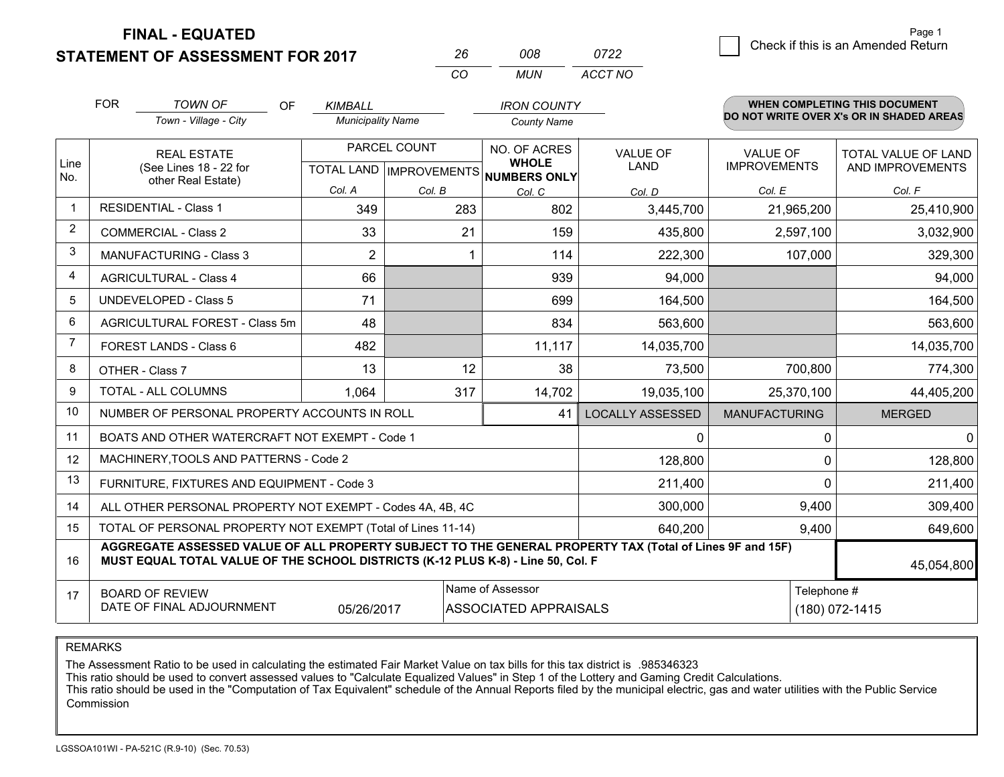**STATEMENT OF ASSESSMENT FOR 2017** 

| 008 | 0722    | Check if this is an Amended Return |
|-----|---------|------------------------------------|
| MUN | ACCT NO |                                    |

|                | <b>FOR</b>                                                                                                                                                                                   | <b>TOWN OF</b><br><b>OF</b>                                  | <b>KIMBALL</b>           |         | <b>IRON COUNTY</b>                                   |                         |                      | <b>WHEN COMPLETING THIS DOCUMENT</b>     |  |
|----------------|----------------------------------------------------------------------------------------------------------------------------------------------------------------------------------------------|--------------------------------------------------------------|--------------------------|---------|------------------------------------------------------|-------------------------|----------------------|------------------------------------------|--|
|                |                                                                                                                                                                                              | Town - Village - City                                        | <b>Municipality Name</b> |         | <b>County Name</b>                                   |                         |                      | DO NOT WRITE OVER X's OR IN SHADED AREAS |  |
|                |                                                                                                                                                                                              | PARCEL COUNT<br><b>REAL ESTATE</b>                           |                          |         | NO. OF ACRES                                         | <b>VALUE OF</b>         | <b>VALUE OF</b>      | <b>TOTAL VALUE OF LAND</b>               |  |
| Line<br>No.    |                                                                                                                                                                                              | (See Lines 18 - 22 for<br>other Real Estate)                 |                          |         | <b>WHOLE</b><br>TOTAL LAND IMPROVEMENTS NUMBERS ONLY | LAND                    | <b>IMPROVEMENTS</b>  | AND IMPROVEMENTS                         |  |
|                |                                                                                                                                                                                              |                                                              | Col. A                   | Col. B  | Col. C                                               | Col. D                  | Col. E               | Col. F                                   |  |
| $\mathbf{1}$   |                                                                                                                                                                                              | <b>RESIDENTIAL - Class 1</b>                                 | 349                      | 283     | 802                                                  | 3,445,700               | 21,965,200           | 25,410,900                               |  |
| 2              |                                                                                                                                                                                              | <b>COMMERCIAL - Class 2</b>                                  | 33                       | 21      | 159                                                  | 435,800                 | 2,597,100            | 3,032,900                                |  |
| 3              |                                                                                                                                                                                              | <b>MANUFACTURING - Class 3</b>                               | $\overline{2}$           |         | 114                                                  | 222,300                 | 107,000              | 329,300                                  |  |
| 4              |                                                                                                                                                                                              | <b>AGRICULTURAL - Class 4</b>                                | 66                       |         | 939                                                  | 94,000                  |                      | 94,000                                   |  |
| 5              |                                                                                                                                                                                              | <b>UNDEVELOPED - Class 5</b>                                 | 71                       |         | 699                                                  | 164,500                 |                      | 164,500                                  |  |
| 6              |                                                                                                                                                                                              | AGRICULTURAL FOREST - Class 5m                               | 48                       |         | 834                                                  | 563,600                 |                      | 563,600                                  |  |
| $\overline{7}$ |                                                                                                                                                                                              | FOREST LANDS - Class 6                                       | 482                      |         | 11,117                                               | 14,035,700              |                      | 14,035,700                               |  |
| 8              |                                                                                                                                                                                              | OTHER - Class 7                                              | 13                       | 12      | 38                                                   | 73,500                  | 700,800              | 774,300                                  |  |
| 9              |                                                                                                                                                                                              | <b>TOTAL - ALL COLUMNS</b>                                   | 1.064                    | 317     | 14,702                                               | 19,035,100              | 25,370,100           | 44,405,200                               |  |
| 10             |                                                                                                                                                                                              | NUMBER OF PERSONAL PROPERTY ACCOUNTS IN ROLL                 |                          |         | 41                                                   | <b>LOCALLY ASSESSED</b> | <b>MANUFACTURING</b> | <b>MERGED</b>                            |  |
| 11             |                                                                                                                                                                                              | BOATS AND OTHER WATERCRAFT NOT EXEMPT - Code 1               |                          |         |                                                      | 0                       | 0                    | $\Omega$                                 |  |
| 12             |                                                                                                                                                                                              | MACHINERY, TOOLS AND PATTERNS - Code 2                       |                          |         |                                                      | 128,800                 | $\mathbf 0$          | 128,800                                  |  |
| 13             |                                                                                                                                                                                              | FURNITURE, FIXTURES AND EQUIPMENT - Code 3                   |                          |         |                                                      | 211,400                 | $\Omega$             | 211,400                                  |  |
| 14             |                                                                                                                                                                                              | ALL OTHER PERSONAL PROPERTY NOT EXEMPT - Codes 4A, 4B, 4C    |                          |         |                                                      | 300,000                 | 9,400                | 309,400                                  |  |
| 15             |                                                                                                                                                                                              | TOTAL OF PERSONAL PROPERTY NOT EXEMPT (Total of Lines 11-14) |                          | 640,200 | 9,400                                                | 649,600                 |                      |                                          |  |
| 16             | AGGREGATE ASSESSED VALUE OF ALL PROPERTY SUBJECT TO THE GENERAL PROPERTY TAX (Total of Lines 9F and 15F)<br>MUST EQUAL TOTAL VALUE OF THE SCHOOL DISTRICTS (K-12 PLUS K-8) - Line 50, Col. F |                                                              |                          |         |                                                      |                         |                      | 45,054,800                               |  |
| 17             |                                                                                                                                                                                              | <b>BOARD OF REVIEW</b>                                       |                          |         | Name of Assessor                                     |                         | Telephone #          |                                          |  |
|                |                                                                                                                                                                                              | DATE OF FINAL ADJOURNMENT                                    | 05/26/2017               |         | ASSOCIATED APPRAISALS                                |                         |                      | (180) 072-1415                           |  |

*CO*

*<sup>26</sup> <sup>008</sup>*

REMARKS

The Assessment Ratio to be used in calculating the estimated Fair Market Value on tax bills for this tax district is .985346323

This ratio should be used to convert assessed values to "Calculate Equalized Values" in Step 1 of the Lottery and Gaming Credit Calculations.<br>This ratio should be used in the "Computation of Tax Equivalent" schedule of the Commission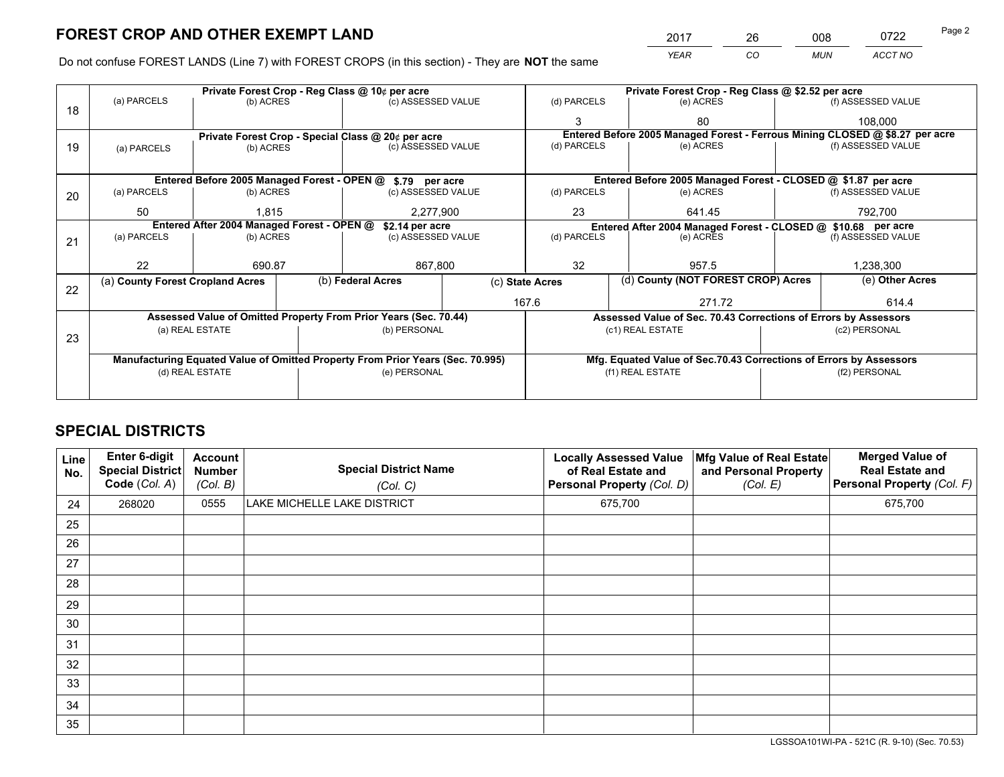*YEAR CO MUN ACCT NO* 2017 26 008 0722 Page 2

Do not confuse FOREST LANDS (Line 7) with FOREST CROPS (in this section) - They are **NOT** the same

|    | Private Forest Crop - Reg Class @ 10¢ per acre                |                 |  |                                                                                |                                                               | Private Forest Crop - Reg Class @ \$2.52 per acre |                                                                              |                                    |                    |  |
|----|---------------------------------------------------------------|-----------------|--|--------------------------------------------------------------------------------|---------------------------------------------------------------|---------------------------------------------------|------------------------------------------------------------------------------|------------------------------------|--------------------|--|
| 18 | (a) PARCELS                                                   | (b) ACRES       |  | (c) ASSESSED VALUE                                                             |                                                               | (d) PARCELS                                       | (e) ACRES                                                                    |                                    | (f) ASSESSED VALUE |  |
|    |                                                               |                 |  |                                                                                |                                                               | 3                                                 | 80                                                                           |                                    | 108.000            |  |
|    |                                                               |                 |  | Private Forest Crop - Special Class @ 20¢ per acre                             |                                                               |                                                   | Entered Before 2005 Managed Forest - Ferrous Mining CLOSED @ \$8.27 per acre |                                    |                    |  |
| 19 | (a) PARCELS                                                   | (b) ACRES       |  | (c) ASSESSED VALUE                                                             |                                                               | (d) PARCELS                                       | (e) ACRES                                                                    |                                    | (f) ASSESSED VALUE |  |
|    |                                                               |                 |  |                                                                                |                                                               |                                                   |                                                                              |                                    |                    |  |
|    |                                                               |                 |  | Entered Before 2005 Managed Forest - OPEN @ \$.79 per acre                     |                                                               |                                                   | Entered Before 2005 Managed Forest - CLOSED @ \$1.87 per acre                |                                    |                    |  |
| 20 | (a) PARCELS                                                   | (b) ACRES       |  | (c) ASSESSED VALUE                                                             |                                                               | (d) PARCELS                                       | (e) ACRES                                                                    |                                    | (f) ASSESSED VALUE |  |
|    | 50                                                            | 1.815           |  | 2,277,900                                                                      |                                                               | 23                                                | 641.45                                                                       |                                    | 792,700            |  |
|    | Entered After 2004 Managed Forest - OPEN @<br>\$2.14 per acre |                 |  |                                                                                | Entered After 2004 Managed Forest - CLOSED @ \$10.68 per acre |                                                   |                                                                              |                                    |                    |  |
| 21 | (a) PARCELS                                                   | (b) ACRES       |  | (c) ASSESSED VALUE                                                             |                                                               | (d) PARCELS<br>(e) ACRES                          |                                                                              |                                    | (f) ASSESSED VALUE |  |
|    |                                                               |                 |  |                                                                                |                                                               |                                                   |                                                                              |                                    |                    |  |
|    | 22                                                            | 690.87          |  | 867,800                                                                        |                                                               | 32                                                | 957.5                                                                        |                                    | 1,238,300          |  |
| 22 | (a) County Forest Cropland Acres                              |                 |  | (b) Federal Acres                                                              |                                                               | (c) State Acres                                   |                                                                              | (d) County (NOT FOREST CROP) Acres | (e) Other Acres    |  |
|    |                                                               |                 |  |                                                                                |                                                               | 167.6                                             | 271.72                                                                       |                                    | 614.4              |  |
|    |                                                               |                 |  | Assessed Value of Omitted Property From Prior Years (Sec. 70.44)               |                                                               |                                                   | Assessed Value of Sec. 70.43 Corrections of Errors by Assessors              |                                    |                    |  |
|    |                                                               | (a) REAL ESTATE |  | (b) PERSONAL                                                                   |                                                               |                                                   | (c1) REAL ESTATE                                                             |                                    | (c2) PERSONAL      |  |
| 23 |                                                               |                 |  |                                                                                |                                                               |                                                   |                                                                              |                                    |                    |  |
|    |                                                               |                 |  | Manufacturing Equated Value of Omitted Property From Prior Years (Sec. 70.995) |                                                               |                                                   | Mfg. Equated Value of Sec.70.43 Corrections of Errors by Assessors           |                                    |                    |  |
|    | (d) REAL ESTATE                                               |                 |  | (e) PERSONAL                                                                   |                                                               | (f1) REAL ESTATE                                  |                                                                              |                                    | (f2) PERSONAL      |  |
|    |                                                               |                 |  |                                                                                |                                                               |                                                   |                                                                              |                                    |                    |  |

## **SPECIAL DISTRICTS**

| Line<br>No. | Enter 6-digit<br><b>Special District</b><br>Code (Col. A) | <b>Account</b><br><b>Number</b><br>(Col. B) | <b>Special District Name</b><br>(Col. C) | <b>Locally Assessed Value</b><br>of Real Estate and<br>Personal Property (Col. D) | Mfg Value of Real Estate<br>and Personal Property<br>(Col. E) | <b>Merged Value of</b><br><b>Real Estate and</b><br>Personal Property (Col. F) |
|-------------|-----------------------------------------------------------|---------------------------------------------|------------------------------------------|-----------------------------------------------------------------------------------|---------------------------------------------------------------|--------------------------------------------------------------------------------|
| 24          | 268020                                                    | 0555                                        | LAKE MICHELLE LAKE DISTRICT              | 675,700                                                                           |                                                               | 675,700                                                                        |
| 25          |                                                           |                                             |                                          |                                                                                   |                                                               |                                                                                |
| 26          |                                                           |                                             |                                          |                                                                                   |                                                               |                                                                                |
| 27          |                                                           |                                             |                                          |                                                                                   |                                                               |                                                                                |
| 28          |                                                           |                                             |                                          |                                                                                   |                                                               |                                                                                |
| 29          |                                                           |                                             |                                          |                                                                                   |                                                               |                                                                                |
| 30          |                                                           |                                             |                                          |                                                                                   |                                                               |                                                                                |
| 31          |                                                           |                                             |                                          |                                                                                   |                                                               |                                                                                |
| 32          |                                                           |                                             |                                          |                                                                                   |                                                               |                                                                                |
| 33          |                                                           |                                             |                                          |                                                                                   |                                                               |                                                                                |
| 34          |                                                           |                                             |                                          |                                                                                   |                                                               |                                                                                |
| 35          |                                                           |                                             |                                          |                                                                                   |                                                               |                                                                                |

LGSSOA101WI-PA - 521C (R. 9-10) (Sec. 70.53)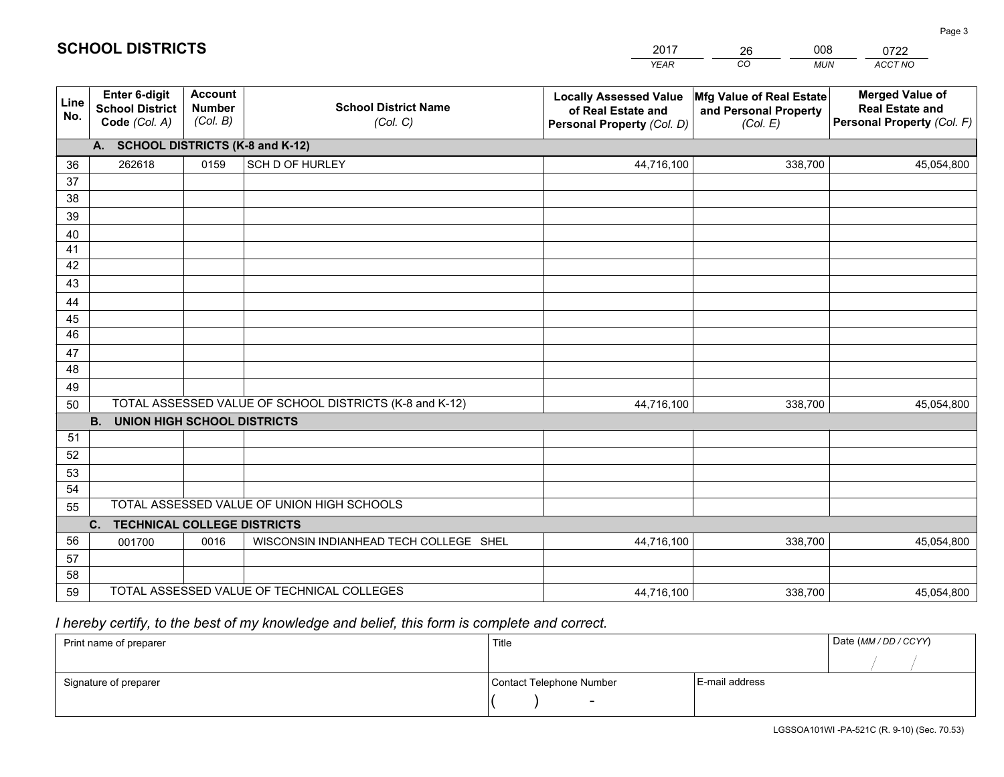|                                                                 |                                             |                                         | <b>YEAR</b>                                                                                                                                                                                                                                                                                                     | CO<br><b>MUN</b>                  | <b>ACCT NO</b>                                                                 |
|-----------------------------------------------------------------|---------------------------------------------|-----------------------------------------|-----------------------------------------------------------------------------------------------------------------------------------------------------------------------------------------------------------------------------------------------------------------------------------------------------------------|-----------------------------------|--------------------------------------------------------------------------------|
| <b>Enter 6-digit</b><br><b>School District</b><br>Code (Col. A) | <b>Account</b><br><b>Number</b><br>(Col. B) | <b>School District Name</b><br>(Col. C) | <b>Locally Assessed Value</b><br>of Real Estate and<br>Personal Property (Col. D)                                                                                                                                                                                                                               | and Personal Property<br>(Col. E) | <b>Merged Value of</b><br><b>Real Estate and</b><br>Personal Property (Col. F) |
|                                                                 |                                             |                                         |                                                                                                                                                                                                                                                                                                                 |                                   |                                                                                |
| 262618                                                          | 0159                                        | SCH D OF HURLEY                         | 44,716,100                                                                                                                                                                                                                                                                                                      | 338,700                           | 45,054,800                                                                     |
|                                                                 |                                             |                                         |                                                                                                                                                                                                                                                                                                                 |                                   |                                                                                |
|                                                                 |                                             |                                         |                                                                                                                                                                                                                                                                                                                 |                                   |                                                                                |
|                                                                 |                                             |                                         |                                                                                                                                                                                                                                                                                                                 |                                   |                                                                                |
|                                                                 |                                             |                                         |                                                                                                                                                                                                                                                                                                                 |                                   |                                                                                |
|                                                                 |                                             |                                         |                                                                                                                                                                                                                                                                                                                 |                                   |                                                                                |
|                                                                 |                                             |                                         |                                                                                                                                                                                                                                                                                                                 |                                   |                                                                                |
|                                                                 |                                             |                                         |                                                                                                                                                                                                                                                                                                                 |                                   |                                                                                |
|                                                                 |                                             |                                         |                                                                                                                                                                                                                                                                                                                 |                                   |                                                                                |
|                                                                 |                                             |                                         |                                                                                                                                                                                                                                                                                                                 |                                   |                                                                                |
|                                                                 |                                             |                                         |                                                                                                                                                                                                                                                                                                                 |                                   |                                                                                |
|                                                                 |                                             |                                         |                                                                                                                                                                                                                                                                                                                 |                                   |                                                                                |
|                                                                 |                                             |                                         |                                                                                                                                                                                                                                                                                                                 |                                   |                                                                                |
|                                                                 |                                             |                                         | 44,716,100                                                                                                                                                                                                                                                                                                      | 338,700                           | 45,054,800                                                                     |
| <b>B.</b>                                                       |                                             |                                         |                                                                                                                                                                                                                                                                                                                 |                                   |                                                                                |
|                                                                 |                                             |                                         |                                                                                                                                                                                                                                                                                                                 |                                   |                                                                                |
|                                                                 |                                             |                                         |                                                                                                                                                                                                                                                                                                                 |                                   |                                                                                |
|                                                                 |                                             |                                         |                                                                                                                                                                                                                                                                                                                 |                                   |                                                                                |
|                                                                 |                                             |                                         |                                                                                                                                                                                                                                                                                                                 |                                   |                                                                                |
|                                                                 |                                             |                                         |                                                                                                                                                                                                                                                                                                                 |                                   |                                                                                |
|                                                                 |                                             |                                         |                                                                                                                                                                                                                                                                                                                 |                                   |                                                                                |
|                                                                 |                                             |                                         |                                                                                                                                                                                                                                                                                                                 |                                   | 45,054,800                                                                     |
|                                                                 |                                             |                                         |                                                                                                                                                                                                                                                                                                                 |                                   |                                                                                |
|                                                                 |                                             |                                         | 44,716,100                                                                                                                                                                                                                                                                                                      | 338,700                           | 45,054,800                                                                     |
|                                                                 | C.<br>001700                                | 0016                                    | A. SCHOOL DISTRICTS (K-8 and K-12)<br>TOTAL ASSESSED VALUE OF SCHOOL DISTRICTS (K-8 and K-12)<br><b>UNION HIGH SCHOOL DISTRICTS</b><br>TOTAL ASSESSED VALUE OF UNION HIGH SCHOOLS<br><b>TECHNICAL COLLEGE DISTRICTS</b><br>WISCONSIN INDIANHEAD TECH COLLEGE SHEL<br>TOTAL ASSESSED VALUE OF TECHNICAL COLLEGES | 44,716,100                        | Mfg Value of Real Estate<br>338,700                                            |

26

008

## *I hereby certify, to the best of my knowledge and belief, this form is complete and correct.*

**SCHOOL DISTRICTS**

| Print name of preparer | Title                    |                | Date (MM / DD / CCYY) |
|------------------------|--------------------------|----------------|-----------------------|
|                        |                          |                |                       |
| Signature of preparer  | Contact Telephone Number | E-mail address |                       |
|                        | $\sim$                   |                |                       |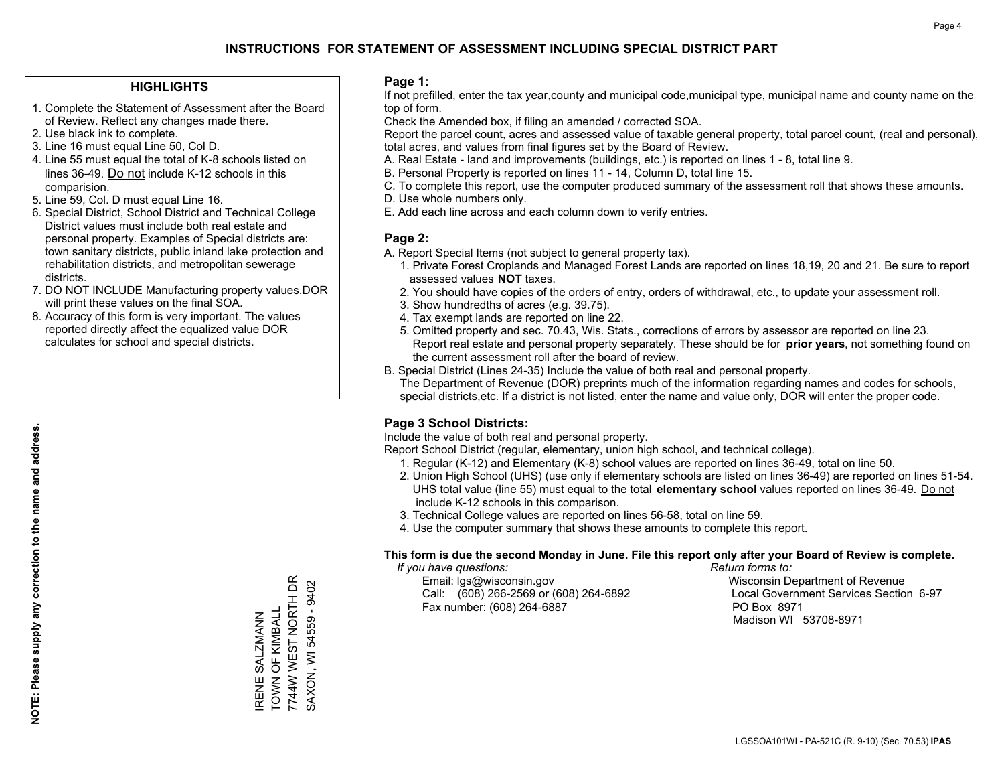#### **HIGHLIGHTS**

- 1. Complete the Statement of Assessment after the Board of Review. Reflect any changes made there.
- 2. Use black ink to complete.
- 3. Line 16 must equal Line 50, Col D.
- 4. Line 55 must equal the total of K-8 schools listed on lines 36-49. Do not include K-12 schools in this comparision.
- 5. Line 59, Col. D must equal Line 16.
- 6. Special District, School District and Technical College District values must include both real estate and personal property. Examples of Special districts are: town sanitary districts, public inland lake protection and rehabilitation districts, and metropolitan sewerage districts.
- 7. DO NOT INCLUDE Manufacturing property values.DOR will print these values on the final SOA.

IRENE SALZMANN TOWN OF KIMBALL 7744W WEST NORTH DR SAXON, WI 54559 - 9402

RENE SALZMANN<br>TOWN OF KIMBALL

7744W WEST NORTH DR SAXON, WI 54559 - 9402

 8. Accuracy of this form is very important. The values reported directly affect the equalized value DOR calculates for school and special districts.

#### **Page 1:**

 If not prefilled, enter the tax year,county and municipal code,municipal type, municipal name and county name on the top of form.

Check the Amended box, if filing an amended / corrected SOA.

 Report the parcel count, acres and assessed value of taxable general property, total parcel count, (real and personal), total acres, and values from final figures set by the Board of Review.

- A. Real Estate land and improvements (buildings, etc.) is reported on lines 1 8, total line 9.
- B. Personal Property is reported on lines 11 14, Column D, total line 15.
- C. To complete this report, use the computer produced summary of the assessment roll that shows these amounts.
- D. Use whole numbers only.
- E. Add each line across and each column down to verify entries.

#### **Page 2:**

- A. Report Special Items (not subject to general property tax).
- 1. Private Forest Croplands and Managed Forest Lands are reported on lines 18,19, 20 and 21. Be sure to report assessed values **NOT** taxes.
- 2. You should have copies of the orders of entry, orders of withdrawal, etc., to update your assessment roll.
	- 3. Show hundredths of acres (e.g. 39.75).
- 4. Tax exempt lands are reported on line 22.
- 5. Omitted property and sec. 70.43, Wis. Stats., corrections of errors by assessor are reported on line 23. Report real estate and personal property separately. These should be for **prior years**, not something found on the current assessment roll after the board of review.
- B. Special District (Lines 24-35) Include the value of both real and personal property.

 The Department of Revenue (DOR) preprints much of the information regarding names and codes for schools, special districts,etc. If a district is not listed, enter the name and value only, DOR will enter the proper code.

### **Page 3 School Districts:**

Include the value of both real and personal property.

Report School District (regular, elementary, union high school, and technical college).

- 1. Regular (K-12) and Elementary (K-8) school values are reported on lines 36-49, total on line 50.
- 2. Union High School (UHS) (use only if elementary schools are listed on lines 36-49) are reported on lines 51-54. UHS total value (line 55) must equal to the total **elementary school** values reported on lines 36-49. Do notinclude K-12 schools in this comparison.
- 3. Technical College values are reported on lines 56-58, total on line 59.
- 4. Use the computer summary that shows these amounts to complete this report.

#### **This form is due the second Monday in June. File this report only after your Board of Review is complete.**

 *If you have questions: Return forms to:*

 Email: lgs@wisconsin.gov Wisconsin Department of RevenueCall:  $(608)$  266-2569 or  $(608)$  264-6892 Fax number: (608) 264-6887 PO Box 8971

Local Government Services Section 6-97 Madison WI 53708-8971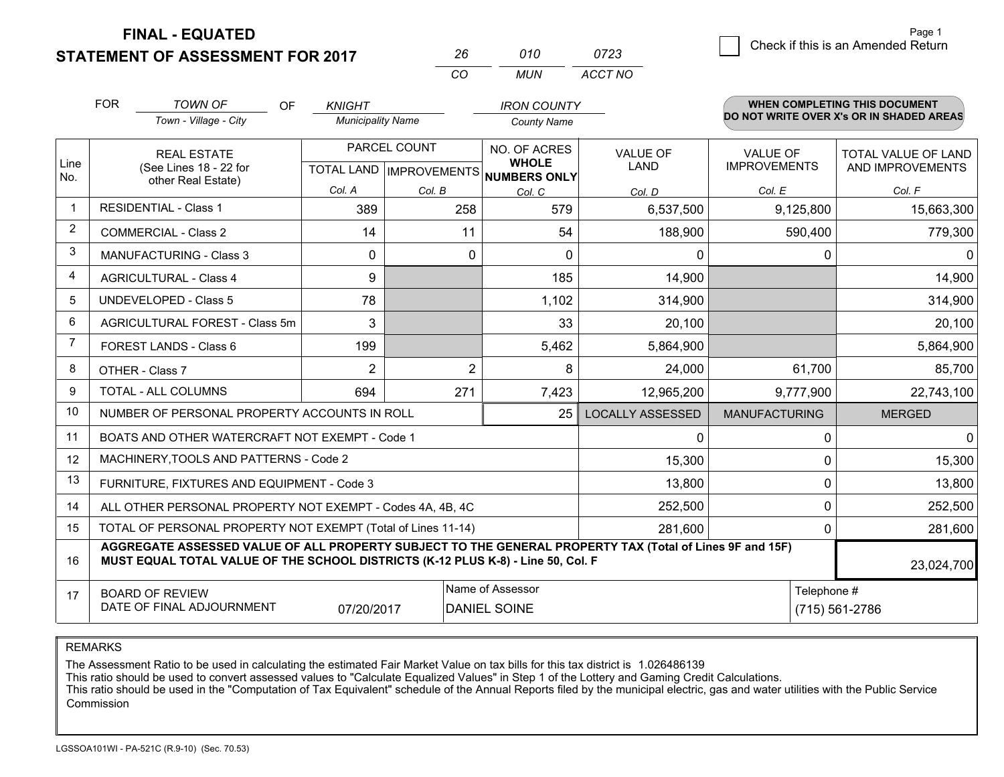**STATEMENT OF ASSESSMENT FOR 2017** 

| 26  | 010 | 0723    |
|-----|-----|---------|
| CO. | MUN | ACCT NO |

|                | <b>FOR</b>                                                                                                                                                                                   | <b>TOWN OF</b><br><b>OF</b><br>Town - Village - City | <b>KNIGHT</b><br><b>Municipality Name</b> |                | <b>IRON COUNTY</b>                                       |                         |                      | <b>WHEN COMPLETING THIS DOCUMENT</b><br>DO NOT WRITE OVER X's OR IN SHADED AREAS |
|----------------|----------------------------------------------------------------------------------------------------------------------------------------------------------------------------------------------|------------------------------------------------------|-------------------------------------------|----------------|----------------------------------------------------------|-------------------------|----------------------|----------------------------------------------------------------------------------|
|                |                                                                                                                                                                                              |                                                      |                                           |                | <b>County Name</b>                                       |                         |                      |                                                                                  |
|                |                                                                                                                                                                                              | <b>REAL ESTATE</b>                                   |                                           | PARCEL COUNT   | NO. OF ACRES                                             | <b>VALUE OF</b>         | <b>VALUE OF</b>      | <b>TOTAL VALUE OF LAND</b>                                                       |
| Line<br>No.    | (See Lines 18 - 22 for<br>other Real Estate)                                                                                                                                                 |                                                      |                                           |                | <b>WHOLE</b><br>TOTAL LAND   IMPROVEMENTS   NUMBERS ONLY | LAND                    | <b>IMPROVEMENTS</b>  | AND IMPROVEMENTS                                                                 |
|                |                                                                                                                                                                                              |                                                      | Col. A                                    | Col. B         | Col. C                                                   | Col. D                  | Col. E               | Col. F                                                                           |
| $\mathbf 1$    | <b>RESIDENTIAL - Class 1</b>                                                                                                                                                                 |                                                      | 389                                       | 258            | 579                                                      | 6,537,500               | 9,125,800            | 15,663,300                                                                       |
| 2              |                                                                                                                                                                                              | <b>COMMERCIAL - Class 2</b>                          | 14                                        | 11             | 54                                                       | 188,900                 | 590,400              | 779,300                                                                          |
| 3              |                                                                                                                                                                                              | <b>MANUFACTURING - Class 3</b>                       | $\mathbf{0}$                              | $\mathbf{0}$   | $\Omega$                                                 | 0                       | 0                    | 0 I                                                                              |
| 4              |                                                                                                                                                                                              | <b>AGRICULTURAL - Class 4</b>                        | 9                                         |                | 185                                                      | 14,900                  |                      | 14,900                                                                           |
| 5              | UNDEVELOPED - Class 5                                                                                                                                                                        |                                                      | 78                                        |                | 1,102                                                    | 314,900                 |                      | 314,900                                                                          |
| 6              | AGRICULTURAL FOREST - Class 5m                                                                                                                                                               |                                                      | 3                                         |                | 33                                                       | 20,100                  |                      | 20,100                                                                           |
| $\overline{7}$ |                                                                                                                                                                                              | <b>FOREST LANDS - Class 6</b>                        | 199                                       |                | 5,462                                                    | 5,864,900               |                      | 5,864,900                                                                        |
| 8              |                                                                                                                                                                                              | OTHER - Class 7                                      | $\overline{2}$                            | $\overline{2}$ | 8                                                        | 24,000                  | 61,700               | 85,700                                                                           |
| 9              |                                                                                                                                                                                              | TOTAL - ALL COLUMNS                                  | 694                                       | 271            | 7,423                                                    | 12,965,200              | 9,777,900            | 22,743,100                                                                       |
| 10             |                                                                                                                                                                                              | NUMBER OF PERSONAL PROPERTY ACCOUNTS IN ROLL         |                                           |                | 25                                                       | <b>LOCALLY ASSESSED</b> | <b>MANUFACTURING</b> | <b>MERGED</b>                                                                    |
| 11             |                                                                                                                                                                                              | BOATS AND OTHER WATERCRAFT NOT EXEMPT - Code 1       |                                           |                |                                                          | $\mathbf{0}$            | 0                    | 0                                                                                |
| 12             |                                                                                                                                                                                              | MACHINERY, TOOLS AND PATTERNS - Code 2               |                                           |                |                                                          | 15,300                  | 0                    | 15,300                                                                           |
| 13             |                                                                                                                                                                                              | FURNITURE, FIXTURES AND EQUIPMENT - Code 3           |                                           |                |                                                          | 13,800                  | 0                    | 13,800                                                                           |
| 14             | 252,500<br>ALL OTHER PERSONAL PROPERTY NOT EXEMPT - Codes 4A, 4B, 4C                                                                                                                         |                                                      |                                           |                |                                                          |                         |                      | 252,500                                                                          |
| 15             | TOTAL OF PERSONAL PROPERTY NOT EXEMPT (Total of Lines 11-14)<br>281,600                                                                                                                      |                                                      |                                           |                |                                                          |                         |                      | 281,600                                                                          |
| 16             | AGGREGATE ASSESSED VALUE OF ALL PROPERTY SUBJECT TO THE GENERAL PROPERTY TAX (Total of Lines 9F and 15F)<br>MUST EQUAL TOTAL VALUE OF THE SCHOOL DISTRICTS (K-12 PLUS K-8) - Line 50, Col. F |                                                      |                                           |                |                                                          |                         | 23,024,700           |                                                                                  |
| 17             |                                                                                                                                                                                              | <b>BOARD OF REVIEW</b>                               |                                           |                | Name of Assessor                                         |                         | Telephone #          |                                                                                  |
|                |                                                                                                                                                                                              | DATE OF FINAL ADJOURNMENT                            | 07/20/2017                                |                | <b>DANIEL SOINE</b>                                      |                         |                      | (715) 561-2786                                                                   |

REMARKS

The Assessment Ratio to be used in calculating the estimated Fair Market Value on tax bills for this tax district is 1.026486139

This ratio should be used to convert assessed values to "Calculate Equalized Values" in Step 1 of the Lottery and Gaming Credit Calculations.<br>This ratio should be used in the "Computation of Tax Equivalent" schedule of the Commission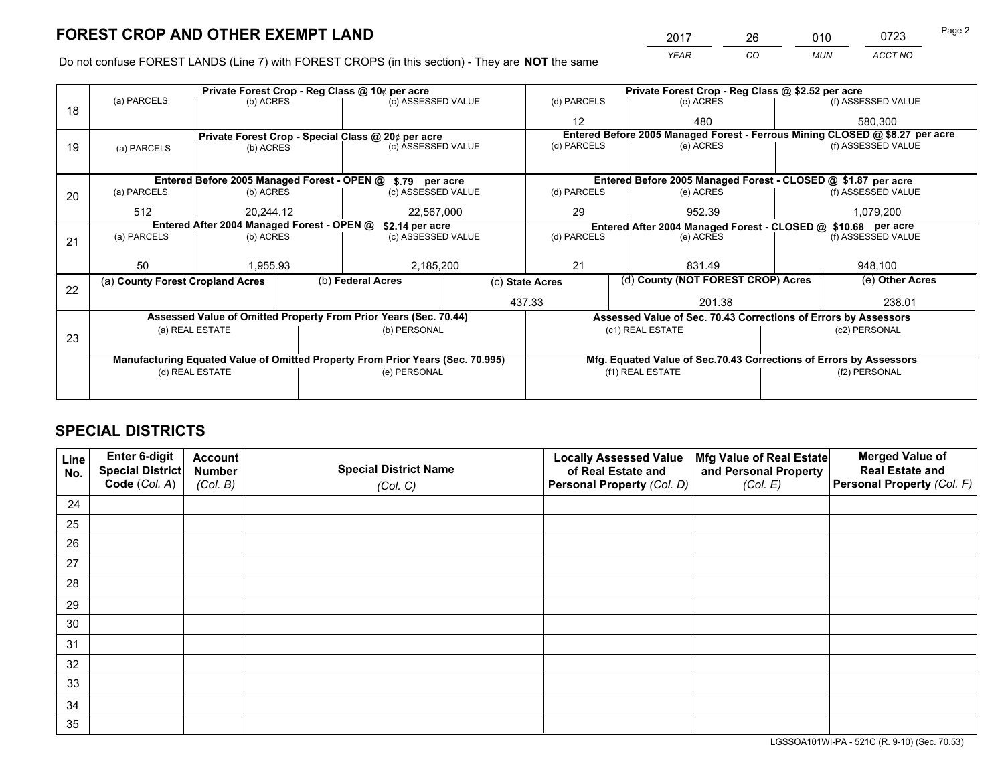*YEAR CO MUN ACCT NO* <sup>2017</sup> <sup>26</sup> <sup>010</sup> <sup>0723</sup> Page 2

Do not confuse FOREST LANDS (Line 7) with FOREST CROPS (in this section) - They are **NOT** the same

|    |                                                                                |                 |  | Private Forest Crop - Reg Class @ 10¢ per acre                   |                 | Private Forest Crop - Reg Class @ \$2.52 per acre                                   |                                                               |                                                                    |  |                                                                              |
|----|--------------------------------------------------------------------------------|-----------------|--|------------------------------------------------------------------|-----------------|-------------------------------------------------------------------------------------|---------------------------------------------------------------|--------------------------------------------------------------------|--|------------------------------------------------------------------------------|
| 18 | (a) PARCELS                                                                    | (b) ACRES       |  | (c) ASSESSED VALUE                                               |                 | (d) PARCELS                                                                         |                                                               | (e) ACRES                                                          |  | (f) ASSESSED VALUE                                                           |
|    |                                                                                |                 |  |                                                                  |                 | 12                                                                                  |                                                               | 480                                                                |  | 580,300                                                                      |
|    |                                                                                |                 |  | Private Forest Crop - Special Class @ 20¢ per acre               |                 |                                                                                     |                                                               |                                                                    |  | Entered Before 2005 Managed Forest - Ferrous Mining CLOSED @ \$8.27 per acre |
| 19 | (a) PARCELS                                                                    | (b) ACRES       |  | (c) ASSESSED VALUE                                               |                 | (d) PARCELS                                                                         |                                                               | (e) ACRES                                                          |  | (f) ASSESSED VALUE                                                           |
|    |                                                                                |                 |  |                                                                  |                 |                                                                                     |                                                               |                                                                    |  |                                                                              |
|    | Entered Before 2005 Managed Forest - OPEN @ \$.79 per acre                     |                 |  |                                                                  |                 |                                                                                     |                                                               | Entered Before 2005 Managed Forest - CLOSED @ \$1.87 per acre      |  |                                                                              |
| 20 | (a) PARCELS                                                                    | (b) ACRES       |  | (c) ASSESSED VALUE                                               |                 | (d) PARCELS                                                                         |                                                               | (e) ACRES                                                          |  | (f) ASSESSED VALUE                                                           |
|    | 512                                                                            | 20.244.12       |  | 22,567,000                                                       |                 | 29<br>952.39                                                                        |                                                               | 1,079,200                                                          |  |                                                                              |
|    | Entered After 2004 Managed Forest - OPEN @<br>\$2.14 per acre                  |                 |  |                                                                  |                 |                                                                                     | Entered After 2004 Managed Forest - CLOSED @ \$10.68 per acre |                                                                    |  |                                                                              |
| 21 | (a) PARCELS                                                                    | (b) ACRES       |  | (c) ASSESSED VALUE                                               |                 | (d) PARCELS                                                                         |                                                               | (e) ACRES                                                          |  | (f) ASSESSED VALUE                                                           |
|    |                                                                                |                 |  |                                                                  |                 |                                                                                     |                                                               |                                                                    |  |                                                                              |
|    | 50                                                                             | 1,955.93        |  | 2,185,200                                                        |                 | 21                                                                                  |                                                               | 831.49                                                             |  | 948,100                                                                      |
|    | (a) County Forest Cropland Acres                                               |                 |  | (b) Federal Acres                                                | (c) State Acres |                                                                                     |                                                               | (d) County (NOT FOREST CROP) Acres                                 |  | (e) Other Acres                                                              |
| 22 |                                                                                |                 |  |                                                                  |                 | 437.33                                                                              |                                                               | 201.38                                                             |  | 238.01                                                                       |
|    |                                                                                |                 |  | Assessed Value of Omitted Property From Prior Years (Sec. 70.44) |                 |                                                                                     |                                                               |                                                                    |  |                                                                              |
|    |                                                                                | (a) REAL ESTATE |  | (b) PERSONAL                                                     |                 | Assessed Value of Sec. 70.43 Corrections of Errors by Assessors<br>(c1) REAL ESTATE |                                                               | (c2) PERSONAL                                                      |  |                                                                              |
| 23 |                                                                                |                 |  |                                                                  |                 |                                                                                     |                                                               |                                                                    |  |                                                                              |
|    | Manufacturing Equated Value of Omitted Property From Prior Years (Sec. 70.995) |                 |  |                                                                  |                 |                                                                                     |                                                               | Mfg. Equated Value of Sec.70.43 Corrections of Errors by Assessors |  |                                                                              |
|    | (d) REAL ESTATE                                                                |                 |  | (e) PERSONAL                                                     |                 | (f1) REAL ESTATE                                                                    |                                                               | (f2) PERSONAL                                                      |  |                                                                              |
|    |                                                                                |                 |  |                                                                  |                 |                                                                                     |                                                               |                                                                    |  |                                                                              |
|    |                                                                                |                 |  |                                                                  |                 |                                                                                     |                                                               |                                                                    |  |                                                                              |

## **SPECIAL DISTRICTS**

| Line<br>No. | Enter 6-digit<br><b>Special District</b> | <b>Account</b><br><b>Number</b> | <b>Special District Name</b> | <b>Locally Assessed Value</b><br>of Real Estate and | Mfg Value of Real Estate<br>and Personal Property | <b>Merged Value of</b><br><b>Real Estate and</b> |
|-------------|------------------------------------------|---------------------------------|------------------------------|-----------------------------------------------------|---------------------------------------------------|--------------------------------------------------|
|             | Code (Col. A)                            | (Col. B)                        | (Col. C)                     | Personal Property (Col. D)                          | (Col. E)                                          | Personal Property (Col. F)                       |
| 24          |                                          |                                 |                              |                                                     |                                                   |                                                  |
| 25          |                                          |                                 |                              |                                                     |                                                   |                                                  |
| 26          |                                          |                                 |                              |                                                     |                                                   |                                                  |
| 27          |                                          |                                 |                              |                                                     |                                                   |                                                  |
| 28          |                                          |                                 |                              |                                                     |                                                   |                                                  |
| 29          |                                          |                                 |                              |                                                     |                                                   |                                                  |
| 30          |                                          |                                 |                              |                                                     |                                                   |                                                  |
| 31          |                                          |                                 |                              |                                                     |                                                   |                                                  |
| 32          |                                          |                                 |                              |                                                     |                                                   |                                                  |
| 33          |                                          |                                 |                              |                                                     |                                                   |                                                  |
| 34          |                                          |                                 |                              |                                                     |                                                   |                                                  |
| 35          |                                          |                                 |                              |                                                     |                                                   |                                                  |

LGSSOA101WI-PA - 521C (R. 9-10) (Sec. 70.53)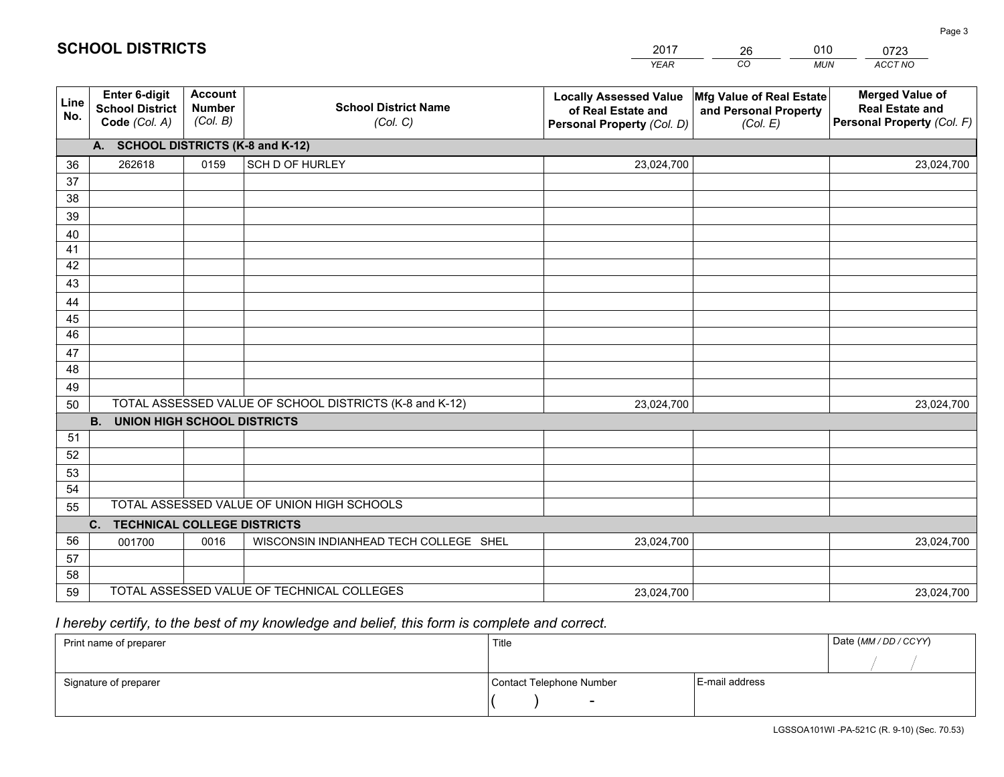|             |                                                          |                                             |                                                         | <b>YEAR</b>                                                                       | CO<br><b>MUN</b>                                              | ACCT NO                                                                        |
|-------------|----------------------------------------------------------|---------------------------------------------|---------------------------------------------------------|-----------------------------------------------------------------------------------|---------------------------------------------------------------|--------------------------------------------------------------------------------|
| Line<br>No. | Enter 6-digit<br><b>School District</b><br>Code (Col. A) | <b>Account</b><br><b>Number</b><br>(Col. B) | <b>School District Name</b><br>(Col. C)                 | <b>Locally Assessed Value</b><br>of Real Estate and<br>Personal Property (Col. D) | Mfg Value of Real Estate<br>and Personal Property<br>(Col. E) | <b>Merged Value of</b><br><b>Real Estate and</b><br>Personal Property (Col. F) |
|             | A. SCHOOL DISTRICTS (K-8 and K-12)                       |                                             |                                                         |                                                                                   |                                                               |                                                                                |
| 36          | 262618                                                   | 0159                                        | SCH D OF HURLEY                                         | 23,024,700                                                                        |                                                               | 23,024,700                                                                     |
| 37          |                                                          |                                             |                                                         |                                                                                   |                                                               |                                                                                |
| 38          |                                                          |                                             |                                                         |                                                                                   |                                                               |                                                                                |
| 39          |                                                          |                                             |                                                         |                                                                                   |                                                               |                                                                                |
| 40          |                                                          |                                             |                                                         |                                                                                   |                                                               |                                                                                |
| 41          |                                                          |                                             |                                                         |                                                                                   |                                                               |                                                                                |
| 42          |                                                          |                                             |                                                         |                                                                                   |                                                               |                                                                                |
| 43          |                                                          |                                             |                                                         |                                                                                   |                                                               |                                                                                |
| 44          |                                                          |                                             |                                                         |                                                                                   |                                                               |                                                                                |
| 45<br>46    |                                                          |                                             |                                                         |                                                                                   |                                                               |                                                                                |
|             |                                                          |                                             |                                                         |                                                                                   |                                                               |                                                                                |
| 47<br>48    |                                                          |                                             |                                                         |                                                                                   |                                                               |                                                                                |
| 49          |                                                          |                                             |                                                         |                                                                                   |                                                               |                                                                                |
| 50          |                                                          |                                             | TOTAL ASSESSED VALUE OF SCHOOL DISTRICTS (K-8 and K-12) | 23,024,700                                                                        |                                                               | 23,024,700                                                                     |
|             | <b>B.</b><br><b>UNION HIGH SCHOOL DISTRICTS</b>          |                                             |                                                         |                                                                                   |                                                               |                                                                                |
| 51          |                                                          |                                             |                                                         |                                                                                   |                                                               |                                                                                |
| 52          |                                                          |                                             |                                                         |                                                                                   |                                                               |                                                                                |
| 53          |                                                          |                                             |                                                         |                                                                                   |                                                               |                                                                                |
| 54          |                                                          |                                             |                                                         |                                                                                   |                                                               |                                                                                |
| 55          |                                                          |                                             | TOTAL ASSESSED VALUE OF UNION HIGH SCHOOLS              |                                                                                   |                                                               |                                                                                |
|             | C. TECHNICAL COLLEGE DISTRICTS                           |                                             |                                                         |                                                                                   |                                                               |                                                                                |
| 56          | 001700                                                   | 0016                                        | WISCONSIN INDIANHEAD TECH COLLEGE SHEL                  | 23,024,700                                                                        |                                                               | 23,024,700                                                                     |
| 57          |                                                          |                                             |                                                         |                                                                                   |                                                               |                                                                                |
| 58          |                                                          |                                             |                                                         |                                                                                   |                                                               |                                                                                |
| 59          |                                                          |                                             | TOTAL ASSESSED VALUE OF TECHNICAL COLLEGES              | 23,024,700                                                                        |                                                               | 23,024,700                                                                     |

26

010

## *I hereby certify, to the best of my knowledge and belief, this form is complete and correct.*

**SCHOOL DISTRICTS**

| Print name of preparer | Title                    |                | Date (MM / DD / CCYY) |
|------------------------|--------------------------|----------------|-----------------------|
|                        |                          |                |                       |
| Signature of preparer  | Contact Telephone Number | E-mail address |                       |
|                        | $\sim$                   |                |                       |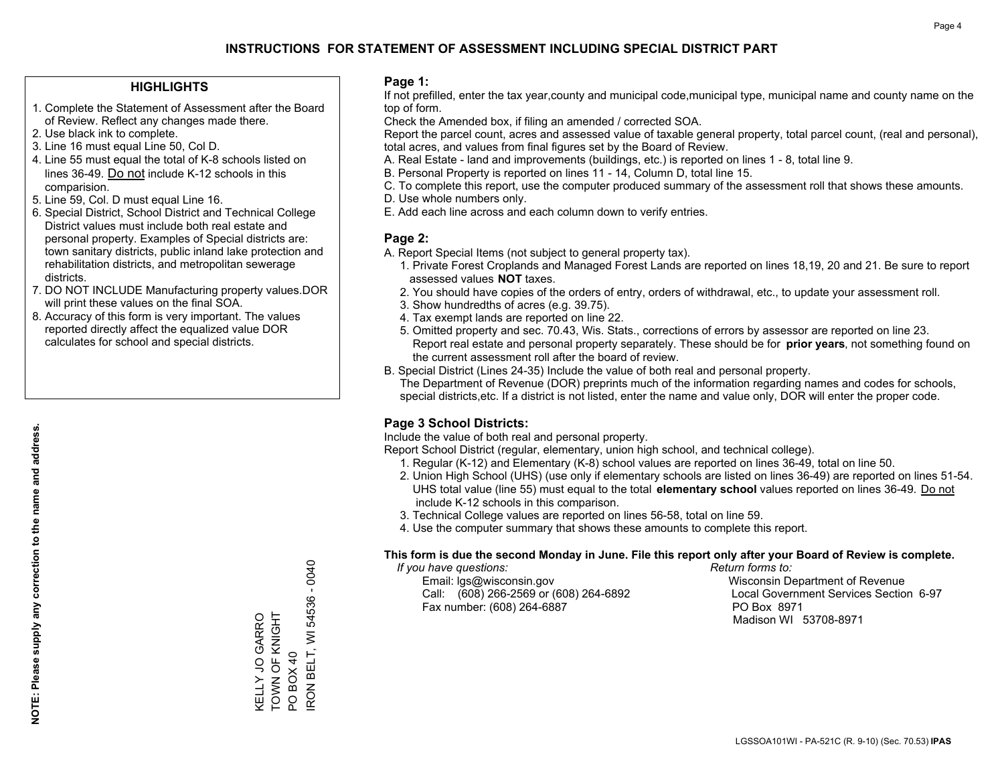#### **HIGHLIGHTS**

- 1. Complete the Statement of Assessment after the Board of Review. Reflect any changes made there.
- 2. Use black ink to complete.
- 3. Line 16 must equal Line 50, Col D.
- 4. Line 55 must equal the total of K-8 schools listed on lines 36-49. Do not include K-12 schools in this comparision.
- 5. Line 59, Col. D must equal Line 16.
- 6. Special District, School District and Technical College District values must include both real estate and personal property. Examples of Special districts are: town sanitary districts, public inland lake protection and rehabilitation districts, and metropolitan sewerage districts.
- 7. DO NOT INCLUDE Manufacturing property values.DOR will print these values on the final SOA.
- 8. Accuracy of this form is very important. The values reported directly affect the equalized value DOR calculates for school and special districts.

#### **Page 1:**

 If not prefilled, enter the tax year,county and municipal code,municipal type, municipal name and county name on the top of form.

Check the Amended box, if filing an amended / corrected SOA.

 Report the parcel count, acres and assessed value of taxable general property, total parcel count, (real and personal), total acres, and values from final figures set by the Board of Review.

- A. Real Estate land and improvements (buildings, etc.) is reported on lines 1 8, total line 9.
- B. Personal Property is reported on lines 11 14, Column D, total line 15.
- C. To complete this report, use the computer produced summary of the assessment roll that shows these amounts.
- D. Use whole numbers only.
- E. Add each line across and each column down to verify entries.

### **Page 2:**

- A. Report Special Items (not subject to general property tax).
- 1. Private Forest Croplands and Managed Forest Lands are reported on lines 18,19, 20 and 21. Be sure to report assessed values **NOT** taxes.
- 2. You should have copies of the orders of entry, orders of withdrawal, etc., to update your assessment roll.
	- 3. Show hundredths of acres (e.g. 39.75).
- 4. Tax exempt lands are reported on line 22.
- 5. Omitted property and sec. 70.43, Wis. Stats., corrections of errors by assessor are reported on line 23. Report real estate and personal property separately. These should be for **prior years**, not something found on the current assessment roll after the board of review.
- B. Special District (Lines 24-35) Include the value of both real and personal property.

 The Department of Revenue (DOR) preprints much of the information regarding names and codes for schools, special districts,etc. If a district is not listed, enter the name and value only, DOR will enter the proper code.

### **Page 3 School Districts:**

Include the value of both real and personal property.

Report School District (regular, elementary, union high school, and technical college).

- 1. Regular (K-12) and Elementary (K-8) school values are reported on lines 36-49, total on line 50.
- 2. Union High School (UHS) (use only if elementary schools are listed on lines 36-49) are reported on lines 51-54. UHS total value (line 55) must equal to the total **elementary school** values reported on lines 36-49. Do notinclude K-12 schools in this comparison.
- 3. Technical College values are reported on lines 56-58, total on line 59.
- 4. Use the computer summary that shows these amounts to complete this report.

#### **This form is due the second Monday in June. File this report only after your Board of Review is complete.**

 *If you have questions: Return forms to:*

 Email: lgs@wisconsin.gov Wisconsin Department of RevenueCall:  $(608)$  266-2569 or  $(608)$  264-6892 Fax number: (608) 264-6887 PO Box 8971

Local Government Services Section 6-97 Madison WI 53708-8971

RON BELT, WI 54536 - 0040 IRON BELT, WI 54536 - 0040 TOWN OF KNIGHT KELLY JO GARRO<br>TOWN OF KNIGHT KELLY JO GARRO POBOX40 PO BOX 40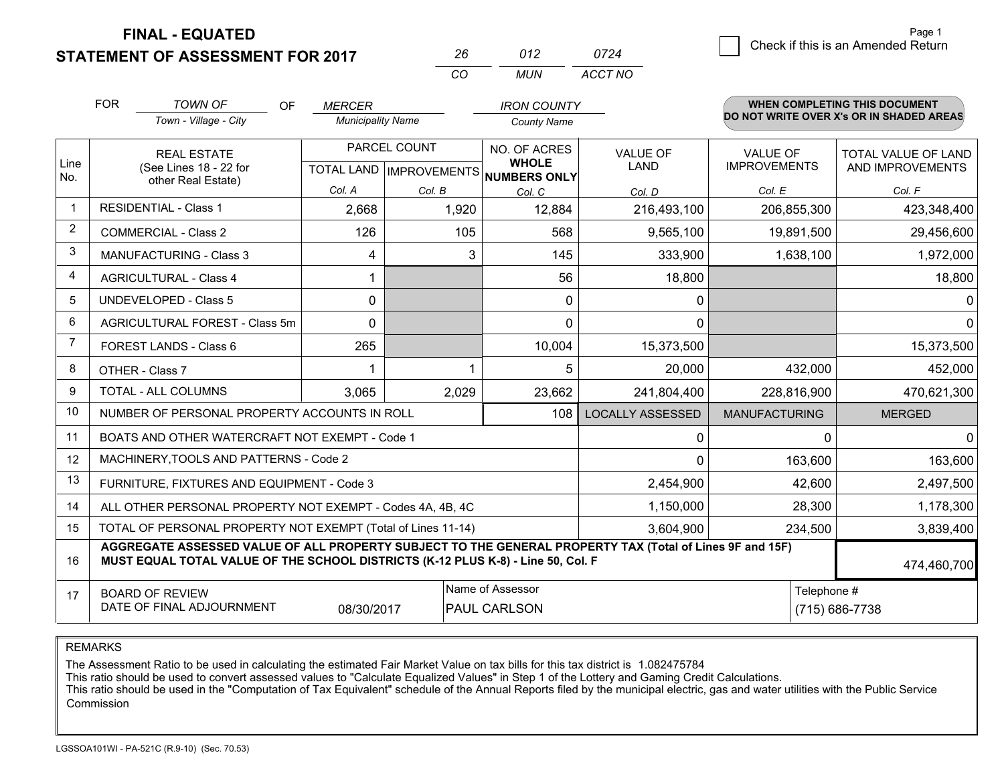**STATEMENT OF ASSESSMENT FOR 2017** 

| 26 | 012  | 0724    |
|----|------|---------|
| ΓO | MUN. | ACCT NO |

|              | <b>FOR</b>                                                                        | <b>TOWN OF</b><br>OF                                                                                                                                                                         | <b>MERCER</b>            |              | <b>IRON COUNTY</b>                                   |                         |                      | <b>WHEN COMPLETING THIS DOCUMENT</b><br>DO NOT WRITE OVER X's OR IN SHADED AREAS |
|--------------|-----------------------------------------------------------------------------------|----------------------------------------------------------------------------------------------------------------------------------------------------------------------------------------------|--------------------------|--------------|------------------------------------------------------|-------------------------|----------------------|----------------------------------------------------------------------------------|
|              |                                                                                   | Town - Village - City                                                                                                                                                                        | <b>Municipality Name</b> |              | <b>County Name</b>                                   |                         |                      |                                                                                  |
|              |                                                                                   | <b>REAL ESTATE</b>                                                                                                                                                                           |                          | PARCEL COUNT | NO. OF ACRES                                         | <b>VALUE OF</b>         | <b>VALUE OF</b>      | TOTAL VALUE OF LAND                                                              |
| Line<br>No.  | other Real Estate)                                                                | (See Lines 18 - 22 for                                                                                                                                                                       |                          |              | <b>WHOLE</b><br>TOTAL LAND IMPROVEMENTS NUMBERS ONLY | LAND                    | <b>IMPROVEMENTS</b>  | AND IMPROVEMENTS                                                                 |
|              |                                                                                   |                                                                                                                                                                                              | Col. A                   | Col. B       | Col. C                                               | Col. D                  | Col. E               | Col. F                                                                           |
| $\mathbf{1}$ |                                                                                   | <b>RESIDENTIAL - Class 1</b>                                                                                                                                                                 | 2,668                    | 1,920        | 12,884                                               | 216,493,100             | 206,855,300          | 423,348,400                                                                      |
| 2            |                                                                                   | <b>COMMERCIAL - Class 2</b>                                                                                                                                                                  | 126                      | 105          | 568                                                  | 9,565,100               | 19,891,500           | 29,456,600                                                                       |
| 3            |                                                                                   | <b>MANUFACTURING - Class 3</b>                                                                                                                                                               | 4                        | 3            | 145                                                  | 333,900                 | 1,638,100            | 1,972,000                                                                        |
| 4            |                                                                                   | <b>AGRICULTURAL - Class 4</b>                                                                                                                                                                |                          |              | 56                                                   | 18,800                  |                      | 18,800                                                                           |
| 5            |                                                                                   | <b>UNDEVELOPED - Class 5</b>                                                                                                                                                                 | 0                        |              | $\Omega$                                             | 0                       |                      | 0 <sup>1</sup>                                                                   |
| 6            |                                                                                   | AGRICULTURAL FOREST - Class 5m                                                                                                                                                               | $\Omega$                 |              | $\Omega$                                             | $\mathbf{0}$            |                      | 0                                                                                |
| 7            |                                                                                   | FOREST LANDS - Class 6                                                                                                                                                                       | 265                      |              | 10,004                                               | 15,373,500              |                      | 15,373,500                                                                       |
| 8            |                                                                                   | OTHER - Class 7                                                                                                                                                                              |                          |              | 5                                                    | 20,000                  | 432,000              | 452,000                                                                          |
| 9            |                                                                                   | TOTAL - ALL COLUMNS                                                                                                                                                                          | 3,065                    | 2,029        | 23,662                                               | 241,804,400             | 228,816,900          | 470,621,300                                                                      |
| 10           |                                                                                   | NUMBER OF PERSONAL PROPERTY ACCOUNTS IN ROLL                                                                                                                                                 |                          |              | 108                                                  | <b>LOCALLY ASSESSED</b> | <b>MANUFACTURING</b> | <b>MERGED</b>                                                                    |
| 11           |                                                                                   | BOATS AND OTHER WATERCRAFT NOT EXEMPT - Code 1                                                                                                                                               |                          |              |                                                      | 0                       | $\Omega$             | $\Omega$                                                                         |
| 12           |                                                                                   | MACHINERY, TOOLS AND PATTERNS - Code 2                                                                                                                                                       |                          |              |                                                      | 0                       | 163,600              | 163,600                                                                          |
| 13           |                                                                                   | FURNITURE, FIXTURES AND EQUIPMENT - Code 3                                                                                                                                                   |                          |              |                                                      | 2,454,900               | 42,600               | 2,497,500                                                                        |
| 14           |                                                                                   | ALL OTHER PERSONAL PROPERTY NOT EXEMPT - Codes 4A, 4B, 4C                                                                                                                                    |                          |              |                                                      | 1,150,000               | 28,300               | 1,178,300                                                                        |
| 15           | TOTAL OF PERSONAL PROPERTY NOT EXEMPT (Total of Lines 11-14)<br>3,604,900         |                                                                                                                                                                                              |                          |              |                                                      |                         | 234,500              | 3,839,400                                                                        |
| 16           |                                                                                   | AGGREGATE ASSESSED VALUE OF ALL PROPERTY SUBJECT TO THE GENERAL PROPERTY TAX (Total of Lines 9F and 15F)<br>MUST EQUAL TOTAL VALUE OF THE SCHOOL DISTRICTS (K-12 PLUS K-8) - Line 50, Col. F |                          |              |                                                      |                         |                      | 474,460,700                                                                      |
| 17           |                                                                                   |                                                                                                                                                                                              |                          |              | Name of Assessor                                     |                         | Telephone #          |                                                                                  |
|              | <b>BOARD OF REVIEW</b><br>DATE OF FINAL ADJOURNMENT<br>08/30/2017<br>PAUL CARLSON |                                                                                                                                                                                              |                          |              |                                                      |                         | (715) 686-7738       |                                                                                  |

REMARKS

The Assessment Ratio to be used in calculating the estimated Fair Market Value on tax bills for this tax district is 1.082475784

This ratio should be used to convert assessed values to "Calculate Equalized Values" in Step 1 of the Lottery and Gaming Credit Calculations.<br>This ratio should be used in the "Computation of Tax Equivalent" schedule of the Commission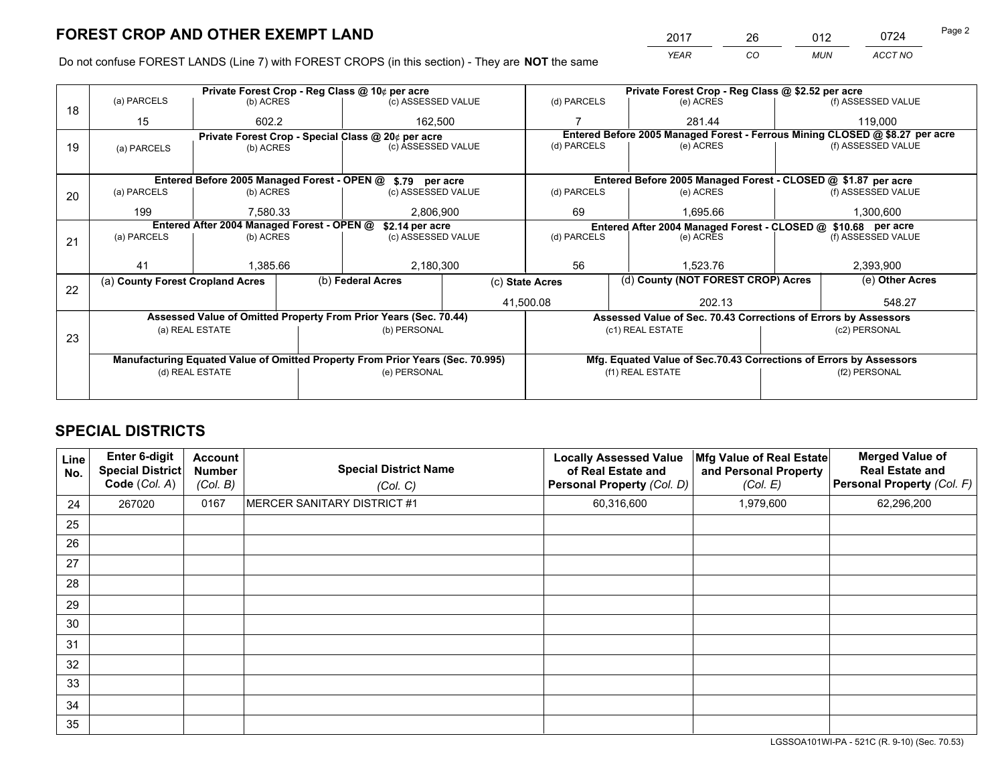*YEAR CO MUN ACCT NO* 2017 26 012 0724

Do not confuse FOREST LANDS (Line 7) with FOREST CROPS (in this section) - They are **NOT** the same

|                                                               |                                                                                |                 |  | Private Forest Crop - Reg Class @ 10¢ per acre                   |                 | Private Forest Crop - Reg Class @ \$2.52 per acre             |                                                                              |                                                                 |                    |                    |
|---------------------------------------------------------------|--------------------------------------------------------------------------------|-----------------|--|------------------------------------------------------------------|-----------------|---------------------------------------------------------------|------------------------------------------------------------------------------|-----------------------------------------------------------------|--------------------|--------------------|
| 18                                                            | (a) PARCELS                                                                    | (b) ACRES       |  | (c) ASSESSED VALUE                                               |                 | (d) PARCELS                                                   |                                                                              | (e) ACRES                                                       |                    | (f) ASSESSED VALUE |
|                                                               | 15                                                                             | 602.2           |  |                                                                  | 162,500         |                                                               |                                                                              | 281.44                                                          |                    | 119,000            |
|                                                               |                                                                                |                 |  | Private Forest Crop - Special Class @ 20¢ per acre               |                 |                                                               | Entered Before 2005 Managed Forest - Ferrous Mining CLOSED @ \$8.27 per acre |                                                                 |                    |                    |
| 19                                                            | (a) PARCELS                                                                    | (b) ACRES       |  | (c) ASSESSED VALUE                                               |                 | (d) PARCELS                                                   |                                                                              | (e) ACRES                                                       |                    | (f) ASSESSED VALUE |
|                                                               |                                                                                |                 |  |                                                                  |                 |                                                               |                                                                              |                                                                 |                    |                    |
|                                                               |                                                                                |                 |  | Entered Before 2005 Managed Forest - OPEN @ \$.79 per acre       |                 |                                                               |                                                                              | Entered Before 2005 Managed Forest - CLOSED @ \$1.87 per acre   |                    |                    |
| 20                                                            | (a) PARCELS                                                                    | (b) ACRES       |  | (c) ASSESSED VALUE                                               |                 | (d) PARCELS                                                   |                                                                              | (e) ACRES                                                       |                    | (f) ASSESSED VALUE |
|                                                               | 199                                                                            | 7,580.33        |  | 2,806,900                                                        |                 | 69                                                            |                                                                              | 1,695.66                                                        |                    | 1,300,600          |
| Entered After 2004 Managed Forest - OPEN @<br>\$2.14 per acre |                                                                                |                 |  |                                                                  |                 | Entered After 2004 Managed Forest - CLOSED @ \$10.68 per acre |                                                                              |                                                                 |                    |                    |
| 21                                                            | (a) PARCELS                                                                    | (b) ACRES       |  | (c) ASSESSED VALUE                                               |                 | (d) PARCELS<br>(e) ACRES                                      |                                                                              |                                                                 | (f) ASSESSED VALUE |                    |
|                                                               |                                                                                |                 |  |                                                                  |                 |                                                               |                                                                              |                                                                 |                    |                    |
|                                                               | 41                                                                             | 1,385.66        |  | 2,180,300                                                        |                 | 56                                                            |                                                                              | 1.523.76                                                        |                    | 2,393,900          |
| 22                                                            | (a) County Forest Cropland Acres                                               |                 |  | (b) Federal Acres                                                | (c) State Acres |                                                               |                                                                              | (d) County (NOT FOREST CROP) Acres                              |                    | (e) Other Acres    |
|                                                               |                                                                                |                 |  |                                                                  |                 | 41,500.08                                                     |                                                                              | 202.13                                                          |                    | 548.27             |
|                                                               |                                                                                |                 |  | Assessed Value of Omitted Property From Prior Years (Sec. 70.44) |                 |                                                               |                                                                              | Assessed Value of Sec. 70.43 Corrections of Errors by Assessors |                    |                    |
|                                                               |                                                                                | (a) REAL ESTATE |  | (b) PERSONAL                                                     |                 |                                                               |                                                                              | (c1) REAL ESTATE                                                |                    | (c2) PERSONAL      |
| 23                                                            |                                                                                |                 |  |                                                                  |                 |                                                               |                                                                              |                                                                 |                    |                    |
|                                                               | Manufacturing Equated Value of Omitted Property From Prior Years (Sec. 70.995) |                 |  |                                                                  |                 |                                                               | Mfg. Equated Value of Sec.70.43 Corrections of Errors by Assessors           |                                                                 |                    |                    |
|                                                               |                                                                                | (d) REAL ESTATE |  | (e) PERSONAL                                                     |                 | (f1) REAL ESTATE                                              |                                                                              |                                                                 | (f2) PERSONAL      |                    |
|                                                               |                                                                                |                 |  |                                                                  |                 |                                                               |                                                                              |                                                                 |                    |                    |

## **SPECIAL DISTRICTS**

| <b>Line</b><br>No. | <b>Enter 6-digit</b><br>Special District<br>Code (Col. A) | <b>Account</b><br><b>Number</b><br>(Col. B) | <b>Special District Name</b><br>(Col. C) | <b>Locally Assessed Value</b><br>of Real Estate and<br><b>Personal Property (Col. D)</b> | Mfg Value of Real Estate<br>and Personal Property<br>(Col. E) | <b>Merged Value of</b><br><b>Real Estate and</b><br>Personal Property (Col. F) |
|--------------------|-----------------------------------------------------------|---------------------------------------------|------------------------------------------|------------------------------------------------------------------------------------------|---------------------------------------------------------------|--------------------------------------------------------------------------------|
| 24                 | 267020                                                    | 0167                                        | MERCER SANITARY DISTRICT #1              | 60,316,600                                                                               | 1,979,600                                                     | 62,296,200                                                                     |
| 25                 |                                                           |                                             |                                          |                                                                                          |                                                               |                                                                                |
| 26                 |                                                           |                                             |                                          |                                                                                          |                                                               |                                                                                |
| 27                 |                                                           |                                             |                                          |                                                                                          |                                                               |                                                                                |
| 28                 |                                                           |                                             |                                          |                                                                                          |                                                               |                                                                                |
| 29                 |                                                           |                                             |                                          |                                                                                          |                                                               |                                                                                |
| 30                 |                                                           |                                             |                                          |                                                                                          |                                                               |                                                                                |
| 31                 |                                                           |                                             |                                          |                                                                                          |                                                               |                                                                                |
| 32                 |                                                           |                                             |                                          |                                                                                          |                                                               |                                                                                |
| 33                 |                                                           |                                             |                                          |                                                                                          |                                                               |                                                                                |
| 34                 |                                                           |                                             |                                          |                                                                                          |                                                               |                                                                                |
| 35                 |                                                           |                                             |                                          |                                                                                          |                                                               |                                                                                |

LGSSOA101WI-PA - 521C (R. 9-10) (Sec. 70.53)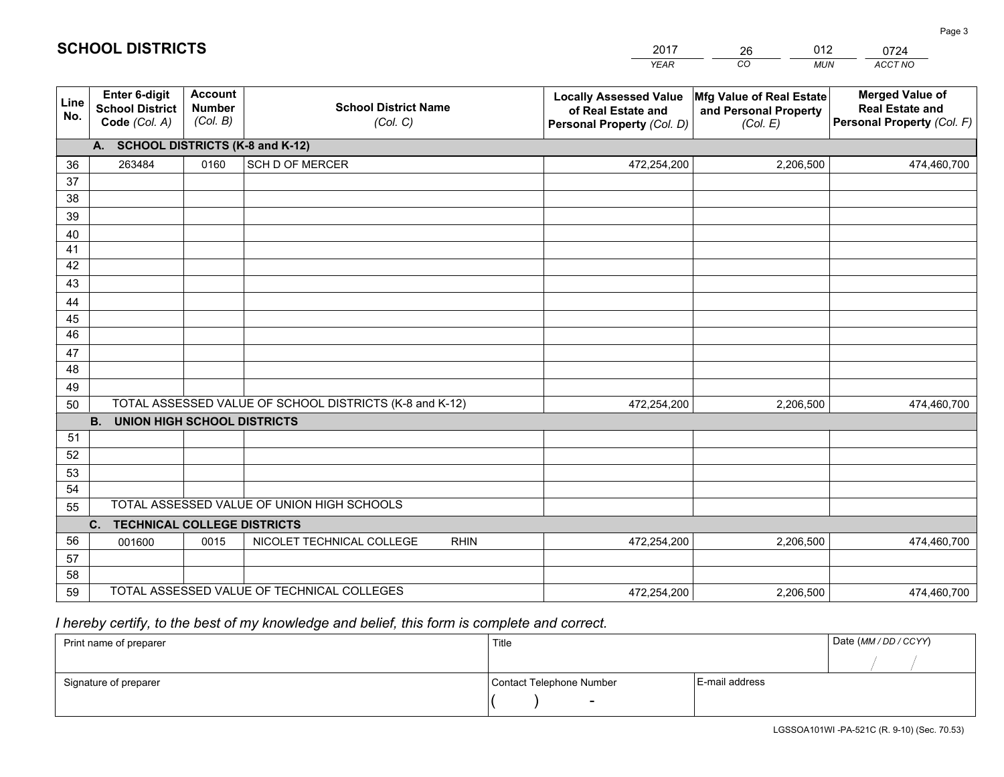|             |                                                                 |                                             |                                                         | <b>YEAR</b>                                                                       | CO<br><b>MUN</b>                                              | <b>ACCT NO</b>                                                                 |
|-------------|-----------------------------------------------------------------|---------------------------------------------|---------------------------------------------------------|-----------------------------------------------------------------------------------|---------------------------------------------------------------|--------------------------------------------------------------------------------|
| Line<br>No. | <b>Enter 6-digit</b><br><b>School District</b><br>Code (Col. A) | <b>Account</b><br><b>Number</b><br>(Col. B) | <b>School District Name</b><br>(Col. C)                 | <b>Locally Assessed Value</b><br>of Real Estate and<br>Personal Property (Col. D) | Mfg Value of Real Estate<br>and Personal Property<br>(Col. E) | <b>Merged Value of</b><br><b>Real Estate and</b><br>Personal Property (Col. F) |
|             | A. SCHOOL DISTRICTS (K-8 and K-12)                              |                                             |                                                         |                                                                                   |                                                               |                                                                                |
| 36          | 263484                                                          | 0160                                        | SCH D OF MERCER                                         | 472,254,200                                                                       | 2,206,500                                                     | 474,460,700                                                                    |
| 37          |                                                                 |                                             |                                                         |                                                                                   |                                                               |                                                                                |
| 38          |                                                                 |                                             |                                                         |                                                                                   |                                                               |                                                                                |
| 39          |                                                                 |                                             |                                                         |                                                                                   |                                                               |                                                                                |
| 40          |                                                                 |                                             |                                                         |                                                                                   |                                                               |                                                                                |
| 41          |                                                                 |                                             |                                                         |                                                                                   |                                                               |                                                                                |
| 42          |                                                                 |                                             |                                                         |                                                                                   |                                                               |                                                                                |
| 43          |                                                                 |                                             |                                                         |                                                                                   |                                                               |                                                                                |
| 44<br>45    |                                                                 |                                             |                                                         |                                                                                   |                                                               |                                                                                |
| 46          |                                                                 |                                             |                                                         |                                                                                   |                                                               |                                                                                |
| 47          |                                                                 |                                             |                                                         |                                                                                   |                                                               |                                                                                |
| 48          |                                                                 |                                             |                                                         |                                                                                   |                                                               |                                                                                |
| 49          |                                                                 |                                             |                                                         |                                                                                   |                                                               |                                                                                |
| 50          |                                                                 |                                             | TOTAL ASSESSED VALUE OF SCHOOL DISTRICTS (K-8 and K-12) | 472,254,200                                                                       | 2,206,500                                                     | 474,460,700                                                                    |
|             | <b>B.</b><br><b>UNION HIGH SCHOOL DISTRICTS</b>                 |                                             |                                                         |                                                                                   |                                                               |                                                                                |
| 51          |                                                                 |                                             |                                                         |                                                                                   |                                                               |                                                                                |
| 52          |                                                                 |                                             |                                                         |                                                                                   |                                                               |                                                                                |
| 53          |                                                                 |                                             |                                                         |                                                                                   |                                                               |                                                                                |
| 54          |                                                                 |                                             |                                                         |                                                                                   |                                                               |                                                                                |
| 55          |                                                                 |                                             | TOTAL ASSESSED VALUE OF UNION HIGH SCHOOLS              |                                                                                   |                                                               |                                                                                |
|             | C.<br><b>TECHNICAL COLLEGE DISTRICTS</b>                        |                                             |                                                         |                                                                                   |                                                               |                                                                                |
| 56          | 001600                                                          | 0015                                        | NICOLET TECHNICAL COLLEGE<br><b>RHIN</b>                | 472,254,200                                                                       | 2,206,500                                                     | 474,460,700                                                                    |
| 57          |                                                                 |                                             |                                                         |                                                                                   |                                                               |                                                                                |
| 58          |                                                                 |                                             | TOTAL ASSESSED VALUE OF TECHNICAL COLLEGES              |                                                                                   |                                                               |                                                                                |
| 59          |                                                                 |                                             |                                                         | 472,254,200                                                                       | 2,206,500                                                     | 474,460,700                                                                    |

26

012

## *I hereby certify, to the best of my knowledge and belief, this form is complete and correct.*

**SCHOOL DISTRICTS**

| Print name of preparer | Title                    |                | Date (MM / DD / CCYY) |
|------------------------|--------------------------|----------------|-----------------------|
|                        |                          |                |                       |
| Signature of preparer  | Contact Telephone Number | E-mail address |                       |
|                        | $\sim$                   |                |                       |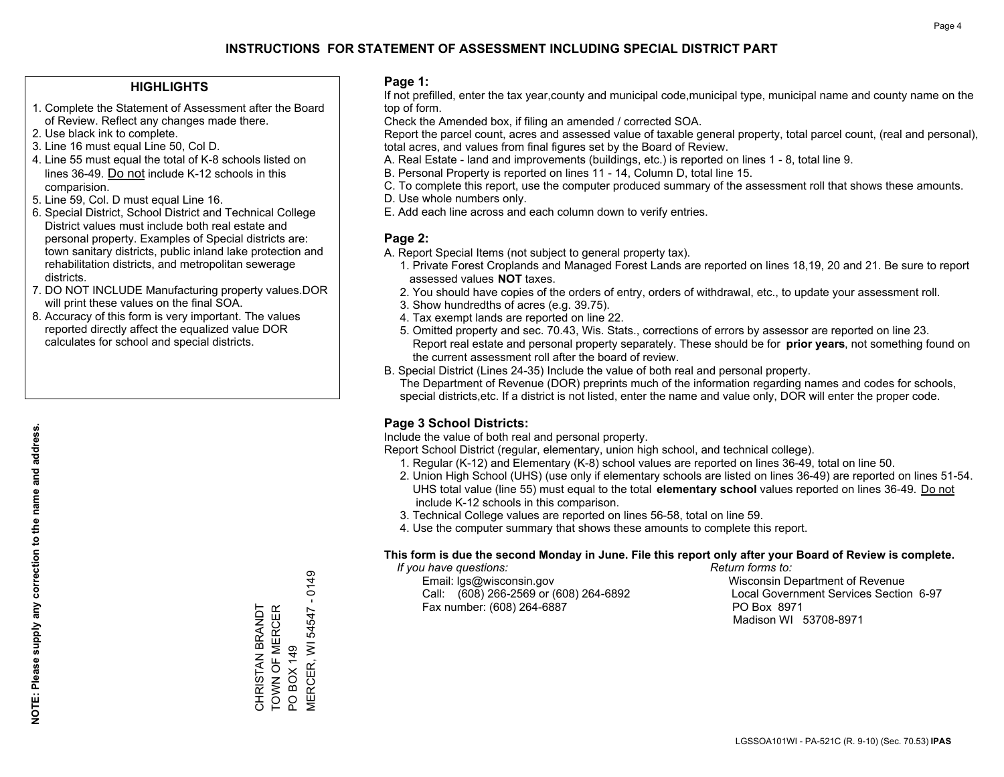#### **HIGHLIGHTS**

- 1. Complete the Statement of Assessment after the Board of Review. Reflect any changes made there.
- 2. Use black ink to complete.
- 3. Line 16 must equal Line 50, Col D.
- 4. Line 55 must equal the total of K-8 schools listed on lines 36-49. Do not include K-12 schools in this comparision.
- 5. Line 59, Col. D must equal Line 16.
- 6. Special District, School District and Technical College District values must include both real estate and personal property. Examples of Special districts are: town sanitary districts, public inland lake protection and rehabilitation districts, and metropolitan sewerage districts.
- 7. DO NOT INCLUDE Manufacturing property values.DOR will print these values on the final SOA.

CHRISTAN BRANDT TOWN OF MERCER

CHRISTAN BRANDT<br>TOWN OF MERCER

PO BOX 149

PO BOX 149

MERCER, WI 54547 - 0149

VIERCER, WI 54547 - 0149

 8. Accuracy of this form is very important. The values reported directly affect the equalized value DOR calculates for school and special districts.

#### **Page 1:**

 If not prefilled, enter the tax year,county and municipal code,municipal type, municipal name and county name on the top of form.

Check the Amended box, if filing an amended / corrected SOA.

 Report the parcel count, acres and assessed value of taxable general property, total parcel count, (real and personal), total acres, and values from final figures set by the Board of Review.

- A. Real Estate land and improvements (buildings, etc.) is reported on lines 1 8, total line 9.
- B. Personal Property is reported on lines 11 14, Column D, total line 15.
- C. To complete this report, use the computer produced summary of the assessment roll that shows these amounts.
- D. Use whole numbers only.
- E. Add each line across and each column down to verify entries.

#### **Page 2:**

- A. Report Special Items (not subject to general property tax).
- 1. Private Forest Croplands and Managed Forest Lands are reported on lines 18,19, 20 and 21. Be sure to report assessed values **NOT** taxes.
- 2. You should have copies of the orders of entry, orders of withdrawal, etc., to update your assessment roll.
	- 3. Show hundredths of acres (e.g. 39.75).
- 4. Tax exempt lands are reported on line 22.
- 5. Omitted property and sec. 70.43, Wis. Stats., corrections of errors by assessor are reported on line 23. Report real estate and personal property separately. These should be for **prior years**, not something found on the current assessment roll after the board of review.
- B. Special District (Lines 24-35) Include the value of both real and personal property.
- The Department of Revenue (DOR) preprints much of the information regarding names and codes for schools, special districts,etc. If a district is not listed, enter the name and value only, DOR will enter the proper code.

### **Page 3 School Districts:**

Include the value of both real and personal property.

Report School District (regular, elementary, union high school, and technical college).

- 1. Regular (K-12) and Elementary (K-8) school values are reported on lines 36-49, total on line 50.
- 2. Union High School (UHS) (use only if elementary schools are listed on lines 36-49) are reported on lines 51-54. UHS total value (line 55) must equal to the total **elementary school** values reported on lines 36-49. Do notinclude K-12 schools in this comparison.
- 3. Technical College values are reported on lines 56-58, total on line 59.
- 4. Use the computer summary that shows these amounts to complete this report.

#### **This form is due the second Monday in June. File this report only after your Board of Review is complete.**

 *If you have questions: Return forms to:*

 Email: lgs@wisconsin.gov Wisconsin Department of RevenueCall:  $(608)$  266-2569 or  $(608)$  264-6892 Fax number: (608) 264-6887 PO Box 8971

Local Government Services Section 6-97 Madison WI 53708-8971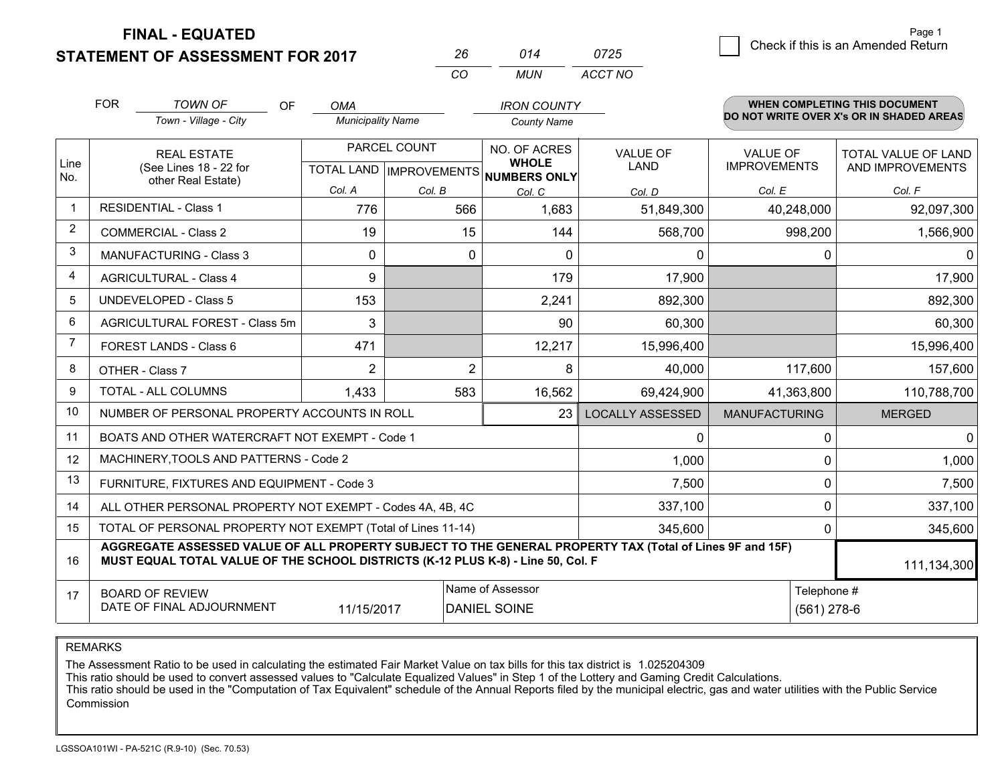**STATEMENT OF ASSESSMENT FOR 2017** 

|   | Page 1                             |
|---|------------------------------------|
| 5 | Check if this is an Amended Return |
|   |                                    |

Page 1

|                | <b>FOR</b> | <b>TOWN OF</b><br>OF                                                                                                                                                                         | <b>OMA</b>               |              | <b>IRON COUNTY</b>                                       |                         |                              | WHEN COMPLETING THIS DOCUMENT            |
|----------------|------------|----------------------------------------------------------------------------------------------------------------------------------------------------------------------------------------------|--------------------------|--------------|----------------------------------------------------------|-------------------------|------------------------------|------------------------------------------|
|                |            | Town - Village - City                                                                                                                                                                        | <b>Municipality Name</b> |              | <b>County Name</b>                                       |                         |                              | DO NOT WRITE OVER X's OR IN SHADED AREAS |
|                |            | <b>REAL ESTATE</b>                                                                                                                                                                           |                          | PARCEL COUNT | NO. OF ACRES                                             | <b>VALUE OF</b>         | <b>VALUE OF</b>              | <b>TOTAL VALUE OF LAND</b>               |
| Line<br>No.    |            | (See Lines 18 - 22 for<br>other Real Estate)                                                                                                                                                 |                          |              | <b>WHOLE</b><br>TOTAL LAND   IMPROVEMENTS   NUMBERS ONLY | <b>LAND</b>             | <b>IMPROVEMENTS</b>          | AND IMPROVEMENTS                         |
|                |            |                                                                                                                                                                                              | Col. A                   | Col. B       | Col. C                                                   | Col. D                  | Col. E                       | Col. F                                   |
|                |            | <b>RESIDENTIAL - Class 1</b>                                                                                                                                                                 | 776                      | 566          | 1,683                                                    | 51,849,300              | 40,248,000                   | 92,097,300                               |
| 2              |            | <b>COMMERCIAL - Class 2</b>                                                                                                                                                                  | 19                       | 15           | 144                                                      | 568,700                 | 998,200                      | 1,566,900                                |
| 3              |            | <b>MANUFACTURING - Class 3</b>                                                                                                                                                               | $\Omega$                 | $\Omega$     | $\Omega$                                                 | 0                       | 0                            | 0                                        |
| 4              |            | <b>AGRICULTURAL - Class 4</b>                                                                                                                                                                | 9                        |              | 179                                                      | 17,900                  |                              | 17,900                                   |
| 5              |            | <b>UNDEVELOPED - Class 5</b>                                                                                                                                                                 | 153                      |              | 2,241                                                    | 892,300                 |                              | 892,300                                  |
| 6              |            | AGRICULTURAL FOREST - Class 5m                                                                                                                                                               | 3                        |              | 90                                                       | 60,300                  |                              | 60,300                                   |
| $\overline{7}$ |            | FOREST LANDS - Class 6                                                                                                                                                                       | 471                      |              | 12,217                                                   | 15,996,400              |                              | 15,996,400                               |
| 8              |            | OTHER - Class 7                                                                                                                                                                              | $\overline{2}$           |              | $\overline{2}$<br>8                                      | 40,000                  | 117,600                      | 157,600                                  |
| 9              |            | TOTAL - ALL COLUMNS                                                                                                                                                                          | 1,433                    | 583          | 16,562                                                   | 69,424,900              | 41,363,800                   | 110,788,700                              |
| 10             |            | NUMBER OF PERSONAL PROPERTY ACCOUNTS IN ROLL                                                                                                                                                 |                          |              | 23                                                       | <b>LOCALLY ASSESSED</b> | <b>MANUFACTURING</b>         | <b>MERGED</b>                            |
| 11             |            | BOATS AND OTHER WATERCRAFT NOT EXEMPT - Code 1                                                                                                                                               |                          |              |                                                          | 0                       | 0                            | $\mathbf 0$                              |
| 12             |            | MACHINERY, TOOLS AND PATTERNS - Code 2                                                                                                                                                       |                          |              |                                                          | 1,000                   | 0                            | 1,000                                    |
| 13             |            | FURNITURE, FIXTURES AND EQUIPMENT - Code 3                                                                                                                                                   |                          |              |                                                          | 7,500                   | 0                            | 7,500                                    |
| 14             |            | ALL OTHER PERSONAL PROPERTY NOT EXEMPT - Codes 4A, 4B, 4C                                                                                                                                    |                          |              | 337,100                                                  | 0                       | 337,100                      |                                          |
| 15             |            | TOTAL OF PERSONAL PROPERTY NOT EXEMPT (Total of Lines 11-14)                                                                                                                                 |                          |              | 345,600                                                  | 0                       | 345,600                      |                                          |
| 16             |            | AGGREGATE ASSESSED VALUE OF ALL PROPERTY SUBJECT TO THE GENERAL PROPERTY TAX (Total of Lines 9F and 15F)<br>MUST EQUAL TOTAL VALUE OF THE SCHOOL DISTRICTS (K-12 PLUS K-8) - Line 50, Col. F |                          |              |                                                          |                         |                              | 111,134,300                              |
| 17             |            | <b>BOARD OF REVIEW</b><br>DATE OF FINAL ADJOURNMENT                                                                                                                                          | 11/15/2017               |              | Name of Assessor<br><b>DANIEL SOINE</b>                  |                         | Telephone #<br>$(561)$ 278-6 |                                          |

*CO*

*MUN*

*ACCT NO0725*

*<sup>26</sup> <sup>014</sup>*

REMARKS

The Assessment Ratio to be used in calculating the estimated Fair Market Value on tax bills for this tax district is 1.025204309<br>This ratio should be used to convert assessed values to "Calculate Equalized Values" in Step Commission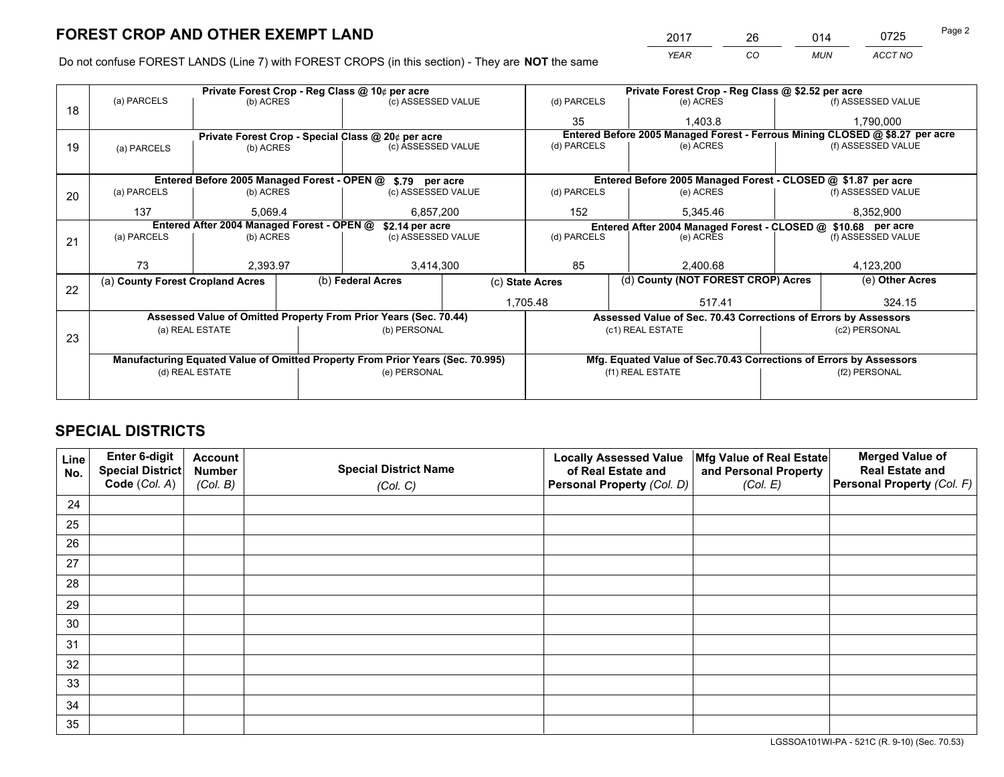*YEAR CO MUN ACCT NO* 2017 26 014 0725

Do not confuse FOREST LANDS (Line 7) with FOREST CROPS (in this section) - They are **NOT** the same

|    | Private Forest Crop - Reg Class @ 10¢ per acre                |                 |  |                                                                                |  | Private Forest Crop - Reg Class @ \$2.52 per acre             |                  |                                                               |                                                                 |                                                                                                                                                                                                                 |  |
|----|---------------------------------------------------------------|-----------------|--|--------------------------------------------------------------------------------|--|---------------------------------------------------------------|------------------|---------------------------------------------------------------|-----------------------------------------------------------------|-----------------------------------------------------------------------------------------------------------------------------------------------------------------------------------------------------------------|--|
| 18 | (a) PARCELS                                                   | (b) ACRES       |  | (c) ASSESSED VALUE                                                             |  | (d) PARCELS                                                   |                  | (e) ACRES                                                     |                                                                 | (f) ASSESSED VALUE                                                                                                                                                                                              |  |
|    |                                                               |                 |  |                                                                                |  | 35                                                            |                  | 1.403.8                                                       |                                                                 | 1,790,000                                                                                                                                                                                                       |  |
|    | Private Forest Crop - Special Class @ 20¢ per acre            |                 |  |                                                                                |  |                                                               |                  |                                                               |                                                                 |                                                                                                                                                                                                                 |  |
| 19 | (a) PARCELS                                                   | (b) ACRES       |  | (c) ASSESSED VALUE                                                             |  | (d) PARCELS                                                   |                  | (e) ACRES                                                     |                                                                 |                                                                                                                                                                                                                 |  |
|    |                                                               |                 |  |                                                                                |  |                                                               |                  |                                                               |                                                                 |                                                                                                                                                                                                                 |  |
|    | Entered Before 2005 Managed Forest - OPEN @ \$.79 per acre    |                 |  |                                                                                |  | Entered Before 2005 Managed Forest - CLOSED @ \$1.87 per acre |                  |                                                               |                                                                 |                                                                                                                                                                                                                 |  |
| 20 | (a) PARCELS                                                   | (b) ACRES       |  | (c) ASSESSED VALUE                                                             |  | (d) PARCELS                                                   |                  | (e) ACRES                                                     |                                                                 | (f) ASSESSED VALUE                                                                                                                                                                                              |  |
|    | 137                                                           | 5.069.4         |  | 6,857,200                                                                      |  | 152<br>5,345.46                                               |                  |                                                               | 8,352,900                                                       |                                                                                                                                                                                                                 |  |
|    | Entered After 2004 Managed Forest - OPEN @<br>\$2.14 per acre |                 |  |                                                                                |  |                                                               |                  | Entered After 2004 Managed Forest - CLOSED @ \$10.68 per acre |                                                                 |                                                                                                                                                                                                                 |  |
| 21 | (a) PARCELS                                                   | (b) ACRES       |  | (c) ASSESSED VALUE                                                             |  | (d) PARCELS                                                   |                  | (e) ACRES                                                     |                                                                 |                                                                                                                                                                                                                 |  |
|    |                                                               |                 |  |                                                                                |  |                                                               |                  |                                                               |                                                                 |                                                                                                                                                                                                                 |  |
|    | 73                                                            | 2,393.97        |  | 3,414,300                                                                      |  | 85                                                            |                  | 2,400.68                                                      |                                                                 | 4,123,200                                                                                                                                                                                                       |  |
|    | (a) County Forest Cropland Acres                              |                 |  | (b) Federal Acres                                                              |  | (c) State Acres                                               |                  | (d) County (NOT FOREST CROP) Acres                            |                                                                 | (e) Other Acres                                                                                                                                                                                                 |  |
| 22 |                                                               |                 |  |                                                                                |  | 1,705.48                                                      |                  | 517.41                                                        |                                                                 | 324.15                                                                                                                                                                                                          |  |
|    |                                                               |                 |  | Assessed Value of Omitted Property From Prior Years (Sec. 70.44)               |  |                                                               |                  |                                                               | Assessed Value of Sec. 70.43 Corrections of Errors by Assessors |                                                                                                                                                                                                                 |  |
|    |                                                               | (a) REAL ESTATE |  | (b) PERSONAL                                                                   |  |                                                               | (c1) REAL ESTATE |                                                               |                                                                 | (c2) PERSONAL                                                                                                                                                                                                   |  |
| 23 |                                                               |                 |  |                                                                                |  |                                                               |                  |                                                               |                                                                 | Entered Before 2005 Managed Forest - Ferrous Mining CLOSED @ \$8.27 per acre<br>(f) ASSESSED VALUE<br>(f) ASSESSED VALUE<br>Mfg. Equated Value of Sec.70.43 Corrections of Errors by Assessors<br>(f2) PERSONAL |  |
|    |                                                               |                 |  | Manufacturing Equated Value of Omitted Property From Prior Years (Sec. 70.995) |  |                                                               |                  |                                                               |                                                                 |                                                                                                                                                                                                                 |  |
|    | (d) REAL ESTATE                                               |                 |  | (e) PERSONAL                                                                   |  |                                                               | (f1) REAL ESTATE |                                                               |                                                                 |                                                                                                                                                                                                                 |  |
|    |                                                               |                 |  |                                                                                |  |                                                               |                  |                                                               |                                                                 |                                                                                                                                                                                                                 |  |

## **SPECIAL DISTRICTS**

| Line<br>No. | Enter 6-digit<br>Special District<br>Code (Col. A) | <b>Account</b><br><b>Number</b> | <b>Special District Name</b> | <b>Locally Assessed Value</b><br>of Real Estate and | Mfg Value of Real Estate<br>and Personal Property | <b>Merged Value of</b><br><b>Real Estate and</b><br>Personal Property (Col. F) |
|-------------|----------------------------------------------------|---------------------------------|------------------------------|-----------------------------------------------------|---------------------------------------------------|--------------------------------------------------------------------------------|
|             |                                                    | (Col. B)                        | (Col. C)                     | Personal Property (Col. D)                          | (Col. E)                                          |                                                                                |
| 24          |                                                    |                                 |                              |                                                     |                                                   |                                                                                |
| 25          |                                                    |                                 |                              |                                                     |                                                   |                                                                                |
| 26          |                                                    |                                 |                              |                                                     |                                                   |                                                                                |
| 27          |                                                    |                                 |                              |                                                     |                                                   |                                                                                |
| 28          |                                                    |                                 |                              |                                                     |                                                   |                                                                                |
| 29          |                                                    |                                 |                              |                                                     |                                                   |                                                                                |
| 30          |                                                    |                                 |                              |                                                     |                                                   |                                                                                |
| 31          |                                                    |                                 |                              |                                                     |                                                   |                                                                                |
| 32          |                                                    |                                 |                              |                                                     |                                                   |                                                                                |
| 33          |                                                    |                                 |                              |                                                     |                                                   |                                                                                |
| 34          |                                                    |                                 |                              |                                                     |                                                   |                                                                                |
| 35          |                                                    |                                 |                              |                                                     |                                                   |                                                                                |

LGSSOA101WI-PA - 521C (R. 9-10) (Sec. 70.53)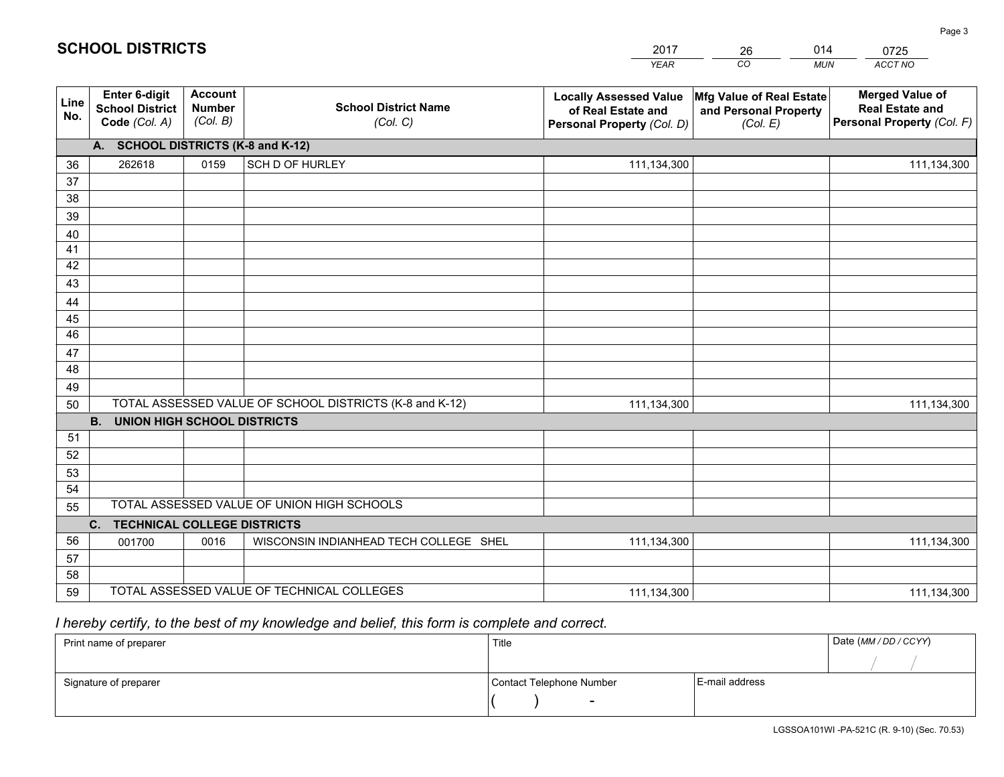|             |                                                          |                                             |                                                         | <b>YEAR</b>                                                                       | CO<br><b>MUN</b>                                              | ACCT NO                                                                        |
|-------------|----------------------------------------------------------|---------------------------------------------|---------------------------------------------------------|-----------------------------------------------------------------------------------|---------------------------------------------------------------|--------------------------------------------------------------------------------|
| Line<br>No. | Enter 6-digit<br><b>School District</b><br>Code (Col. A) | <b>Account</b><br><b>Number</b><br>(Col. B) | <b>School District Name</b><br>(Col. C)                 | <b>Locally Assessed Value</b><br>of Real Estate and<br>Personal Property (Col. D) | Mfg Value of Real Estate<br>and Personal Property<br>(Col. E) | <b>Merged Value of</b><br><b>Real Estate and</b><br>Personal Property (Col. F) |
|             | A. SCHOOL DISTRICTS (K-8 and K-12)                       |                                             |                                                         |                                                                                   |                                                               |                                                                                |
| 36          | 262618                                                   | 0159                                        | SCH D OF HURLEY                                         | 111,134,300                                                                       |                                                               | 111,134,300                                                                    |
| 37          |                                                          |                                             |                                                         |                                                                                   |                                                               |                                                                                |
| 38          |                                                          |                                             |                                                         |                                                                                   |                                                               |                                                                                |
| 39          |                                                          |                                             |                                                         |                                                                                   |                                                               |                                                                                |
| 40          |                                                          |                                             |                                                         |                                                                                   |                                                               |                                                                                |
| 41<br>42    |                                                          |                                             |                                                         |                                                                                   |                                                               |                                                                                |
| 43          |                                                          |                                             |                                                         |                                                                                   |                                                               |                                                                                |
| 44          |                                                          |                                             |                                                         |                                                                                   |                                                               |                                                                                |
| 45          |                                                          |                                             |                                                         |                                                                                   |                                                               |                                                                                |
| 46          |                                                          |                                             |                                                         |                                                                                   |                                                               |                                                                                |
| 47          |                                                          |                                             |                                                         |                                                                                   |                                                               |                                                                                |
| 48          |                                                          |                                             |                                                         |                                                                                   |                                                               |                                                                                |
| 49          |                                                          |                                             |                                                         |                                                                                   |                                                               |                                                                                |
| 50          |                                                          |                                             | TOTAL ASSESSED VALUE OF SCHOOL DISTRICTS (K-8 and K-12) | 111,134,300                                                                       |                                                               | 111,134,300                                                                    |
|             | <b>B.</b><br><b>UNION HIGH SCHOOL DISTRICTS</b>          |                                             |                                                         |                                                                                   |                                                               |                                                                                |
| 51          |                                                          |                                             |                                                         |                                                                                   |                                                               |                                                                                |
| 52          |                                                          |                                             |                                                         |                                                                                   |                                                               |                                                                                |
| 53          |                                                          |                                             |                                                         |                                                                                   |                                                               |                                                                                |
| 54          |                                                          |                                             | TOTAL ASSESSED VALUE OF UNION HIGH SCHOOLS              |                                                                                   |                                                               |                                                                                |
| 55          |                                                          |                                             |                                                         |                                                                                   |                                                               |                                                                                |
| 56          | C. TECHNICAL COLLEGE DISTRICTS<br>001700                 | 0016                                        | WISCONSIN INDIANHEAD TECH COLLEGE SHEL                  | 111,134,300                                                                       |                                                               | 111,134,300                                                                    |
| 57          |                                                          |                                             |                                                         |                                                                                   |                                                               |                                                                                |
| 58          |                                                          |                                             |                                                         |                                                                                   |                                                               |                                                                                |
| 59          |                                                          |                                             | TOTAL ASSESSED VALUE OF TECHNICAL COLLEGES              | 111,134,300                                                                       |                                                               | 111,134,300                                                                    |

26

014

 *I hereby certify, to the best of my knowledge and belief, this form is complete and correct.*

**SCHOOL DISTRICTS**

| Print name of preparer | Title                    |                | Date (MM / DD / CCYY) |
|------------------------|--------------------------|----------------|-----------------------|
|                        |                          |                |                       |
| Signature of preparer  | Contact Telephone Number | E-mail address |                       |
|                        | $\overline{\phantom{0}}$ |                |                       |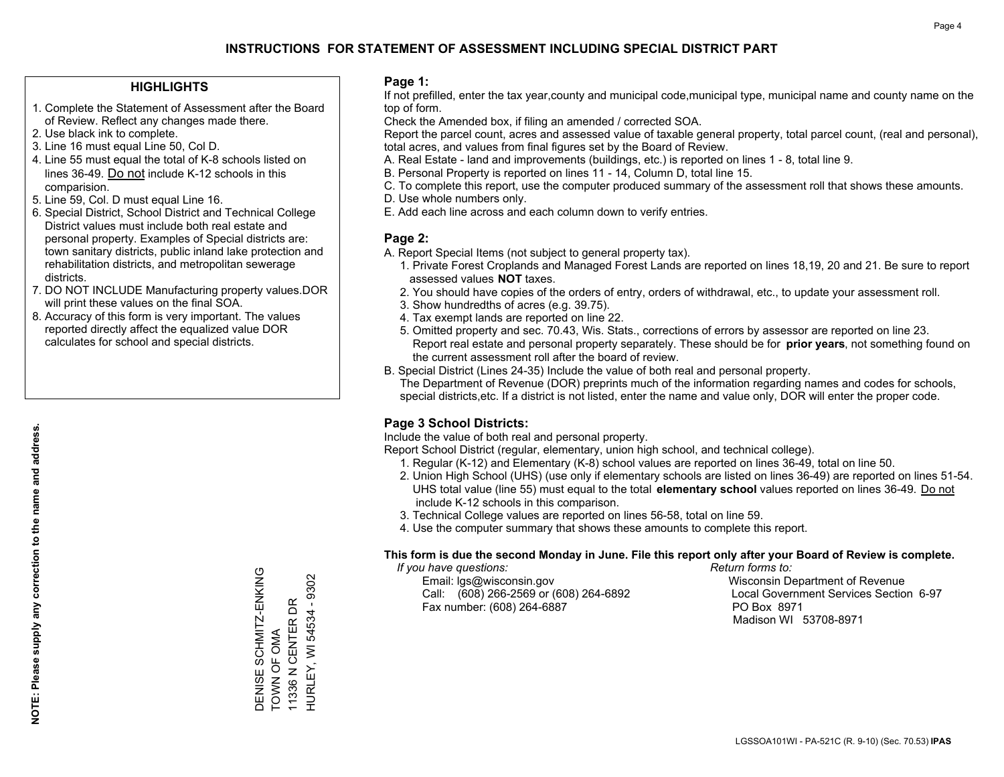#### **HIGHLIGHTS**

- 1. Complete the Statement of Assessment after the Board of Review. Reflect any changes made there.
- 2. Use black ink to complete.
- 3. Line 16 must equal Line 50, Col D.
- 4. Line 55 must equal the total of K-8 schools listed on lines 36-49. Do not include K-12 schools in this comparision.
- 5. Line 59, Col. D must equal Line 16.
- 6. Special District, School District and Technical College District values must include both real estate and personal property. Examples of Special districts are: town sanitary districts, public inland lake protection and rehabilitation districts, and metropolitan sewerage districts.
- 7. DO NOT INCLUDE Manufacturing property values.DOR will print these values on the final SOA.
- 8. Accuracy of this form is very important. The values reported directly affect the equalized value DOR calculates for school and special districts.

#### **Page 1:**

 If not prefilled, enter the tax year,county and municipal code,municipal type, municipal name and county name on the top of form.

Check the Amended box, if filing an amended / corrected SOA.

 Report the parcel count, acres and assessed value of taxable general property, total parcel count, (real and personal), total acres, and values from final figures set by the Board of Review.

- A. Real Estate land and improvements (buildings, etc.) is reported on lines 1 8, total line 9.
- B. Personal Property is reported on lines 11 14, Column D, total line 15.
- C. To complete this report, use the computer produced summary of the assessment roll that shows these amounts.
- D. Use whole numbers only.
- E. Add each line across and each column down to verify entries.

#### **Page 2:**

- A. Report Special Items (not subject to general property tax).
- 1. Private Forest Croplands and Managed Forest Lands are reported on lines 18,19, 20 and 21. Be sure to report assessed values **NOT** taxes.
- 2. You should have copies of the orders of entry, orders of withdrawal, etc., to update your assessment roll.
	- 3. Show hundredths of acres (e.g. 39.75).
- 4. Tax exempt lands are reported on line 22.
- 5. Omitted property and sec. 70.43, Wis. Stats., corrections of errors by assessor are reported on line 23. Report real estate and personal property separately. These should be for **prior years**, not something found on the current assessment roll after the board of review.
- B. Special District (Lines 24-35) Include the value of both real and personal property.
- The Department of Revenue (DOR) preprints much of the information regarding names and codes for schools, special districts,etc. If a district is not listed, enter the name and value only, DOR will enter the proper code.

### **Page 3 School Districts:**

Include the value of both real and personal property.

Report School District (regular, elementary, union high school, and technical college).

- 1. Regular (K-12) and Elementary (K-8) school values are reported on lines 36-49, total on line 50.
- 2. Union High School (UHS) (use only if elementary schools are listed on lines 36-49) are reported on lines 51-54. UHS total value (line 55) must equal to the total **elementary school** values reported on lines 36-49. Do notinclude K-12 schools in this comparison.
- 3. Technical College values are reported on lines 56-58, total on line 59.
- 4. Use the computer summary that shows these amounts to complete this report.

#### **This form is due the second Monday in June. File this report only after your Board of Review is complete.**

 *If you have questions: Return forms to:*

 Email: lgs@wisconsin.gov Wisconsin Department of RevenueCall:  $(608)$  266-2569 or  $(608)$  264-6892 Fax number: (608) 264-6887 PO Box 8971

Local Government Services Section 6-97 Madison WI 53708-8971

DENISE SCHMITZ-ENKING<br>TOWN OF OMA DENISE SCHMITZ-ENKING HURLEY, WI 54534 - 9302 HURLEY, WI 54534 - 9302 11336 N CENTER DR TOWN OF OMA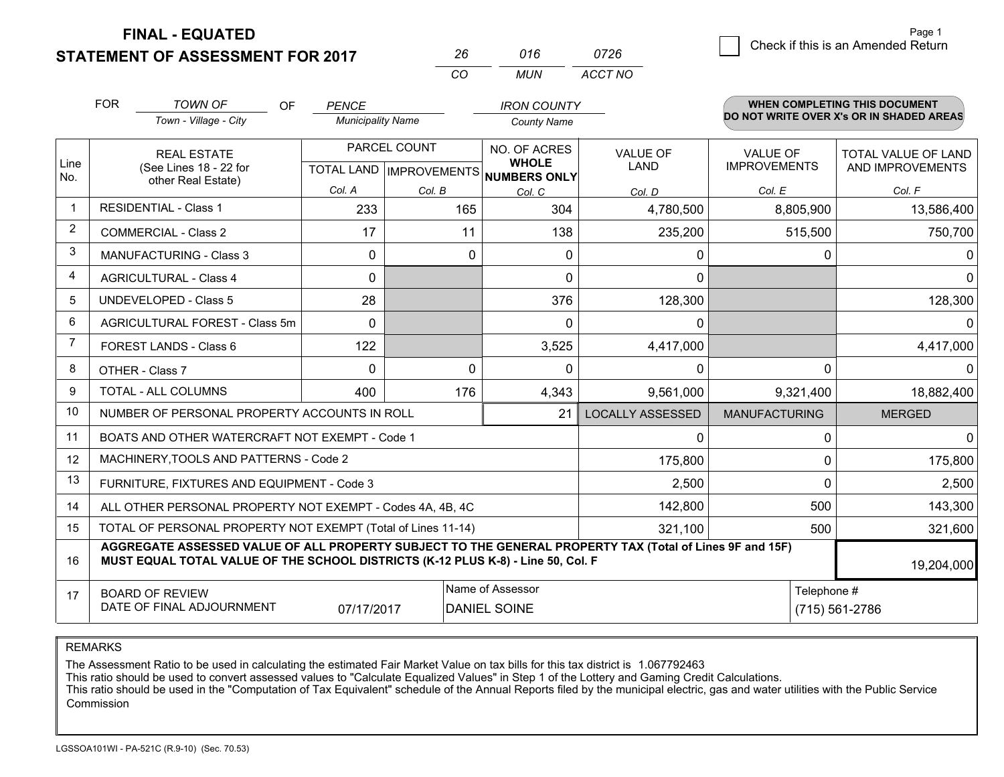### **STATEMENT OF ASSESSMENT FOR 2017**

|          | 016 | 0726    |
|----------|-----|---------|
| $\cdots$ | MUN | ACCT NO |

|                | <b>FOR</b>                                                                                                                                                                                   | <b>TOWN OF</b><br><b>OF</b><br>Town - Village - City         | <b>PENCE</b><br><b>Municipality Name</b> |                                      | <b>IRON COUNTY</b>  |                         |                      | <b>WHEN COMPLETING THIS DOCUMENT</b><br>DO NOT WRITE OVER X's OR IN SHADED AREAS |
|----------------|----------------------------------------------------------------------------------------------------------------------------------------------------------------------------------------------|--------------------------------------------------------------|------------------------------------------|--------------------------------------|---------------------|-------------------------|----------------------|----------------------------------------------------------------------------------|
|                |                                                                                                                                                                                              |                                                              |                                          |                                      | <b>County Name</b>  |                         |                      |                                                                                  |
|                |                                                                                                                                                                                              | <b>REAL ESTATE</b>                                           |                                          | PARCEL COUNT                         | NO. OF ACRES        | <b>VALUE OF</b>         | <b>VALUE OF</b>      | TOTAL VALUE OF LAND                                                              |
| Line<br>No.    |                                                                                                                                                                                              | (See Lines 18 - 22 for<br>other Real Estate)                 |                                          | TOTAL LAND IMPROVEMENTS NUMBERS ONLY | <b>WHOLE</b>        | <b>LAND</b>             | <b>IMPROVEMENTS</b>  | AND IMPROVEMENTS                                                                 |
|                |                                                                                                                                                                                              |                                                              | Col. A                                   | Col. B                               | Col. C              | Col. D                  | Col. E               | Col. F                                                                           |
| $\overline{1}$ |                                                                                                                                                                                              | <b>RESIDENTIAL - Class 1</b>                                 | 233                                      | 165                                  | 304                 | 4,780,500               | 8,805,900            | 13,586,400                                                                       |
| 2              |                                                                                                                                                                                              | <b>COMMERCIAL - Class 2</b>                                  | 17                                       | 11                                   | 138                 | 235,200                 | 515,500              | 750,700                                                                          |
| 3              |                                                                                                                                                                                              | <b>MANUFACTURING - Class 3</b>                               | $\Omega$                                 | $\Omega$                             | $\mathbf{0}$        | 0                       | 0                    | $\Omega$                                                                         |
| 4              |                                                                                                                                                                                              | <b>AGRICULTURAL - Class 4</b>                                | $\Omega$                                 |                                      | $\Omega$            | $\Omega$                |                      | $\Omega$                                                                         |
| 5              |                                                                                                                                                                                              | UNDEVELOPED - Class 5                                        | 28                                       |                                      | 376                 | 128,300                 |                      | 128,300                                                                          |
| 6              | AGRICULTURAL FOREST - Class 5m                                                                                                                                                               |                                                              | $\Omega$                                 |                                      | $\Omega$            | 0                       |                      | $\Omega$                                                                         |
| $\overline{7}$ | FOREST LANDS - Class 6                                                                                                                                                                       |                                                              | 122                                      |                                      | 3,525               | 4,417,000               |                      | 4,417,000                                                                        |
| 8              |                                                                                                                                                                                              | OTHER - Class 7                                              | $\Omega$                                 | $\Omega$                             | $\Omega$            | 0                       | $\Omega$             | $\Omega$                                                                         |
| 9              |                                                                                                                                                                                              | <b>TOTAL - ALL COLUMNS</b>                                   | 400                                      | 176                                  | 4,343               | 9,561,000               | 9,321,400            | 18,882,400                                                                       |
| 10             |                                                                                                                                                                                              | NUMBER OF PERSONAL PROPERTY ACCOUNTS IN ROLL                 |                                          |                                      | 21                  | <b>LOCALLY ASSESSED</b> | <b>MANUFACTURING</b> | <b>MERGED</b>                                                                    |
| 11             |                                                                                                                                                                                              | BOATS AND OTHER WATERCRAFT NOT EXEMPT - Code 1               |                                          |                                      |                     | 0                       | 0                    | $\Omega$                                                                         |
| 12             |                                                                                                                                                                                              | MACHINERY, TOOLS AND PATTERNS - Code 2                       |                                          |                                      |                     | 175,800                 | $\Omega$             | 175,800                                                                          |
| 13             |                                                                                                                                                                                              | FURNITURE, FIXTURES AND EQUIPMENT - Code 3                   |                                          |                                      |                     | 2,500                   | $\Omega$             | 2,500                                                                            |
| 14             |                                                                                                                                                                                              | ALL OTHER PERSONAL PROPERTY NOT EXEMPT - Codes 4A, 4B, 4C    |                                          |                                      |                     | 142,800                 | 500                  | 143,300                                                                          |
| 15             |                                                                                                                                                                                              | TOTAL OF PERSONAL PROPERTY NOT EXEMPT (Total of Lines 11-14) |                                          |                                      | 321,100             | 500                     | 321,600              |                                                                                  |
| 16             | AGGREGATE ASSESSED VALUE OF ALL PROPERTY SUBJECT TO THE GENERAL PROPERTY TAX (Total of Lines 9F and 15F)<br>MUST EQUAL TOTAL VALUE OF THE SCHOOL DISTRICTS (K-12 PLUS K-8) - Line 50, Col. F |                                                              |                                          |                                      |                     |                         |                      | 19,204,000                                                                       |
| 17             |                                                                                                                                                                                              | <b>BOARD OF REVIEW</b>                                       |                                          |                                      | Name of Assessor    |                         | Telephone #          |                                                                                  |
|                |                                                                                                                                                                                              | DATE OF FINAL ADJOURNMENT                                    | 07/17/2017                               |                                      | <b>DANIEL SOINE</b> |                         |                      | $(715) 561 - 2786$                                                               |

REMARKS

The Assessment Ratio to be used in calculating the estimated Fair Market Value on tax bills for this tax district is 1.067792463

This ratio should be used to convert assessed values to "Calculate Equalized Values" in Step 1 of the Lottery and Gaming Credit Calculations.<br>This ratio should be used in the "Computation of Tax Equivalent" schedule of the Commission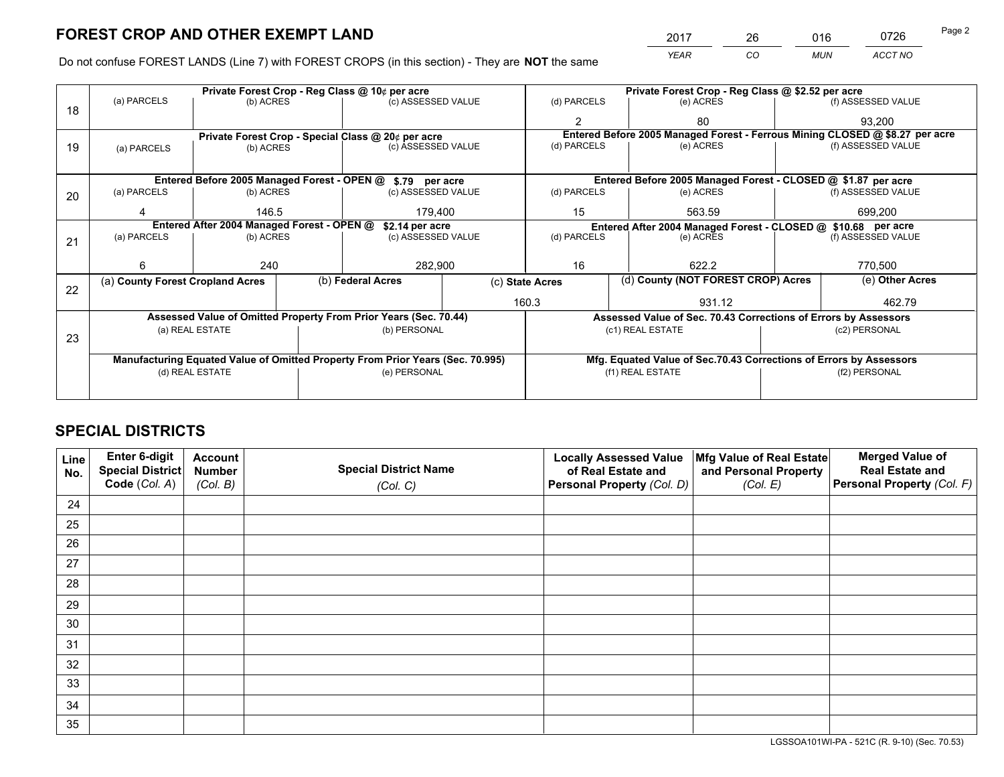*YEAR CO MUN ACCT NO* <sup>2017</sup> <sup>26</sup> <sup>016</sup> <sup>0726</sup> Page 2

Do not confuse FOREST LANDS (Line 7) with FOREST CROPS (in this section) - They are **NOT** the same

|    | Private Forest Crop - Reg Class @ 10¢ per acre                |           |                                                    |                                                                                |  | Private Forest Crop - Reg Class @ \$2.52 per acre |                  |                                                                    |                                                                              |                    |  |
|----|---------------------------------------------------------------|-----------|----------------------------------------------------|--------------------------------------------------------------------------------|--|---------------------------------------------------|------------------|--------------------------------------------------------------------|------------------------------------------------------------------------------|--------------------|--|
| 18 | (a) PARCELS                                                   | (b) ACRES |                                                    | (c) ASSESSED VALUE                                                             |  | (d) PARCELS                                       |                  | (e) ACRES                                                          |                                                                              | (f) ASSESSED VALUE |  |
|    |                                                               |           |                                                    |                                                                                |  | $\mathbf{2}$                                      |                  | 80                                                                 |                                                                              | 93,200             |  |
|    |                                                               |           | Private Forest Crop - Special Class @ 20¢ per acre |                                                                                |  |                                                   |                  |                                                                    | Entered Before 2005 Managed Forest - Ferrous Mining CLOSED @ \$8.27 per acre |                    |  |
| 19 | (a) PARCELS                                                   | (b) ACRES |                                                    | (c) ASSESSED VALUE                                                             |  | (d) PARCELS                                       |                  | (e) ACRES                                                          |                                                                              | (f) ASSESSED VALUE |  |
|    |                                                               |           |                                                    |                                                                                |  |                                                   |                  |                                                                    |                                                                              |                    |  |
|    | Entered Before 2005 Managed Forest - OPEN @ \$.79 per acre    |           |                                                    |                                                                                |  |                                                   |                  | Entered Before 2005 Managed Forest - CLOSED @ \$1.87 per acre      |                                                                              |                    |  |
| 20 | (a) PARCELS                                                   | (b) ACRES |                                                    | (c) ASSESSED VALUE                                                             |  | (d) PARCELS                                       |                  | (e) ACRES                                                          |                                                                              | (f) ASSESSED VALUE |  |
|    | Δ                                                             | 146.5     |                                                    | 179,400                                                                        |  | 15<br>563.59                                      |                  | 699,200                                                            |                                                                              |                    |  |
|    | Entered After 2004 Managed Forest - OPEN @<br>\$2.14 per acre |           |                                                    |                                                                                |  |                                                   |                  |                                                                    | Entered After 2004 Managed Forest - CLOSED @ \$10.68 per acre                |                    |  |
| 21 | (a) PARCELS                                                   | (b) ACRES |                                                    | (c) ASSESSED VALUE                                                             |  | (d) PARCELS                                       |                  | (e) ACRES                                                          |                                                                              | (f) ASSESSED VALUE |  |
|    |                                                               |           |                                                    |                                                                                |  |                                                   |                  |                                                                    |                                                                              |                    |  |
|    | 6                                                             | 240       |                                                    | 282,900                                                                        |  | 16                                                |                  | 622.2                                                              |                                                                              | 770,500            |  |
| 22 | (a) County Forest Cropland Acres                              |           |                                                    | (b) Federal Acres                                                              |  | (c) State Acres                                   |                  | (d) County (NOT FOREST CROP) Acres                                 |                                                                              | (e) Other Acres    |  |
|    |                                                               |           |                                                    |                                                                                |  | 160.3                                             |                  | 931.12                                                             |                                                                              | 462.79             |  |
|    |                                                               |           |                                                    | Assessed Value of Omitted Property From Prior Years (Sec. 70.44)               |  |                                                   |                  | Assessed Value of Sec. 70.43 Corrections of Errors by Assessors    |                                                                              |                    |  |
|    | (a) REAL ESTATE                                               |           |                                                    | (b) PERSONAL                                                                   |  |                                                   | (c1) REAL ESTATE |                                                                    |                                                                              | (c2) PERSONAL      |  |
| 23 |                                                               |           |                                                    |                                                                                |  |                                                   |                  |                                                                    |                                                                              |                    |  |
|    |                                                               |           |                                                    | Manufacturing Equated Value of Omitted Property From Prior Years (Sec. 70.995) |  |                                                   |                  | Mfg. Equated Value of Sec.70.43 Corrections of Errors by Assessors |                                                                              |                    |  |
|    | (d) REAL ESTATE                                               |           |                                                    | (e) PERSONAL                                                                   |  |                                                   | (f1) REAL ESTATE |                                                                    |                                                                              | (f2) PERSONAL      |  |
|    |                                                               |           |                                                    |                                                                                |  |                                                   |                  |                                                                    |                                                                              |                    |  |

## **SPECIAL DISTRICTS**

| Line<br>No. | Enter 6-digit<br>Special District<br>Code (Col. A) | <b>Account</b><br><b>Number</b><br>(Col. B) | <b>Special District Name</b><br>(Col. C) | <b>Locally Assessed Value</b><br>of Real Estate and<br>Personal Property (Col. D) | Mfg Value of Real Estate<br>and Personal Property<br>(Col. E) | <b>Merged Value of</b><br><b>Real Estate and</b><br>Personal Property (Col. F) |
|-------------|----------------------------------------------------|---------------------------------------------|------------------------------------------|-----------------------------------------------------------------------------------|---------------------------------------------------------------|--------------------------------------------------------------------------------|
| 24          |                                                    |                                             |                                          |                                                                                   |                                                               |                                                                                |
| 25          |                                                    |                                             |                                          |                                                                                   |                                                               |                                                                                |
| 26          |                                                    |                                             |                                          |                                                                                   |                                                               |                                                                                |
| 27          |                                                    |                                             |                                          |                                                                                   |                                                               |                                                                                |
| 28          |                                                    |                                             |                                          |                                                                                   |                                                               |                                                                                |
| 29          |                                                    |                                             |                                          |                                                                                   |                                                               |                                                                                |
| 30          |                                                    |                                             |                                          |                                                                                   |                                                               |                                                                                |
| 31          |                                                    |                                             |                                          |                                                                                   |                                                               |                                                                                |
| 32          |                                                    |                                             |                                          |                                                                                   |                                                               |                                                                                |
| 33          |                                                    |                                             |                                          |                                                                                   |                                                               |                                                                                |
| 34          |                                                    |                                             |                                          |                                                                                   |                                                               |                                                                                |
| 35          |                                                    |                                             |                                          |                                                                                   |                                                               |                                                                                |

LGSSOA101WI-PA - 521C (R. 9-10) (Sec. 70.53)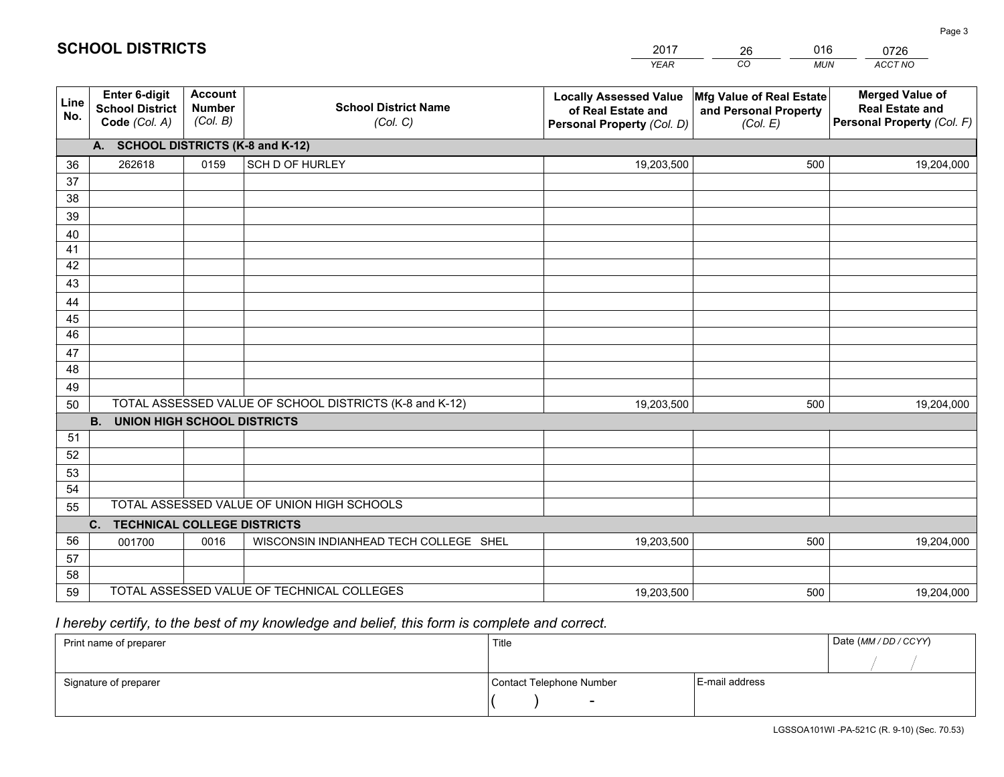|             |                                                                 |                                             |                                                         | <b>YEAR</b>                                                                       | CO<br><b>MUN</b>                                              | ACCT NO                                                                        |
|-------------|-----------------------------------------------------------------|---------------------------------------------|---------------------------------------------------------|-----------------------------------------------------------------------------------|---------------------------------------------------------------|--------------------------------------------------------------------------------|
| Line<br>No. | <b>Enter 6-digit</b><br><b>School District</b><br>Code (Col. A) | <b>Account</b><br><b>Number</b><br>(Col. B) | <b>School District Name</b><br>(Col. C)                 | <b>Locally Assessed Value</b><br>of Real Estate and<br>Personal Property (Col. D) | Mfg Value of Real Estate<br>and Personal Property<br>(Col. E) | <b>Merged Value of</b><br><b>Real Estate and</b><br>Personal Property (Col. F) |
|             | A. SCHOOL DISTRICTS (K-8 and K-12)                              |                                             |                                                         |                                                                                   |                                                               |                                                                                |
| 36          | 262618                                                          | 0159                                        | SCH D OF HURLEY                                         | 19,203,500                                                                        | 500                                                           | 19,204,000                                                                     |
| 37          |                                                                 |                                             |                                                         |                                                                                   |                                                               |                                                                                |
| 38          |                                                                 |                                             |                                                         |                                                                                   |                                                               |                                                                                |
| 39          |                                                                 |                                             |                                                         |                                                                                   |                                                               |                                                                                |
| 40          |                                                                 |                                             |                                                         |                                                                                   |                                                               |                                                                                |
| 41          |                                                                 |                                             |                                                         |                                                                                   |                                                               |                                                                                |
| 42<br>43    |                                                                 |                                             |                                                         |                                                                                   |                                                               |                                                                                |
| 44          |                                                                 |                                             |                                                         |                                                                                   |                                                               |                                                                                |
| 45          |                                                                 |                                             |                                                         |                                                                                   |                                                               |                                                                                |
| 46          |                                                                 |                                             |                                                         |                                                                                   |                                                               |                                                                                |
| 47          |                                                                 |                                             |                                                         |                                                                                   |                                                               |                                                                                |
| 48          |                                                                 |                                             |                                                         |                                                                                   |                                                               |                                                                                |
| 49          |                                                                 |                                             |                                                         |                                                                                   |                                                               |                                                                                |
| 50          |                                                                 |                                             | TOTAL ASSESSED VALUE OF SCHOOL DISTRICTS (K-8 and K-12) | 19,203,500                                                                        | 500                                                           | 19,204,000                                                                     |
|             | <b>B.</b><br><b>UNION HIGH SCHOOL DISTRICTS</b>                 |                                             |                                                         |                                                                                   |                                                               |                                                                                |
| 51          |                                                                 |                                             |                                                         |                                                                                   |                                                               |                                                                                |
| 52          |                                                                 |                                             |                                                         |                                                                                   |                                                               |                                                                                |
| 53          |                                                                 |                                             |                                                         |                                                                                   |                                                               |                                                                                |
| 54          |                                                                 |                                             |                                                         |                                                                                   |                                                               |                                                                                |
| 55          |                                                                 |                                             | TOTAL ASSESSED VALUE OF UNION HIGH SCHOOLS              |                                                                                   |                                                               |                                                                                |
|             | C.<br><b>TECHNICAL COLLEGE DISTRICTS</b>                        |                                             |                                                         |                                                                                   |                                                               |                                                                                |
| 56          | 001700                                                          | 0016                                        | WISCONSIN INDIANHEAD TECH COLLEGE SHEL                  | 19,203,500                                                                        | 500                                                           | 19,204,000                                                                     |
| 57<br>58    |                                                                 |                                             |                                                         |                                                                                   |                                                               |                                                                                |
| 59          |                                                                 |                                             | TOTAL ASSESSED VALUE OF TECHNICAL COLLEGES              | 19,203,500                                                                        | 500                                                           |                                                                                |
|             |                                                                 |                                             |                                                         |                                                                                   |                                                               | 19,204,000                                                                     |

26

016

 *I hereby certify, to the best of my knowledge and belief, this form is complete and correct.*

**SCHOOL DISTRICTS**

| Print name of preparer | Title                    |                | Date (MM/DD/CCYY) |
|------------------------|--------------------------|----------------|-------------------|
|                        |                          |                |                   |
| Signature of preparer  | Contact Telephone Number | E-mail address |                   |
|                        | $\overline{\phantom{a}}$ |                |                   |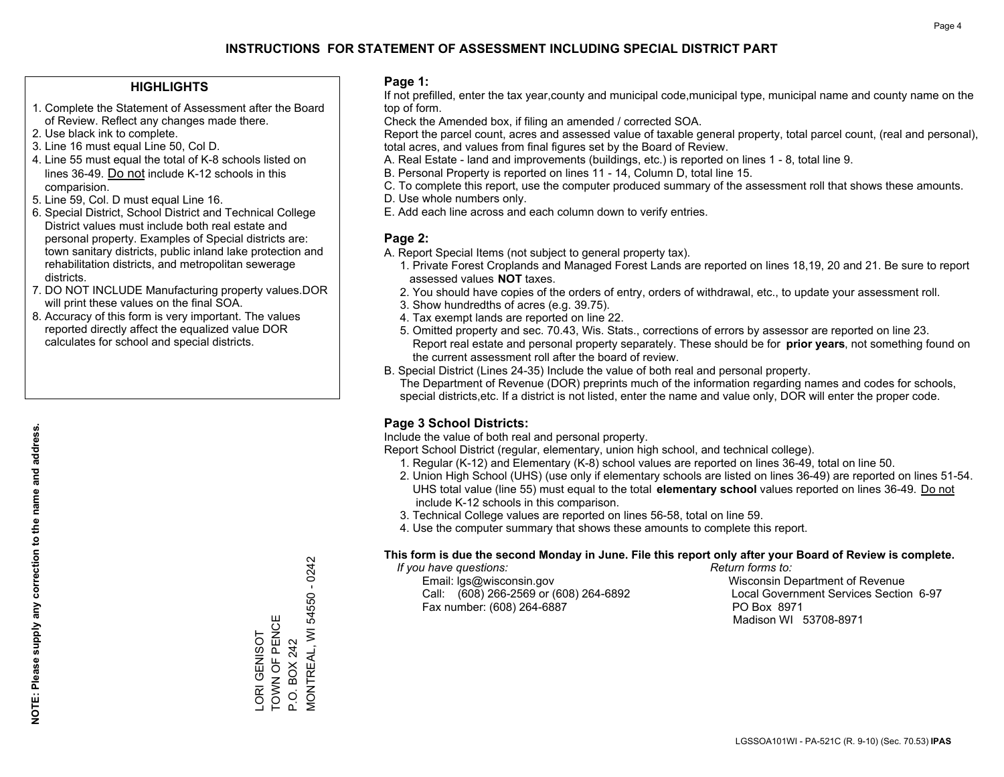#### **HIGHLIGHTS**

- 1. Complete the Statement of Assessment after the Board of Review. Reflect any changes made there.
- 2. Use black ink to complete.
- 3. Line 16 must equal Line 50, Col D.
- 4. Line 55 must equal the total of K-8 schools listed on lines 36-49. Do not include K-12 schools in this comparision.
- 5. Line 59, Col. D must equal Line 16.
- 6. Special District, School District and Technical College District values must include both real estate and personal property. Examples of Special districts are: town sanitary districts, public inland lake protection and rehabilitation districts, and metropolitan sewerage districts.
- 7. DO NOT INCLUDE Manufacturing property values.DOR will print these values on the final SOA.
- 8. Accuracy of this form is very important. The values reported directly affect the equalized value DOR calculates for school and special districts.

#### **Page 1:**

 If not prefilled, enter the tax year,county and municipal code,municipal type, municipal name and county name on the top of form.

Check the Amended box, if filing an amended / corrected SOA.

 Report the parcel count, acres and assessed value of taxable general property, total parcel count, (real and personal), total acres, and values from final figures set by the Board of Review.

- A. Real Estate land and improvements (buildings, etc.) is reported on lines 1 8, total line 9.
- B. Personal Property is reported on lines 11 14, Column D, total line 15.
- C. To complete this report, use the computer produced summary of the assessment roll that shows these amounts.
- D. Use whole numbers only.
- E. Add each line across and each column down to verify entries.

### **Page 2:**

- A. Report Special Items (not subject to general property tax).
- 1. Private Forest Croplands and Managed Forest Lands are reported on lines 18,19, 20 and 21. Be sure to report assessed values **NOT** taxes.
- 2. You should have copies of the orders of entry, orders of withdrawal, etc., to update your assessment roll.
	- 3. Show hundredths of acres (e.g. 39.75).
- 4. Tax exempt lands are reported on line 22.
- 5. Omitted property and sec. 70.43, Wis. Stats., corrections of errors by assessor are reported on line 23. Report real estate and personal property separately. These should be for **prior years**, not something found on the current assessment roll after the board of review.
- B. Special District (Lines 24-35) Include the value of both real and personal property.

 The Department of Revenue (DOR) preprints much of the information regarding names and codes for schools, special districts,etc. If a district is not listed, enter the name and value only, DOR will enter the proper code.

### **Page 3 School Districts:**

Include the value of both real and personal property.

Report School District (regular, elementary, union high school, and technical college).

- 1. Regular (K-12) and Elementary (K-8) school values are reported on lines 36-49, total on line 50.
- 2. Union High School (UHS) (use only if elementary schools are listed on lines 36-49) are reported on lines 51-54. UHS total value (line 55) must equal to the total **elementary school** values reported on lines 36-49. Do notinclude K-12 schools in this comparison.
- 3. Technical College values are reported on lines 56-58, total on line 59.
- 4. Use the computer summary that shows these amounts to complete this report.

#### **This form is due the second Monday in June. File this report only after your Board of Review is complete.**

 *If you have questions: Return forms to:*

 Email: lgs@wisconsin.gov Wisconsin Department of RevenueCall:  $(608)$  266-2569 or  $(608)$  264-6892 Fax number: (608) 264-6887 PO Box 8971

Local Government Services Section 6-97 Madison WI 53708-8971

 $-0242$ MONTREAL, WI 54550 - 0242 **MONTREAL, WI 54550** LORI GENISOT<br>TOWN OF PENCE TOWN OF PENCE LORI GENISOT P.O. BOX 242 P.O. BOX 242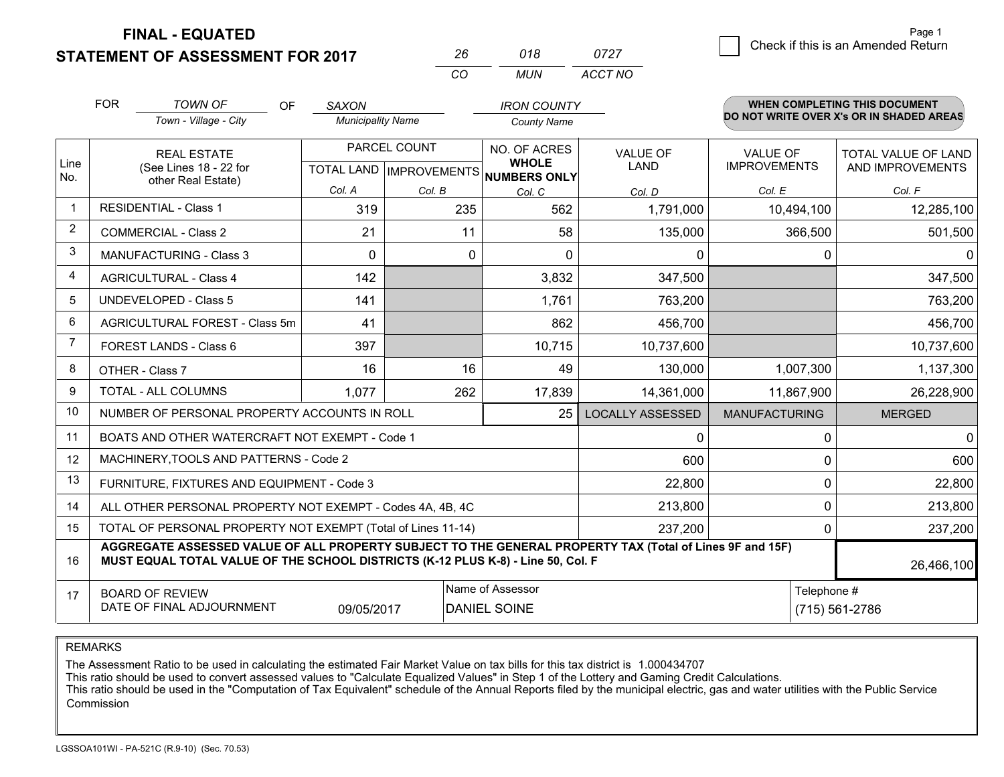**STATEMENT OF ASSESSMENT FOR 2017** 

|          | 018  | 0727    |
|----------|------|---------|
| $\cdots$ | MUN. | ACCT NO |

|                | <b>FOR</b>                                   | <b>TOWN OF</b><br>OF<br>Town - Village - City                                                                                                                                                | <b>SAXON</b><br><b>Municipality Name</b> |                                                  | <b>IRON COUNTY</b><br><b>County Name</b> |                                |                                        | WHEN COMPLETING THIS DOCUMENT<br>DO NOT WRITE OVER X's OR IN SHADED AREAS |
|----------------|----------------------------------------------|----------------------------------------------------------------------------------------------------------------------------------------------------------------------------------------------|------------------------------------------|--------------------------------------------------|------------------------------------------|--------------------------------|----------------------------------------|---------------------------------------------------------------------------|
| Line           | <b>REAL ESTATE</b><br>(See Lines 18 - 22 for |                                                                                                                                                                                              |                                          | PARCEL COUNT<br><b>TOTAL LAND   IMPROVEMENTS</b> | <b>NO. OF ACRES</b><br><b>WHOLE</b>      | <b>VALUE OF</b><br><b>LAND</b> | <b>VALUE OF</b><br><b>IMPROVEMENTS</b> | TOTAL VALUE OF LAND<br>AND IMPROVEMENTS                                   |
| No.            |                                              | other Real Estate)                                                                                                                                                                           | Col. A                                   | Col. B                                           | <b>NUMBERS ONLY</b><br>Col. C            | Col. D                         | Col. E                                 | Col. F                                                                    |
|                |                                              | <b>RESIDENTIAL - Class 1</b>                                                                                                                                                                 | 319                                      | 235                                              | 562                                      | 1,791,000                      | 10,494,100                             | 12,285,100                                                                |
| 2              |                                              | <b>COMMERCIAL - Class 2</b>                                                                                                                                                                  | 21                                       |                                                  | 11<br>58                                 | 135,000                        | 366,500                                | 501,500                                                                   |
| 3              |                                              | <b>MANUFACTURING - Class 3</b>                                                                                                                                                               | $\Omega$                                 |                                                  | 0<br>$\Omega$                            | 0                              | 0                                      | 0                                                                         |
| 4              |                                              | <b>AGRICULTURAL - Class 4</b>                                                                                                                                                                | 142                                      |                                                  | 3,832                                    | 347,500                        |                                        | 347,500                                                                   |
| 5              |                                              | <b>UNDEVELOPED - Class 5</b>                                                                                                                                                                 | 141                                      |                                                  | 1,761                                    | 763,200                        |                                        | 763,200                                                                   |
| 6              |                                              | AGRICULTURAL FOREST - Class 5m                                                                                                                                                               | 41                                       |                                                  | 862                                      | 456,700                        |                                        | 456,700                                                                   |
| $\overline{7}$ |                                              | FOREST LANDS - Class 6                                                                                                                                                                       | 397                                      |                                                  | 10,715                                   | 10,737,600                     |                                        | 10,737,600                                                                |
| 8              |                                              | OTHER - Class 7                                                                                                                                                                              | 16                                       |                                                  | 16<br>49                                 | 130,000                        | 1,007,300                              | 1,137,300                                                                 |
| 9              |                                              | TOTAL - ALL COLUMNS                                                                                                                                                                          | 1,077                                    | 262                                              | 17,839                                   | 14,361,000                     | 11,867,900                             | 26,228,900                                                                |
| 10             |                                              | NUMBER OF PERSONAL PROPERTY ACCOUNTS IN ROLL                                                                                                                                                 |                                          |                                                  | 25                                       | <b>LOCALLY ASSESSED</b>        | <b>MANUFACTURING</b>                   | <b>MERGED</b>                                                             |
| 11             |                                              | BOATS AND OTHER WATERCRAFT NOT EXEMPT - Code 1                                                                                                                                               |                                          |                                                  |                                          | $\mathbf 0$                    | 0                                      | $\Omega$                                                                  |
| 12             |                                              | MACHINERY, TOOLS AND PATTERNS - Code 2                                                                                                                                                       |                                          |                                                  |                                          | 600                            |                                        | 600<br>0                                                                  |
| 13             |                                              | FURNITURE, FIXTURES AND EQUIPMENT - Code 3                                                                                                                                                   |                                          |                                                  |                                          | 22,800                         | 0                                      | 22,800                                                                    |
| 14             |                                              | ALL OTHER PERSONAL PROPERTY NOT EXEMPT - Codes 4A, 4B, 4C                                                                                                                                    |                                          |                                                  |                                          | 213,800                        |                                        | $\Omega$<br>213,800                                                       |
| 15             |                                              | TOTAL OF PERSONAL PROPERTY NOT EXEMPT (Total of Lines 11-14)                                                                                                                                 |                                          |                                                  | 237,200                                  | 0                              | 237,200                                |                                                                           |
| 16             |                                              | AGGREGATE ASSESSED VALUE OF ALL PROPERTY SUBJECT TO THE GENERAL PROPERTY TAX (Total of Lines 9F and 15F)<br>MUST EQUAL TOTAL VALUE OF THE SCHOOL DISTRICTS (K-12 PLUS K-8) - Line 50, Col. F |                                          |                                                  |                                          |                                |                                        | 26,466,100                                                                |
| 17             |                                              | <b>BOARD OF REVIEW</b><br>DATE OF FINAL ADJOURNMENT                                                                                                                                          | 09/05/2017                               | Name of Assessor<br><b>DANIEL SOINE</b>          |                                          | Telephone #                    | (715) 561-2786                         |                                                                           |

REMARKS

The Assessment Ratio to be used in calculating the estimated Fair Market Value on tax bills for this tax district is 1.000434707<br>This ratio should be used to convert assessed values to "Calculate Equalized Values" in Step Commission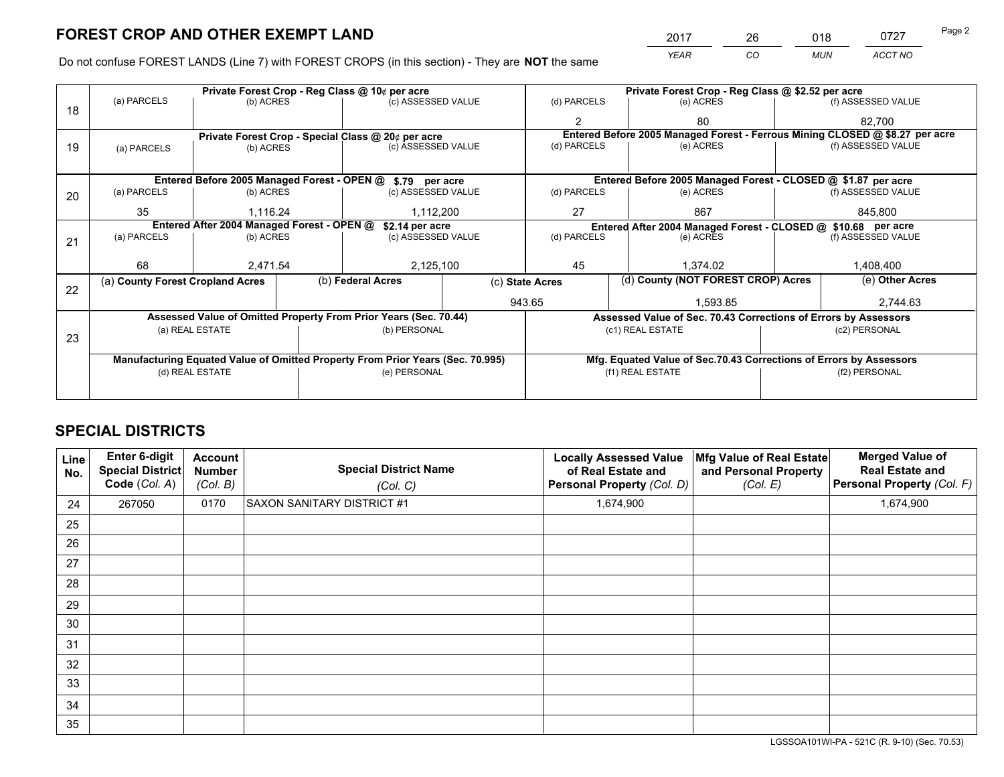*YEAR CO MUN ACCT NO* 2017 26 018 0727 Page 2

Do not confuse FOREST LANDS (Line 7) with FOREST CROPS (in this section) - They are **NOT** the same

|    | Private Forest Crop - Reg Class @ 10¢ per acre                |                 |  |                                                                                |  | Private Forest Crop - Reg Class @ \$2.52 per acre             |     |                                                                    |                    |                                                                              |
|----|---------------------------------------------------------------|-----------------|--|--------------------------------------------------------------------------------|--|---------------------------------------------------------------|-----|--------------------------------------------------------------------|--------------------|------------------------------------------------------------------------------|
| 18 | (a) PARCELS                                                   | (b) ACRES       |  | (c) ASSESSED VALUE                                                             |  | (d) PARCELS                                                   |     | (e) ACRES                                                          |                    | (f) ASSESSED VALUE                                                           |
|    |                                                               |                 |  |                                                                                |  | $\mathbf{2}$                                                  |     | 80                                                                 |                    | 82.700                                                                       |
|    |                                                               |                 |  | Private Forest Crop - Special Class @ 20¢ per acre                             |  |                                                               |     |                                                                    |                    | Entered Before 2005 Managed Forest - Ferrous Mining CLOSED @ \$8.27 per acre |
| 19 | (a) PARCELS                                                   | (b) ACRES       |  | (c) ASSESSED VALUE                                                             |  | (d) PARCELS                                                   |     | (e) ACRES                                                          |                    | (f) ASSESSED VALUE                                                           |
|    |                                                               |                 |  |                                                                                |  |                                                               |     |                                                                    |                    |                                                                              |
|    | Entered Before 2005 Managed Forest - OPEN @ \$.79 per acre    |                 |  |                                                                                |  |                                                               |     | Entered Before 2005 Managed Forest - CLOSED @ \$1.87 per acre      |                    |                                                                              |
| 20 | (a) PARCELS                                                   | (b) ACRES       |  | (c) ASSESSED VALUE                                                             |  | (d) PARCELS                                                   |     | (e) ACRES                                                          |                    | (f) ASSESSED VALUE                                                           |
|    | 35                                                            | 1.116.24        |  | 1,112,200                                                                      |  | 27                                                            | 867 |                                                                    | 845,800            |                                                                              |
|    | Entered After 2004 Managed Forest - OPEN @<br>\$2.14 per acre |                 |  |                                                                                |  | Entered After 2004 Managed Forest - CLOSED @ \$10.68 per acre |     |                                                                    |                    |                                                                              |
| 21 | (a) PARCELS                                                   | (b) ACRES       |  | (c) ASSESSED VALUE                                                             |  | (d) PARCELS                                                   |     | (e) ACRES                                                          | (f) ASSESSED VALUE |                                                                              |
|    |                                                               |                 |  |                                                                                |  |                                                               |     |                                                                    |                    |                                                                              |
|    | 68                                                            | 2,471.54        |  | 2,125,100                                                                      |  | 45                                                            |     | 1,374.02                                                           |                    | 1,408,400                                                                    |
| 22 | (a) County Forest Cropland Acres                              |                 |  | (b) Federal Acres                                                              |  | (c) State Acres                                               |     | (d) County (NOT FOREST CROP) Acres                                 |                    | (e) Other Acres                                                              |
|    |                                                               |                 |  |                                                                                |  | 943.65                                                        |     | 1,593.85                                                           |                    | 2,744.63                                                                     |
|    |                                                               |                 |  | Assessed Value of Omitted Property From Prior Years (Sec. 70.44)               |  |                                                               |     | Assessed Value of Sec. 70.43 Corrections of Errors by Assessors    |                    |                                                                              |
| 23 |                                                               | (a) REAL ESTATE |  | (b) PERSONAL                                                                   |  |                                                               |     | (c1) REAL ESTATE                                                   |                    | (c2) PERSONAL                                                                |
|    |                                                               |                 |  |                                                                                |  |                                                               |     |                                                                    |                    |                                                                              |
|    |                                                               |                 |  | Manufacturing Equated Value of Omitted Property From Prior Years (Sec. 70.995) |  |                                                               |     | Mfg. Equated Value of Sec.70.43 Corrections of Errors by Assessors |                    |                                                                              |
|    | (d) REAL ESTATE                                               |                 |  | (e) PERSONAL                                                                   |  |                                                               |     | (f1) REAL ESTATE                                                   |                    | (f2) PERSONAL                                                                |
|    |                                                               |                 |  |                                                                                |  |                                                               |     |                                                                    |                    |                                                                              |

## **SPECIAL DISTRICTS**

| Line<br>No. | Enter 6-digit<br><b>Special District</b><br>Code (Col. A) | <b>Account</b><br><b>Number</b><br>(Col. B) | <b>Special District Name</b><br>(Col. C) | <b>Locally Assessed Value</b><br>of Real Estate and<br>Personal Property (Col. D) | Mfg Value of Real Estate<br>and Personal Property<br>(Col. E) | <b>Merged Value of</b><br><b>Real Estate and</b><br>Personal Property (Col. F) |
|-------------|-----------------------------------------------------------|---------------------------------------------|------------------------------------------|-----------------------------------------------------------------------------------|---------------------------------------------------------------|--------------------------------------------------------------------------------|
| 24          | 267050                                                    | 0170                                        | <b>SAXON SANITARY DISTRICT #1</b>        | 1,674,900                                                                         |                                                               | 1,674,900                                                                      |
| 25          |                                                           |                                             |                                          |                                                                                   |                                                               |                                                                                |
| 26          |                                                           |                                             |                                          |                                                                                   |                                                               |                                                                                |
| 27          |                                                           |                                             |                                          |                                                                                   |                                                               |                                                                                |
| 28          |                                                           |                                             |                                          |                                                                                   |                                                               |                                                                                |
| 29          |                                                           |                                             |                                          |                                                                                   |                                                               |                                                                                |
| 30          |                                                           |                                             |                                          |                                                                                   |                                                               |                                                                                |
| 31          |                                                           |                                             |                                          |                                                                                   |                                                               |                                                                                |
| 32          |                                                           |                                             |                                          |                                                                                   |                                                               |                                                                                |
| 33          |                                                           |                                             |                                          |                                                                                   |                                                               |                                                                                |
| 34          |                                                           |                                             |                                          |                                                                                   |                                                               |                                                                                |
| 35          |                                                           |                                             |                                          |                                                                                   |                                                               |                                                                                |

LGSSOA101WI-PA - 521C (R. 9-10) (Sec. 70.53)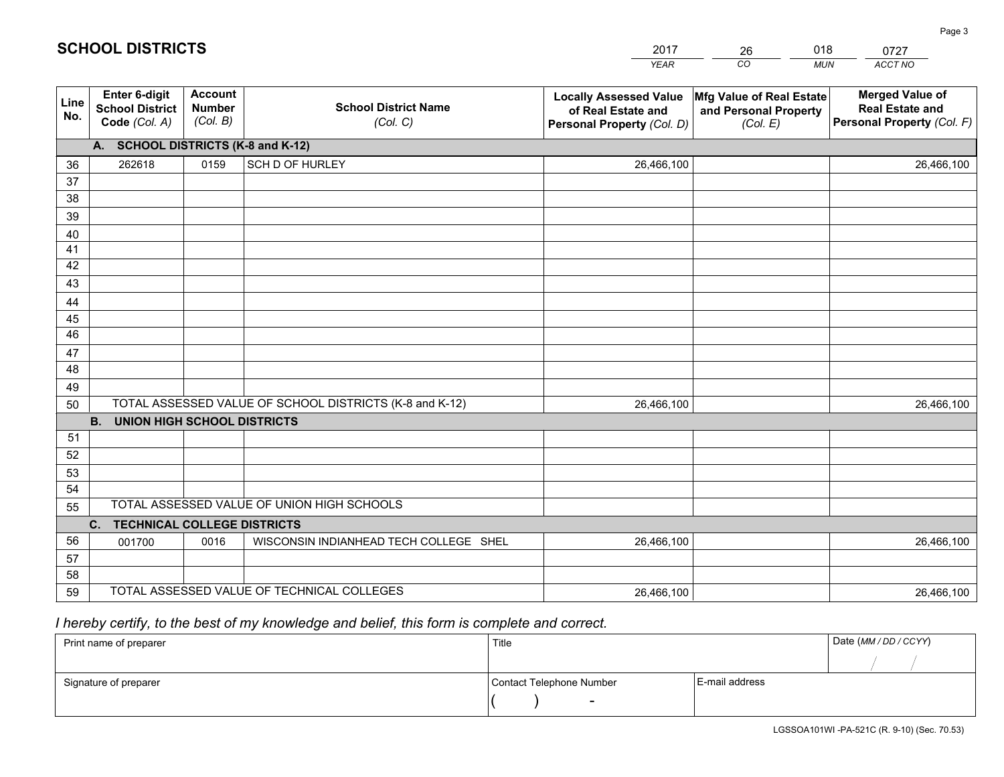|             |                                                                                    |                                             |                                                         | <b>YEAR</b>                                                                       | CO<br><b>MUN</b>                                              | ACCT NO                                                                        |  |
|-------------|------------------------------------------------------------------------------------|---------------------------------------------|---------------------------------------------------------|-----------------------------------------------------------------------------------|---------------------------------------------------------------|--------------------------------------------------------------------------------|--|
| Line<br>No. | Enter 6-digit<br><b>School District</b><br>Code (Col. A)                           | <b>Account</b><br><b>Number</b><br>(Col. B) | <b>School District Name</b><br>(Col. C)                 | <b>Locally Assessed Value</b><br>of Real Estate and<br>Personal Property (Col. D) | Mfg Value of Real Estate<br>and Personal Property<br>(Col. E) | <b>Merged Value of</b><br><b>Real Estate and</b><br>Personal Property (Col. F) |  |
|             | A. SCHOOL DISTRICTS (K-8 and K-12)                                                 |                                             |                                                         |                                                                                   |                                                               |                                                                                |  |
| 36          | 262618                                                                             | 0159                                        | SCH D OF HURLEY                                         | 26,466,100                                                                        |                                                               | 26,466,100                                                                     |  |
| 37          |                                                                                    |                                             |                                                         |                                                                                   |                                                               |                                                                                |  |
| 38          |                                                                                    |                                             |                                                         |                                                                                   |                                                               |                                                                                |  |
| 39          |                                                                                    |                                             |                                                         |                                                                                   |                                                               |                                                                                |  |
| 40          |                                                                                    |                                             |                                                         |                                                                                   |                                                               |                                                                                |  |
| 41<br>42    |                                                                                    |                                             |                                                         |                                                                                   |                                                               |                                                                                |  |
| 43          |                                                                                    |                                             |                                                         |                                                                                   |                                                               |                                                                                |  |
| 44          |                                                                                    |                                             |                                                         |                                                                                   |                                                               |                                                                                |  |
| 45          |                                                                                    |                                             |                                                         |                                                                                   |                                                               |                                                                                |  |
| 46          |                                                                                    |                                             |                                                         |                                                                                   |                                                               |                                                                                |  |
| 47          |                                                                                    |                                             |                                                         |                                                                                   |                                                               |                                                                                |  |
| 48          |                                                                                    |                                             |                                                         |                                                                                   |                                                               |                                                                                |  |
| 49          |                                                                                    |                                             |                                                         |                                                                                   |                                                               |                                                                                |  |
| 50          |                                                                                    |                                             | TOTAL ASSESSED VALUE OF SCHOOL DISTRICTS (K-8 and K-12) | 26,466,100                                                                        |                                                               | 26,466,100                                                                     |  |
|             | <b>B.</b><br><b>UNION HIGH SCHOOL DISTRICTS</b>                                    |                                             |                                                         |                                                                                   |                                                               |                                                                                |  |
| 51          |                                                                                    |                                             |                                                         |                                                                                   |                                                               |                                                                                |  |
| 52          |                                                                                    |                                             |                                                         |                                                                                   |                                                               |                                                                                |  |
| 53          |                                                                                    |                                             |                                                         |                                                                                   |                                                               |                                                                                |  |
| 54          |                                                                                    |                                             |                                                         |                                                                                   |                                                               |                                                                                |  |
|             | TOTAL ASSESSED VALUE OF UNION HIGH SCHOOLS<br>55<br>C. TECHNICAL COLLEGE DISTRICTS |                                             |                                                         |                                                                                   |                                                               |                                                                                |  |
| 56          | 001700                                                                             | 0016                                        | WISCONSIN INDIANHEAD TECH COLLEGE SHEL                  | 26,466,100                                                                        |                                                               | 26,466,100                                                                     |  |
| 57          |                                                                                    |                                             |                                                         |                                                                                   |                                                               |                                                                                |  |
| 58          |                                                                                    |                                             |                                                         |                                                                                   |                                                               |                                                                                |  |
| 59          |                                                                                    |                                             | TOTAL ASSESSED VALUE OF TECHNICAL COLLEGES              | 26,466,100                                                                        |                                                               | 26,466,100                                                                     |  |

26

018

## *I hereby certify, to the best of my knowledge and belief, this form is complete and correct.*

**SCHOOL DISTRICTS**

| Print name of preparer | Title                    |                | Date (MM / DD / CCYY) |
|------------------------|--------------------------|----------------|-----------------------|
|                        |                          |                |                       |
| Signature of preparer  | Contact Telephone Number | E-mail address |                       |
|                        | $\sim$                   |                |                       |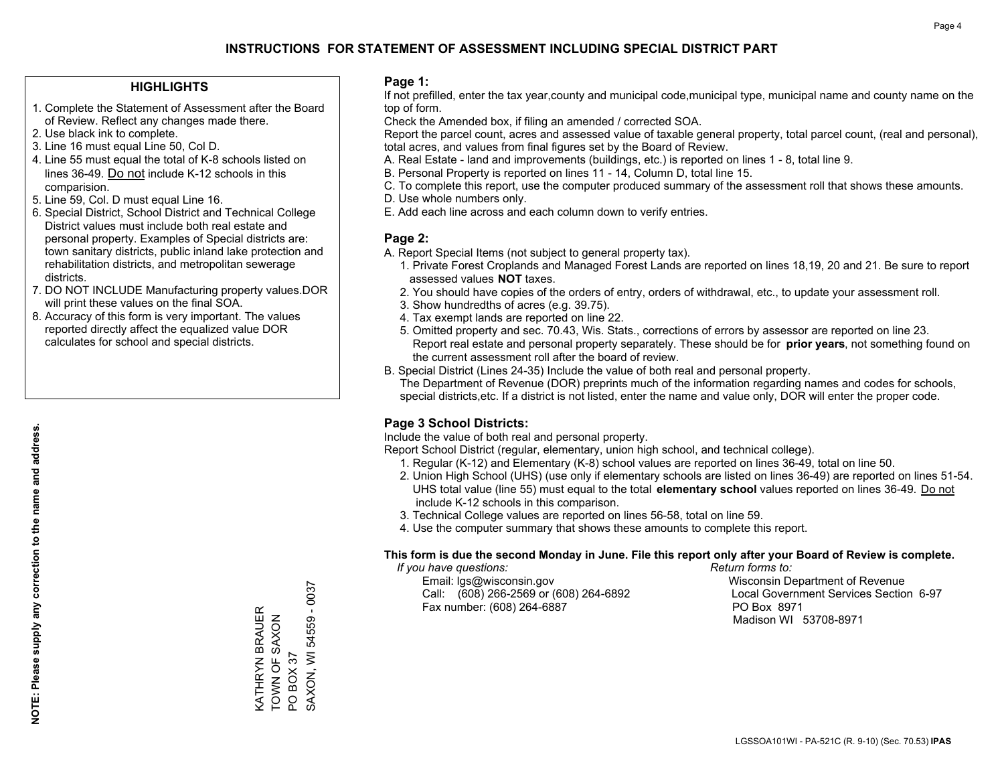#### **HIGHLIGHTS**

- 1. Complete the Statement of Assessment after the Board of Review. Reflect any changes made there.
- 2. Use black ink to complete.
- 3. Line 16 must equal Line 50, Col D.
- 4. Line 55 must equal the total of K-8 schools listed on lines 36-49. Do not include K-12 schools in this comparision.
- 5. Line 59, Col. D must equal Line 16.
- 6. Special District, School District and Technical College District values must include both real estate and personal property. Examples of Special districts are: town sanitary districts, public inland lake protection and rehabilitation districts, and metropolitan sewerage districts.
- 7. DO NOT INCLUDE Manufacturing property values.DOR will print these values on the final SOA.

KATHRYN BRAUER TOWN OF SAXON

KATHRYN BRAUER<br>TOWN OF SAXON

PO BOX 37

PO BOX 37

SAXON, WI 54559 - 0037

SAXON, WI 54559 - 0037

 8. Accuracy of this form is very important. The values reported directly affect the equalized value DOR calculates for school and special districts.

#### **Page 1:**

 If not prefilled, enter the tax year,county and municipal code,municipal type, municipal name and county name on the top of form.

Check the Amended box, if filing an amended / corrected SOA.

 Report the parcel count, acres and assessed value of taxable general property, total parcel count, (real and personal), total acres, and values from final figures set by the Board of Review.

- A. Real Estate land and improvements (buildings, etc.) is reported on lines 1 8, total line 9.
- B. Personal Property is reported on lines 11 14, Column D, total line 15.
- C. To complete this report, use the computer produced summary of the assessment roll that shows these amounts.
- D. Use whole numbers only.
- E. Add each line across and each column down to verify entries.

#### **Page 2:**

- A. Report Special Items (not subject to general property tax).
- 1. Private Forest Croplands and Managed Forest Lands are reported on lines 18,19, 20 and 21. Be sure to report assessed values **NOT** taxes.
- 2. You should have copies of the orders of entry, orders of withdrawal, etc., to update your assessment roll.
	- 3. Show hundredths of acres (e.g. 39.75).
- 4. Tax exempt lands are reported on line 22.
- 5. Omitted property and sec. 70.43, Wis. Stats., corrections of errors by assessor are reported on line 23. Report real estate and personal property separately. These should be for **prior years**, not something found on the current assessment roll after the board of review.
- B. Special District (Lines 24-35) Include the value of both real and personal property.
- The Department of Revenue (DOR) preprints much of the information regarding names and codes for schools, special districts,etc. If a district is not listed, enter the name and value only, DOR will enter the proper code.

### **Page 3 School Districts:**

Include the value of both real and personal property.

Report School District (regular, elementary, union high school, and technical college).

- 1. Regular (K-12) and Elementary (K-8) school values are reported on lines 36-49, total on line 50.
- 2. Union High School (UHS) (use only if elementary schools are listed on lines 36-49) are reported on lines 51-54. UHS total value (line 55) must equal to the total **elementary school** values reported on lines 36-49. Do notinclude K-12 schools in this comparison.
- 3. Technical College values are reported on lines 56-58, total on line 59.
- 4. Use the computer summary that shows these amounts to complete this report.

#### **This form is due the second Monday in June. File this report only after your Board of Review is complete.**

 *If you have questions: Return forms to:*

 Email: lgs@wisconsin.gov Wisconsin Department of RevenueCall:  $(608)$  266-2569 or  $(608)$  264-6892 Fax number: (608) 264-6887 PO Box 8971

Local Government Services Section 6-97 Madison WI 53708-8971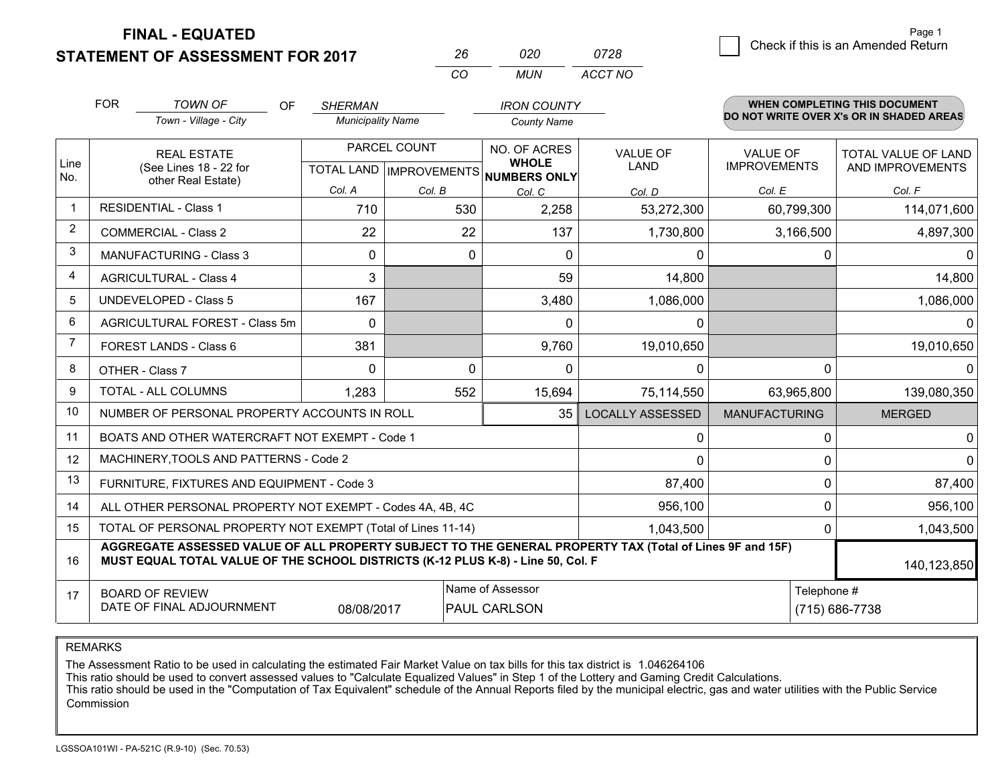**STATEMENT OF ASSESSMENT FOR 2017** 

| 26  | 020 | 0728    |
|-----|-----|---------|
| CO. | MUN | ACCT NO |

|                | <b>FOR</b>                                                                                                                                                                                   | <b>TOWN OF</b><br>OF<br>Town - Village - City                | <b>SHERMAN</b><br><b>Municipality Name</b> |                                                                                     | <b>IRON COUNTY</b><br><b>County Name</b> |                         |                                        | <b>WHEN COMPLETING THIS DOCUMENT</b><br>DO NOT WRITE OVER X's OR IN SHADED AREAS |
|----------------|----------------------------------------------------------------------------------------------------------------------------------------------------------------------------------------------|--------------------------------------------------------------|--------------------------------------------|-------------------------------------------------------------------------------------|------------------------------------------|-------------------------|----------------------------------------|----------------------------------------------------------------------------------|
| Line<br>No.    | <b>REAL ESTATE</b><br>(See Lines 18 - 22 for                                                                                                                                                 |                                                              |                                            | PARCEL COUNT<br>NO. OF ACRES<br><b>WHOLE</b><br>TOTAL LAND MPROVEMENTS NUMBERS ONLY |                                          | <b>VALUE OF</b><br>LAND | <b>VALUE OF</b><br><b>IMPROVEMENTS</b> | TOTAL VALUE OF LAND<br>AND IMPROVEMENTS                                          |
|                |                                                                                                                                                                                              | other Real Estate)                                           | Col. A                                     | Col. B                                                                              | Col. C                                   | Col. D                  | Col. E                                 | Col. F                                                                           |
| $\mathbf 1$    |                                                                                                                                                                                              | <b>RESIDENTIAL - Class 1</b>                                 | 710                                        | 530                                                                                 | 2,258                                    | 53,272,300              | 60,799,300                             | 114,071,600                                                                      |
| 2              |                                                                                                                                                                                              | <b>COMMERCIAL - Class 2</b>                                  | 22                                         | 22                                                                                  | 137                                      | 1,730,800               | 3,166,500                              | 4,897,300                                                                        |
| 3              |                                                                                                                                                                                              | <b>MANUFACTURING - Class 3</b>                               | 0                                          | $\mathbf{0}$                                                                        | $\mathbf{0}$                             | 0                       | 0                                      | 0                                                                                |
| $\overline{4}$ |                                                                                                                                                                                              | <b>AGRICULTURAL - Class 4</b>                                | 3                                          |                                                                                     | 59                                       | 14,800                  |                                        | 14,800                                                                           |
| 5              |                                                                                                                                                                                              | <b>UNDEVELOPED - Class 5</b>                                 | 167                                        |                                                                                     | 3,480                                    | 1,086,000               |                                        | 1,086,000                                                                        |
| 6              |                                                                                                                                                                                              | AGRICULTURAL FOREST - Class 5m                               | $\Omega$                                   |                                                                                     | $\Omega$                                 | $\mathbf{0}$            |                                        | $\mathbf{0}$                                                                     |
| 7              |                                                                                                                                                                                              | FOREST LANDS - Class 6                                       | 381                                        |                                                                                     | 9,760                                    | 19,010,650              |                                        | 19,010,650                                                                       |
| 8              |                                                                                                                                                                                              | OTHER - Class 7                                              | $\Omega$                                   | $\Omega$                                                                            | $\mathbf{0}$                             | 0                       | $\Omega$                               | $\Omega$                                                                         |
| 9              |                                                                                                                                                                                              | TOTAL - ALL COLUMNS                                          | 1,283                                      | 552                                                                                 | 15,694                                   | 75,114,550              | 63,965,800                             | 139,080,350                                                                      |
| 10             |                                                                                                                                                                                              | NUMBER OF PERSONAL PROPERTY ACCOUNTS IN ROLL                 |                                            |                                                                                     | 35                                       | <b>LOCALLY ASSESSED</b> | <b>MANUFACTURING</b>                   | <b>MERGED</b>                                                                    |
| 11             |                                                                                                                                                                                              | BOATS AND OTHER WATERCRAFT NOT EXEMPT - Code 1               |                                            |                                                                                     |                                          | 0                       | $\Omega$                               | $\mathbf 0$                                                                      |
| 12             |                                                                                                                                                                                              | MACHINERY, TOOLS AND PATTERNS - Code 2                       |                                            |                                                                                     |                                          | 0                       | $\Omega$                               | $\mathbf{0}$                                                                     |
| 13             |                                                                                                                                                                                              | FURNITURE, FIXTURES AND EQUIPMENT - Code 3                   |                                            |                                                                                     |                                          | 87,400                  | 0                                      | 87,400                                                                           |
| 14             |                                                                                                                                                                                              | ALL OTHER PERSONAL PROPERTY NOT EXEMPT - Codes 4A, 4B, 4C    |                                            |                                                                                     |                                          | 956,100                 | $\mathbf 0$                            | 956,100                                                                          |
| 15             |                                                                                                                                                                                              | TOTAL OF PERSONAL PROPERTY NOT EXEMPT (Total of Lines 11-14) |                                            |                                                                                     | 1,043,500                                | $\Omega$                | 1,043,500                              |                                                                                  |
| 16             | AGGREGATE ASSESSED VALUE OF ALL PROPERTY SUBJECT TO THE GENERAL PROPERTY TAX (Total of Lines 9F and 15F)<br>MUST EQUAL TOTAL VALUE OF THE SCHOOL DISTRICTS (K-12 PLUS K-8) - Line 50, Col. F |                                                              |                                            |                                                                                     |                                          |                         |                                        | 140,123,850                                                                      |
| 17             |                                                                                                                                                                                              | <b>BOARD OF REVIEW</b><br>DATE OF FINAL ADJOURNMENT          | 08/08/2017                                 |                                                                                     | Name of Assessor<br>PAUL CARLSON         |                         | Telephone #                            | (715) 686-7738                                                                   |

REMARKS

The Assessment Ratio to be used in calculating the estimated Fair Market Value on tax bills for this tax district is 1.046264106

This ratio should be used to convert assessed values to "Calculate Equalized Values" in Step 1 of the Lottery and Gaming Credit Calculations.<br>This ratio should be used in the "Computation of Tax Equivalent" schedule of the Commission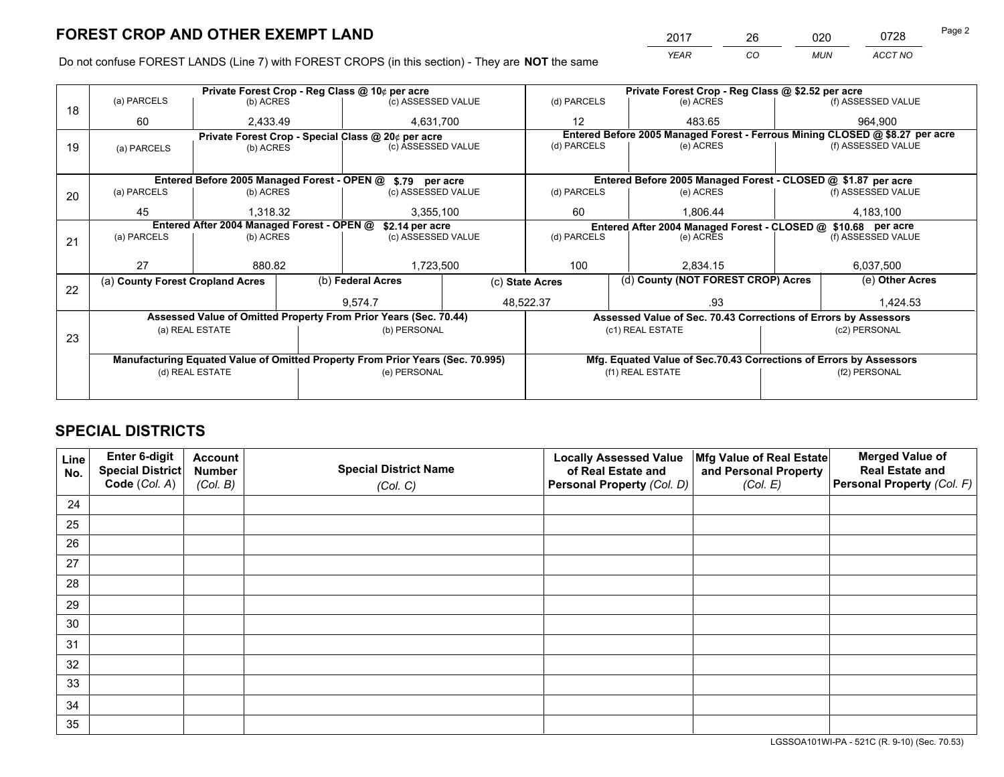*YEAR CO MUN ACCT NO* 2017 26 020 0728

Do not confuse FOREST LANDS (Line 7) with FOREST CROPS (in this section) - They are **NOT** the same

|    |                                                            |                 |                                            | Private Forest Crop - Reg Class @ 10¢ per acre                                 |                                       | Private Forest Crop - Reg Class @ \$2.52 per acre |                  |                                                                    |                    |                                                                              |  |
|----|------------------------------------------------------------|-----------------|--------------------------------------------|--------------------------------------------------------------------------------|---------------------------------------|---------------------------------------------------|------------------|--------------------------------------------------------------------|--------------------|------------------------------------------------------------------------------|--|
| 18 | (a) PARCELS                                                | (b) ACRES       |                                            | (c) ASSESSED VALUE                                                             |                                       | (d) PARCELS                                       |                  | (e) ACRES                                                          |                    | (f) ASSESSED VALUE                                                           |  |
|    | 60                                                         | 2,433.49        |                                            | 4,631,700                                                                      |                                       | 12<br>483.65                                      |                  |                                                                    | 964.900            |                                                                              |  |
|    |                                                            |                 |                                            | Private Forest Crop - Special Class @ 20¢ per acre                             |                                       |                                                   |                  |                                                                    |                    | Entered Before 2005 Managed Forest - Ferrous Mining CLOSED @ \$8.27 per acre |  |
| 19 | (a) PARCELS                                                | (b) ACRES       |                                            | (c) ASSESSED VALUE                                                             |                                       | (d) PARCELS                                       |                  | (e) ACRES                                                          |                    | (f) ASSESSED VALUE                                                           |  |
|    |                                                            |                 |                                            |                                                                                |                                       |                                                   |                  |                                                                    |                    |                                                                              |  |
|    | Entered Before 2005 Managed Forest - OPEN @ \$.79 per acre |                 |                                            |                                                                                |                                       |                                                   |                  | Entered Before 2005 Managed Forest - CLOSED @ \$1.87 per acre      |                    |                                                                              |  |
| 20 | (a) PARCELS                                                | (b) ACRES       |                                            | (c) ASSESSED VALUE                                                             |                                       | (d) PARCELS                                       |                  | (e) ACRES                                                          |                    | (f) ASSESSED VALUE                                                           |  |
|    | 45                                                         | 1,318.32        |                                            | 3,355,100                                                                      |                                       | 60                                                |                  | 1,806.44                                                           |                    | 4,183,100                                                                    |  |
|    |                                                            |                 |                                            |                                                                                |                                       |                                                   |                  |                                                                    |                    |                                                                              |  |
|    |                                                            |                 | Entered After 2004 Managed Forest - OPEN @ |                                                                                | \$2.14 per acre<br>(c) ASSESSED VALUE |                                                   |                  | Entered After 2004 Managed Forest - CLOSED @ \$10.68 per acre      | (f) ASSESSED VALUE |                                                                              |  |
| 21 | (a) PARCELS                                                | (b) ACRES       |                                            |                                                                                |                                       | (d) PARCELS                                       |                  | (e) ACRES                                                          |                    |                                                                              |  |
|    |                                                            |                 |                                            |                                                                                |                                       |                                                   |                  |                                                                    |                    |                                                                              |  |
|    | 27                                                         | 880.82          |                                            | 1,723,500                                                                      |                                       | 100                                               |                  | 2.834.15                                                           |                    | 6,037,500                                                                    |  |
|    | (a) County Forest Cropland Acres                           |                 |                                            | (b) Federal Acres                                                              |                                       | (c) State Acres                                   |                  | (d) County (NOT FOREST CROP) Acres                                 |                    | (e) Other Acres                                                              |  |
| 22 |                                                            |                 |                                            |                                                                                |                                       |                                                   |                  |                                                                    |                    |                                                                              |  |
|    |                                                            |                 |                                            | 9.574.7                                                                        |                                       | 48,522.37                                         |                  | .93                                                                |                    | 1.424.53                                                                     |  |
|    |                                                            |                 |                                            | Assessed Value of Omitted Property From Prior Years (Sec. 70.44)               |                                       |                                                   |                  | Assessed Value of Sec. 70.43 Corrections of Errors by Assessors    |                    |                                                                              |  |
| 23 |                                                            | (a) REAL ESTATE |                                            | (b) PERSONAL                                                                   |                                       |                                                   |                  | (c1) REAL ESTATE                                                   |                    | (c2) PERSONAL                                                                |  |
|    |                                                            |                 |                                            |                                                                                |                                       |                                                   |                  |                                                                    |                    |                                                                              |  |
|    |                                                            |                 |                                            | Manufacturing Equated Value of Omitted Property From Prior Years (Sec. 70.995) |                                       |                                                   |                  | Mfg. Equated Value of Sec.70.43 Corrections of Errors by Assessors |                    |                                                                              |  |
|    | (d) REAL ESTATE                                            |                 |                                            | (e) PERSONAL                                                                   |                                       |                                                   | (f1) REAL ESTATE |                                                                    |                    | (f2) PERSONAL                                                                |  |
|    |                                                            |                 |                                            |                                                                                |                                       |                                                   |                  |                                                                    |                    |                                                                              |  |
|    |                                                            |                 |                                            |                                                                                |                                       |                                                   |                  |                                                                    |                    |                                                                              |  |

## **SPECIAL DISTRICTS**

| Line<br>No. | Enter 6-digit<br>Special District<br>Code (Col. A) | <b>Account</b><br><b>Number</b> | <b>Special District Name</b> | <b>Locally Assessed Value</b><br>of Real Estate and | Mfg Value of Real Estate<br>and Personal Property | <b>Merged Value of</b><br><b>Real Estate and</b><br>Personal Property (Col. F) |
|-------------|----------------------------------------------------|---------------------------------|------------------------------|-----------------------------------------------------|---------------------------------------------------|--------------------------------------------------------------------------------|
|             |                                                    | (Col. B)                        | (Col. C)                     | Personal Property (Col. D)                          | (Col. E)                                          |                                                                                |
| 24          |                                                    |                                 |                              |                                                     |                                                   |                                                                                |
| 25          |                                                    |                                 |                              |                                                     |                                                   |                                                                                |
| 26          |                                                    |                                 |                              |                                                     |                                                   |                                                                                |
| 27          |                                                    |                                 |                              |                                                     |                                                   |                                                                                |
| 28          |                                                    |                                 |                              |                                                     |                                                   |                                                                                |
| 29          |                                                    |                                 |                              |                                                     |                                                   |                                                                                |
| 30          |                                                    |                                 |                              |                                                     |                                                   |                                                                                |
| 31          |                                                    |                                 |                              |                                                     |                                                   |                                                                                |
| 32          |                                                    |                                 |                              |                                                     |                                                   |                                                                                |
| 33          |                                                    |                                 |                              |                                                     |                                                   |                                                                                |
| 34          |                                                    |                                 |                              |                                                     |                                                   |                                                                                |
| 35          |                                                    |                                 |                              |                                                     |                                                   |                                                                                |

LGSSOA101WI-PA - 521C (R. 9-10) (Sec. 70.53)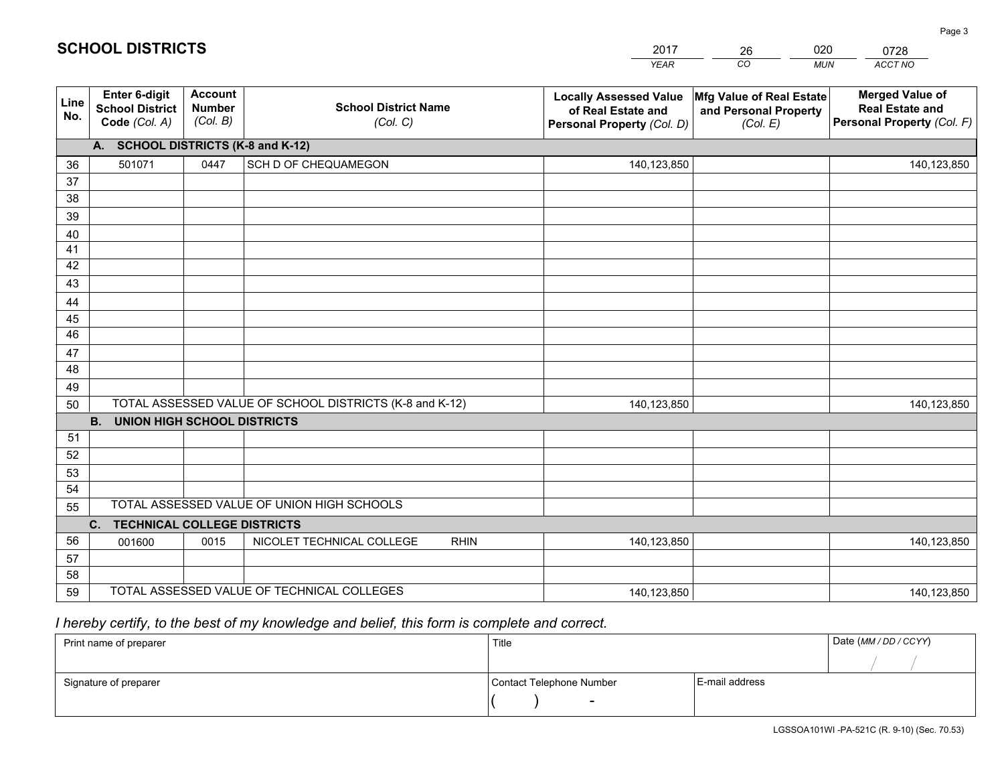|             |                                                          |                                             |                                                         | <b>YEAR</b>                                                                       | CO<br><b>MUN</b>                                              | ACCT NO                                                                        |
|-------------|----------------------------------------------------------|---------------------------------------------|---------------------------------------------------------|-----------------------------------------------------------------------------------|---------------------------------------------------------------|--------------------------------------------------------------------------------|
| Line<br>No. | Enter 6-digit<br><b>School District</b><br>Code (Col. A) | <b>Account</b><br><b>Number</b><br>(Col. B) | <b>School District Name</b><br>(Col. C)                 | <b>Locally Assessed Value</b><br>of Real Estate and<br>Personal Property (Col. D) | Mfg Value of Real Estate<br>and Personal Property<br>(Col. E) | <b>Merged Value of</b><br><b>Real Estate and</b><br>Personal Property (Col. F) |
|             | A. SCHOOL DISTRICTS (K-8 and K-12)                       |                                             |                                                         |                                                                                   |                                                               |                                                                                |
| 36          | 501071                                                   | 0447                                        | SCH D OF CHEQUAMEGON                                    | 140,123,850                                                                       |                                                               | 140,123,850                                                                    |
| 37          |                                                          |                                             |                                                         |                                                                                   |                                                               |                                                                                |
| 38          |                                                          |                                             |                                                         |                                                                                   |                                                               |                                                                                |
| 39          |                                                          |                                             |                                                         |                                                                                   |                                                               |                                                                                |
| 40          |                                                          |                                             |                                                         |                                                                                   |                                                               |                                                                                |
| 41          |                                                          |                                             |                                                         |                                                                                   |                                                               |                                                                                |
| 42          |                                                          |                                             |                                                         |                                                                                   |                                                               |                                                                                |
| 43          |                                                          |                                             |                                                         |                                                                                   |                                                               |                                                                                |
| 44<br>45    |                                                          |                                             |                                                         |                                                                                   |                                                               |                                                                                |
| 46          |                                                          |                                             |                                                         |                                                                                   |                                                               |                                                                                |
| 47          |                                                          |                                             |                                                         |                                                                                   |                                                               |                                                                                |
| 48          |                                                          |                                             |                                                         |                                                                                   |                                                               |                                                                                |
| 49          |                                                          |                                             |                                                         |                                                                                   |                                                               |                                                                                |
| 50          |                                                          |                                             | TOTAL ASSESSED VALUE OF SCHOOL DISTRICTS (K-8 and K-12) | 140,123,850                                                                       |                                                               | 140,123,850                                                                    |
|             | <b>B.</b><br><b>UNION HIGH SCHOOL DISTRICTS</b>          |                                             |                                                         |                                                                                   |                                                               |                                                                                |
| 51          |                                                          |                                             |                                                         |                                                                                   |                                                               |                                                                                |
| 52          |                                                          |                                             |                                                         |                                                                                   |                                                               |                                                                                |
| 53          |                                                          |                                             |                                                         |                                                                                   |                                                               |                                                                                |
| 54          |                                                          |                                             |                                                         |                                                                                   |                                                               |                                                                                |
| 55          | TOTAL ASSESSED VALUE OF UNION HIGH SCHOOLS               |                                             |                                                         |                                                                                   |                                                               |                                                                                |
|             | C. TECHNICAL COLLEGE DISTRICTS                           |                                             |                                                         |                                                                                   |                                                               |                                                                                |
| 56          | 001600                                                   | 0015                                        | NICOLET TECHNICAL COLLEGE<br><b>RHIN</b>                | 140,123,850                                                                       |                                                               | 140,123,850                                                                    |
| 57          |                                                          |                                             |                                                         |                                                                                   |                                                               |                                                                                |
| 58<br>59    |                                                          |                                             | TOTAL ASSESSED VALUE OF TECHNICAL COLLEGES              |                                                                                   |                                                               |                                                                                |
|             |                                                          |                                             |                                                         | 140,123,850                                                                       |                                                               | 140,123,850                                                                    |

26

020

 *I hereby certify, to the best of my knowledge and belief, this form is complete and correct.*

**SCHOOL DISTRICTS**

| Print name of preparer | Title                    |                | Date (MM / DD / CCYY) |
|------------------------|--------------------------|----------------|-----------------------|
|                        |                          |                |                       |
| Signature of preparer  | Contact Telephone Number | E-mail address |                       |
|                        |                          |                |                       |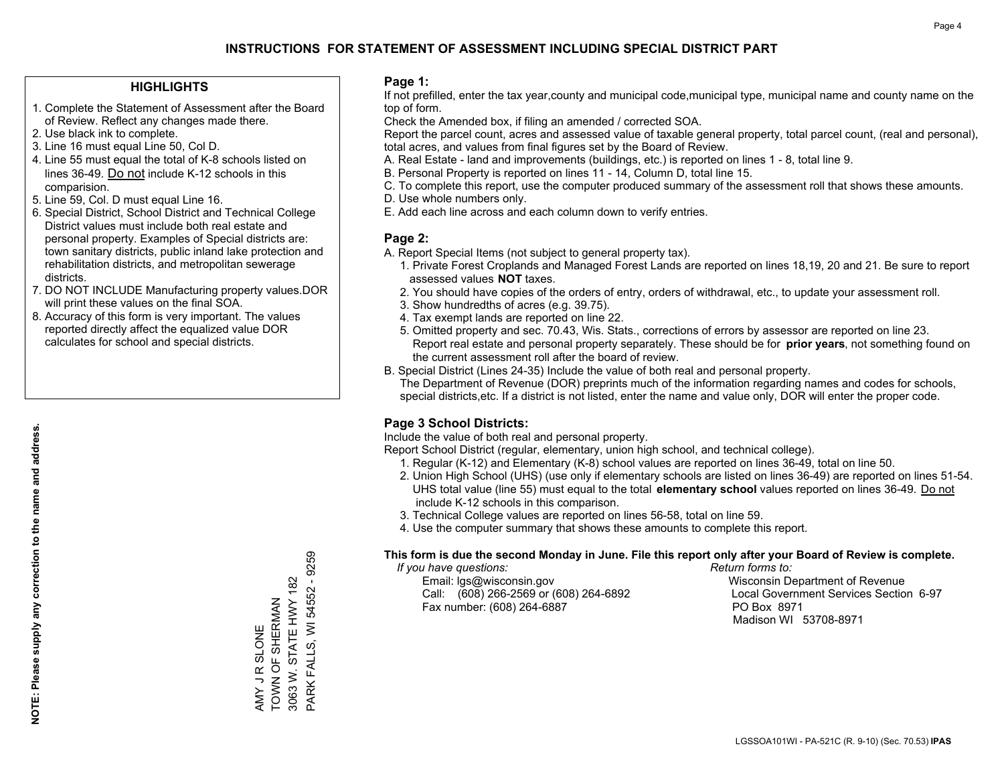#### **HIGHLIGHTS**

- 1. Complete the Statement of Assessment after the Board of Review. Reflect any changes made there.
- 2. Use black ink to complete.
- 3. Line 16 must equal Line 50, Col D.
- 4. Line 55 must equal the total of K-8 schools listed on lines 36-49. Do not include K-12 schools in this comparision.
- 5. Line 59, Col. D must equal Line 16.
- 6. Special District, School District and Technical College District values must include both real estate and personal property. Examples of Special districts are: town sanitary districts, public inland lake protection and rehabilitation districts, and metropolitan sewerage districts.
- 7. DO NOT INCLUDE Manufacturing property values.DOR will print these values on the final SOA.
- 8. Accuracy of this form is very important. The values reported directly affect the equalized value DOR calculates for school and special districts.

#### **Page 1:**

 If not prefilled, enter the tax year,county and municipal code,municipal type, municipal name and county name on the top of form.

Check the Amended box, if filing an amended / corrected SOA.

 Report the parcel count, acres and assessed value of taxable general property, total parcel count, (real and personal), total acres, and values from final figures set by the Board of Review.

- A. Real Estate land and improvements (buildings, etc.) is reported on lines 1 8, total line 9.
- B. Personal Property is reported on lines 11 14, Column D, total line 15.
- C. To complete this report, use the computer produced summary of the assessment roll that shows these amounts.
- D. Use whole numbers only.
- E. Add each line across and each column down to verify entries.

#### **Page 2:**

- A. Report Special Items (not subject to general property tax).
- 1. Private Forest Croplands and Managed Forest Lands are reported on lines 18,19, 20 and 21. Be sure to report assessed values **NOT** taxes.
- 2. You should have copies of the orders of entry, orders of withdrawal, etc., to update your assessment roll.
	- 3. Show hundredths of acres (e.g. 39.75).
- 4. Tax exempt lands are reported on line 22.
- 5. Omitted property and sec. 70.43, Wis. Stats., corrections of errors by assessor are reported on line 23. Report real estate and personal property separately. These should be for **prior years**, not something found on the current assessment roll after the board of review.
- B. Special District (Lines 24-35) Include the value of both real and personal property.
- The Department of Revenue (DOR) preprints much of the information regarding names and codes for schools, special districts,etc. If a district is not listed, enter the name and value only, DOR will enter the proper code.

### **Page 3 School Districts:**

Include the value of both real and personal property.

Report School District (regular, elementary, union high school, and technical college).

- 1. Regular (K-12) and Elementary (K-8) school values are reported on lines 36-49, total on line 50.
- 2. Union High School (UHS) (use only if elementary schools are listed on lines 36-49) are reported on lines 51-54. UHS total value (line 55) must equal to the total **elementary school** values reported on lines 36-49. Do notinclude K-12 schools in this comparison.
- 3. Technical College values are reported on lines 56-58, total on line 59.
- 4. Use the computer summary that shows these amounts to complete this report.

#### **This form is due the second Monday in June. File this report only after your Board of Review is complete.**

 *If you have questions: Return forms to:*

 Email: lgs@wisconsin.gov Wisconsin Department of RevenueCall:  $(608)$  266-2569 or  $(608)$  264-6892 Fax number: (608) 264-6887 PO Box 8971

Local Government Services Section 6-97 Madison WI 53708-8971

PARK FALLS, WI 54552 - 9259 PARK FALLS, WI 54552 - 9259 3063 W. STATE HWY 182 3063 W. STATE HWY 182 TOWN OF SHERMAN AMY JR SLONE<br>TOWN OF SHERMAN AMY J R SLONE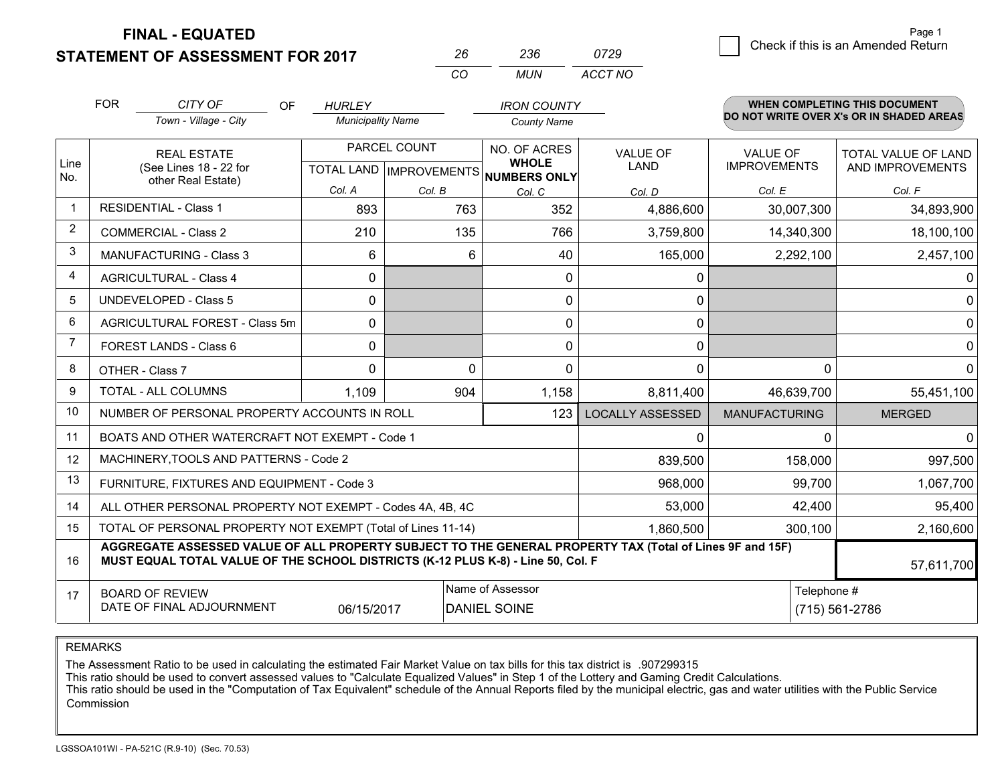### **STATEMENT OF ASSESSMENT FOR 2017**

|          | ツマド   | 0729    |  |
|----------|-------|---------|--|
| $\alpha$ | MI IN | ACCT NO |  |

|      | <b>FOR</b>                                                                                                                                    | CITY OF<br>OF<br>Town - Village - City                                                                                                                                                       | <b>HURLEY</b><br><b>Municipality Name</b> |                                | <b>IRON COUNTY</b><br><b>County Name</b> |                                         |                      | <b>WHEN COMPLETING THIS DOCUMENT</b><br>DO NOT WRITE OVER X's OR IN SHADED AREAS |
|------|-----------------------------------------------------------------------------------------------------------------------------------------------|----------------------------------------------------------------------------------------------------------------------------------------------------------------------------------------------|-------------------------------------------|--------------------------------|------------------------------------------|-----------------------------------------|----------------------|----------------------------------------------------------------------------------|
| Line | PARCEL COUNT<br>NO. OF ACRES<br><b>REAL ESTATE</b><br><b>WHOLE</b><br>(See Lines 18 - 22 for<br>TOTAL LAND   IMPROVEMENTS                     |                                                                                                                                                                                              |                                           | <b>VALUE OF</b><br><b>LAND</b> | VALUE OF<br><b>IMPROVEMENTS</b>          | TOTAL VALUE OF LAND<br>AND IMPROVEMENTS |                      |                                                                                  |
| No.  |                                                                                                                                               | other Real Estate)                                                                                                                                                                           | Col. A                                    | Col. B                         | NUMBERS ONLY<br>Col. C                   | Col. D                                  | Col. E               | Col. F                                                                           |
|      |                                                                                                                                               | <b>RESIDENTIAL - Class 1</b>                                                                                                                                                                 | 893                                       | 763                            | 352                                      | 4,886,600                               | 30,007,300           | 34,893,900                                                                       |
| 2    |                                                                                                                                               | <b>COMMERCIAL - Class 2</b>                                                                                                                                                                  | 210                                       | 135                            | 766                                      | 3,759,800                               | 14,340,300           | 18,100,100                                                                       |
| 3    |                                                                                                                                               | MANUFACTURING - Class 3                                                                                                                                                                      | 6                                         | 6                              | 40                                       | 165,000                                 | 2,292,100            | 2,457,100                                                                        |
| 4    |                                                                                                                                               | <b>AGRICULTURAL - Class 4</b>                                                                                                                                                                | 0                                         |                                | $\mathbf{0}$                             | 0                                       |                      | 0                                                                                |
| 5    | <b>UNDEVELOPED - Class 5</b>                                                                                                                  |                                                                                                                                                                                              | 0                                         |                                | 0                                        | 0                                       |                      | $\Omega$                                                                         |
| 6    |                                                                                                                                               | AGRICULTURAL FOREST - Class 5m                                                                                                                                                               | 0                                         |                                | 0                                        | $\mathbf{0}$                            |                      | $\Omega$                                                                         |
|      |                                                                                                                                               | FOREST LANDS - Class 6                                                                                                                                                                       | 0                                         |                                | 0                                        | 0                                       |                      | $\Omega$                                                                         |
| 8    |                                                                                                                                               | OTHER - Class 7                                                                                                                                                                              | $\Omega$                                  | $\Omega$                       | 0                                        | $\Omega$                                | 0                    | $\Omega$                                                                         |
| 9    |                                                                                                                                               | TOTAL - ALL COLUMNS                                                                                                                                                                          | 1,109                                     | 904                            | 1,158                                    | 8,811,400                               | 46,639,700           | 55,451,100                                                                       |
| 10   |                                                                                                                                               | NUMBER OF PERSONAL PROPERTY ACCOUNTS IN ROLL                                                                                                                                                 |                                           |                                | 123                                      | <b>LOCALLY ASSESSED</b>                 | <b>MANUFACTURING</b> | <b>MERGED</b>                                                                    |
| 11   |                                                                                                                                               | BOATS AND OTHER WATERCRAFT NOT EXEMPT - Code 1                                                                                                                                               |                                           |                                |                                          | $\Omega$                                | U                    | $\Omega$                                                                         |
| 12   |                                                                                                                                               | MACHINERY, TOOLS AND PATTERNS - Code 2                                                                                                                                                       |                                           |                                |                                          | 839,500                                 | 158,000              | 997,500                                                                          |
| 13   |                                                                                                                                               | FURNITURE, FIXTURES AND EQUIPMENT - Code 3                                                                                                                                                   |                                           |                                |                                          | 968,000                                 | 99,700               | 1,067,700                                                                        |
| 14   |                                                                                                                                               | ALL OTHER PERSONAL PROPERTY NOT EXEMPT - Codes 4A, 4B, 4C                                                                                                                                    |                                           |                                |                                          | 53,000                                  | 42,400               | 95,400                                                                           |
| 15   | TOTAL OF PERSONAL PROPERTY NOT EXEMPT (Total of Lines 11-14)<br>1,860,500                                                                     |                                                                                                                                                                                              |                                           |                                |                                          |                                         | 300,100              | 2,160,600                                                                        |
| 16   |                                                                                                                                               | AGGREGATE ASSESSED VALUE OF ALL PROPERTY SUBJECT TO THE GENERAL PROPERTY TAX (Total of Lines 9F and 15F)<br>MUST EQUAL TOTAL VALUE OF THE SCHOOL DISTRICTS (K-12 PLUS K-8) - Line 50, Col. F |                                           |                                |                                          |                                         |                      | 57,611,700                                                                       |
| 17   | Name of Assessor<br>Telephone #<br><b>BOARD OF REVIEW</b><br>DATE OF FINAL ADJOURNMENT<br><b>DANIEL SOINE</b><br>(715) 561-2786<br>06/15/2017 |                                                                                                                                                                                              |                                           |                                |                                          |                                         |                      |                                                                                  |

REMARKS

The Assessment Ratio to be used in calculating the estimated Fair Market Value on tax bills for this tax district is .907299315<br>This ratio should be used to convert assessed values to "Calculate Equalized Values" in Step 1 Commission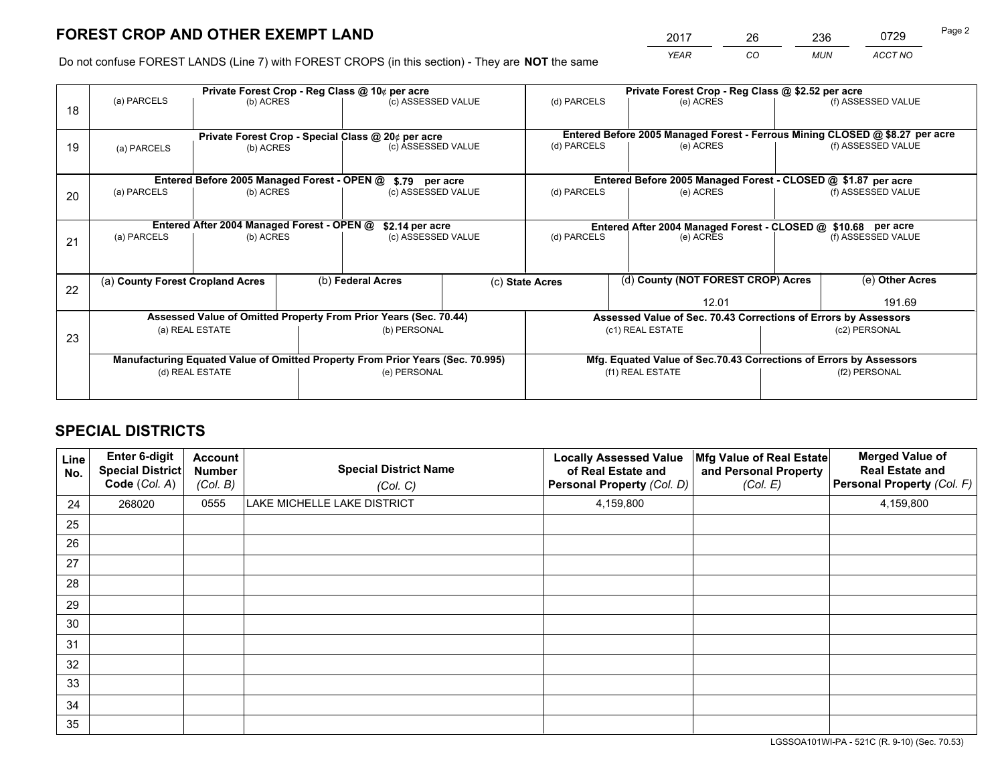*YEAR CO MUN ACCT NO* 2017 26 236 0729 Page 2

Do not confuse FOREST LANDS (Line 7) with FOREST CROPS (in this section) - They are **NOT** the same

|    |                                                                                |                                             |                   | Private Forest Crop - Reg Class @ 10¢ per acre                   |  | Private Forest Crop - Reg Class @ \$2.52 per acre             |                                                                              |                                                                    |                    |  |
|----|--------------------------------------------------------------------------------|---------------------------------------------|-------------------|------------------------------------------------------------------|--|---------------------------------------------------------------|------------------------------------------------------------------------------|--------------------------------------------------------------------|--------------------|--|
| 18 | (a) PARCELS                                                                    | (b) ACRES                                   |                   | (c) ASSESSED VALUE                                               |  | (d) PARCELS                                                   | (e) ACRES                                                                    |                                                                    | (f) ASSESSED VALUE |  |
|    |                                                                                |                                             |                   |                                                                  |  |                                                               |                                                                              |                                                                    |                    |  |
|    |                                                                                |                                             |                   | Private Forest Crop - Special Class @ 20¢ per acre               |  |                                                               | Entered Before 2005 Managed Forest - Ferrous Mining CLOSED @ \$8.27 per acre |                                                                    |                    |  |
| 19 | (a) PARCELS                                                                    | (b) ACRES                                   |                   | (c) ASSESSED VALUE                                               |  | (d) PARCELS                                                   | (e) ACRES                                                                    |                                                                    | (f) ASSESSED VALUE |  |
|    |                                                                                |                                             |                   |                                                                  |  |                                                               |                                                                              |                                                                    |                    |  |
|    |                                                                                | Entered Before 2005 Managed Forest - OPEN @ |                   | \$.79 per acre                                                   |  |                                                               | Entered Before 2005 Managed Forest - CLOSED @ \$1.87 per acre                |                                                                    |                    |  |
| 20 | (a) PARCELS                                                                    | (b) ACRES                                   |                   | (c) ASSESSED VALUE                                               |  | (d) PARCELS                                                   | (e) ACRES                                                                    |                                                                    | (f) ASSESSED VALUE |  |
|    |                                                                                |                                             |                   |                                                                  |  |                                                               |                                                                              |                                                                    |                    |  |
|    | Entered After 2004 Managed Forest - OPEN @<br>\$2.14 per acre                  |                                             |                   |                                                                  |  | Entered After 2004 Managed Forest - CLOSED @ \$10.68 per acre |                                                                              |                                                                    |                    |  |
| 21 | (a) PARCELS                                                                    | (b) ACRES                                   |                   | (c) ASSESSED VALUE                                               |  | (d) PARCELS                                                   | (e) ACRES                                                                    |                                                                    | (f) ASSESSED VALUE |  |
|    |                                                                                |                                             |                   |                                                                  |  |                                                               |                                                                              |                                                                    |                    |  |
|    |                                                                                |                                             |                   |                                                                  |  |                                                               |                                                                              |                                                                    |                    |  |
| 22 | (a) County Forest Cropland Acres                                               |                                             | (b) Federal Acres |                                                                  |  | (c) State Acres                                               | (d) County (NOT FOREST CROP) Acres                                           |                                                                    | (e) Other Acres    |  |
|    |                                                                                |                                             |                   |                                                                  |  |                                                               | 12.01                                                                        |                                                                    | 191.69             |  |
|    |                                                                                |                                             |                   | Assessed Value of Omitted Property From Prior Years (Sec. 70.44) |  |                                                               | Assessed Value of Sec. 70.43 Corrections of Errors by Assessors              |                                                                    |                    |  |
| 23 |                                                                                | (a) REAL ESTATE                             |                   | (b) PERSONAL                                                     |  |                                                               | (c1) REAL ESTATE                                                             |                                                                    | (c2) PERSONAL      |  |
|    |                                                                                |                                             |                   |                                                                  |  |                                                               |                                                                              |                                                                    |                    |  |
|    | Manufacturing Equated Value of Omitted Property From Prior Years (Sec. 70.995) |                                             |                   |                                                                  |  |                                                               |                                                                              | Mfg. Equated Value of Sec.70.43 Corrections of Errors by Assessors |                    |  |
|    | (d) REAL ESTATE                                                                |                                             |                   | (e) PERSONAL                                                     |  |                                                               | (f1) REAL ESTATE                                                             | (f2) PERSONAL                                                      |                    |  |
|    |                                                                                |                                             |                   |                                                                  |  |                                                               |                                                                              |                                                                    |                    |  |

## **SPECIAL DISTRICTS**

| Line<br>No. | Enter 6-digit<br><b>Special District</b><br>Code (Col. A) | <b>Account</b><br><b>Number</b><br>(Col. B) | <b>Special District Name</b><br>(Col. C) | <b>Locally Assessed Value</b><br>of Real Estate and<br>Personal Property (Col. D) | Mfg Value of Real Estate<br>and Personal Property<br>(Col. E) | <b>Merged Value of</b><br><b>Real Estate and</b><br>Personal Property (Col. F) |
|-------------|-----------------------------------------------------------|---------------------------------------------|------------------------------------------|-----------------------------------------------------------------------------------|---------------------------------------------------------------|--------------------------------------------------------------------------------|
| 24          | 268020                                                    | 0555                                        | LAKE MICHELLE LAKE DISTRICT              | 4,159,800                                                                         |                                                               | 4,159,800                                                                      |
| 25          |                                                           |                                             |                                          |                                                                                   |                                                               |                                                                                |
| 26          |                                                           |                                             |                                          |                                                                                   |                                                               |                                                                                |
| 27          |                                                           |                                             |                                          |                                                                                   |                                                               |                                                                                |
| 28          |                                                           |                                             |                                          |                                                                                   |                                                               |                                                                                |
| 29          |                                                           |                                             |                                          |                                                                                   |                                                               |                                                                                |
| 30          |                                                           |                                             |                                          |                                                                                   |                                                               |                                                                                |
| 31          |                                                           |                                             |                                          |                                                                                   |                                                               |                                                                                |
| 32          |                                                           |                                             |                                          |                                                                                   |                                                               |                                                                                |
| 33          |                                                           |                                             |                                          |                                                                                   |                                                               |                                                                                |
| 34          |                                                           |                                             |                                          |                                                                                   |                                                               |                                                                                |
| 35          |                                                           |                                             |                                          |                                                                                   |                                                               |                                                                                |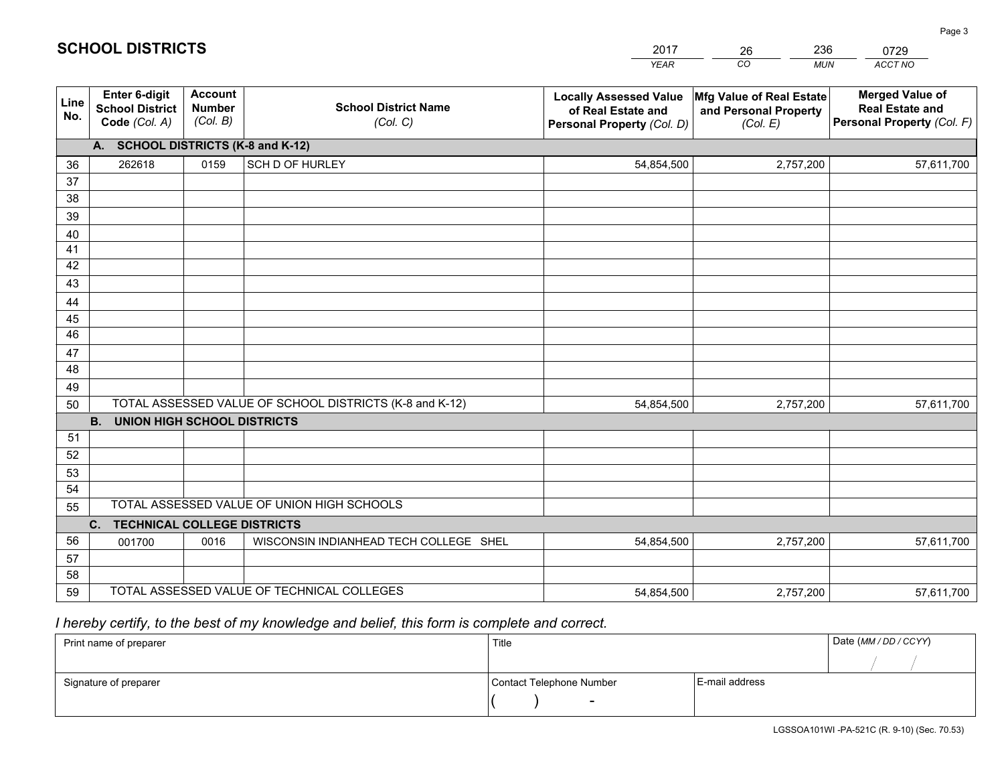|             |                                                                 |                                             |                                                         | <b>YEAR</b>                                                                       | CO<br><b>MUN</b>                                              | ACCT NO                                                                        |
|-------------|-----------------------------------------------------------------|---------------------------------------------|---------------------------------------------------------|-----------------------------------------------------------------------------------|---------------------------------------------------------------|--------------------------------------------------------------------------------|
| Line<br>No. | <b>Enter 6-digit</b><br><b>School District</b><br>Code (Col. A) | <b>Account</b><br><b>Number</b><br>(Col. B) | <b>School District Name</b><br>(Col. C)                 | <b>Locally Assessed Value</b><br>of Real Estate and<br>Personal Property (Col. D) | Mfg Value of Real Estate<br>and Personal Property<br>(Col. E) | <b>Merged Value of</b><br><b>Real Estate and</b><br>Personal Property (Col. F) |
|             | A. SCHOOL DISTRICTS (K-8 and K-12)                              |                                             |                                                         |                                                                                   |                                                               |                                                                                |
| 36          | 262618                                                          | 0159                                        | SCH D OF HURLEY                                         | 54,854,500                                                                        | 2,757,200                                                     | 57,611,700                                                                     |
| 37          |                                                                 |                                             |                                                         |                                                                                   |                                                               |                                                                                |
| 38          |                                                                 |                                             |                                                         |                                                                                   |                                                               |                                                                                |
| 39          |                                                                 |                                             |                                                         |                                                                                   |                                                               |                                                                                |
| 40          |                                                                 |                                             |                                                         |                                                                                   |                                                               |                                                                                |
| 41<br>42    |                                                                 |                                             |                                                         |                                                                                   |                                                               |                                                                                |
| 43          |                                                                 |                                             |                                                         |                                                                                   |                                                               |                                                                                |
| 44          |                                                                 |                                             |                                                         |                                                                                   |                                                               |                                                                                |
| 45          |                                                                 |                                             |                                                         |                                                                                   |                                                               |                                                                                |
| 46          |                                                                 |                                             |                                                         |                                                                                   |                                                               |                                                                                |
| 47          |                                                                 |                                             |                                                         |                                                                                   |                                                               |                                                                                |
| 48          |                                                                 |                                             |                                                         |                                                                                   |                                                               |                                                                                |
| 49          |                                                                 |                                             |                                                         |                                                                                   |                                                               |                                                                                |
| 50          |                                                                 |                                             | TOTAL ASSESSED VALUE OF SCHOOL DISTRICTS (K-8 and K-12) | 54,854,500                                                                        | 2,757,200                                                     | 57,611,700                                                                     |
|             | <b>B.</b><br><b>UNION HIGH SCHOOL DISTRICTS</b>                 |                                             |                                                         |                                                                                   |                                                               |                                                                                |
| 51          |                                                                 |                                             |                                                         |                                                                                   |                                                               |                                                                                |
| 52          |                                                                 |                                             |                                                         |                                                                                   |                                                               |                                                                                |
| 53          |                                                                 |                                             |                                                         |                                                                                   |                                                               |                                                                                |
| 54          |                                                                 |                                             |                                                         |                                                                                   |                                                               |                                                                                |
| 55          |                                                                 |                                             | TOTAL ASSESSED VALUE OF UNION HIGH SCHOOLS              |                                                                                   |                                                               |                                                                                |
|             | C.<br><b>TECHNICAL COLLEGE DISTRICTS</b>                        |                                             |                                                         |                                                                                   |                                                               |                                                                                |
| 56          | 001700                                                          | 0016                                        | WISCONSIN INDIANHEAD TECH COLLEGE SHEL                  | 54,854,500                                                                        | 2,757,200                                                     | 57,611,700                                                                     |
| 57<br>58    |                                                                 |                                             |                                                         |                                                                                   |                                                               |                                                                                |
| 59          |                                                                 |                                             | TOTAL ASSESSED VALUE OF TECHNICAL COLLEGES              | 54,854,500                                                                        | 2,757,200                                                     | 57,611,700                                                                     |
|             |                                                                 |                                             |                                                         |                                                                                   |                                                               |                                                                                |

26

236

 *I hereby certify, to the best of my knowledge and belief, this form is complete and correct.*

**SCHOOL DISTRICTS**

| Print name of preparer | Title                    |                | Date (MM / DD / CCYY) |
|------------------------|--------------------------|----------------|-----------------------|
|                        |                          |                |                       |
| Signature of preparer  | Contact Telephone Number | E-mail address |                       |
|                        | $\overline{\phantom{0}}$ |                |                       |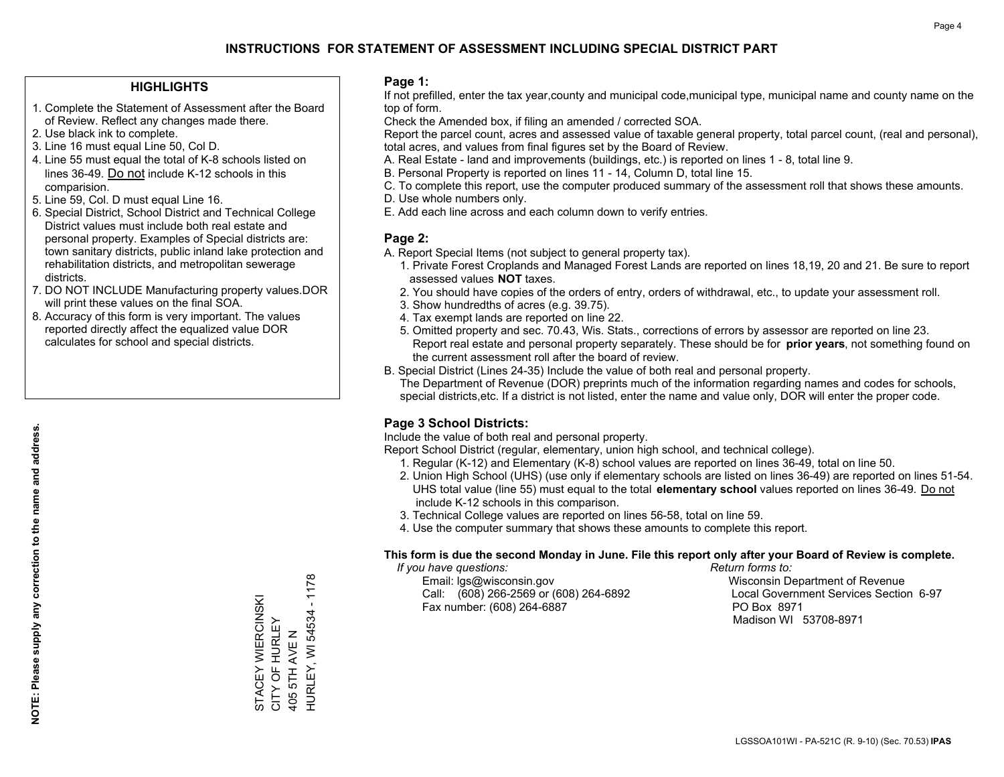#### **HIGHLIGHTS**

- 1. Complete the Statement of Assessment after the Board of Review. Reflect any changes made there.
- 2. Use black ink to complete.
- 3. Line 16 must equal Line 50, Col D.
- 4. Line 55 must equal the total of K-8 schools listed on lines 36-49. Do not include K-12 schools in this comparision.
- 5. Line 59, Col. D must equal Line 16.
- 6. Special District, School District and Technical College District values must include both real estate and personal property. Examples of Special districts are: town sanitary districts, public inland lake protection and rehabilitation districts, and metropolitan sewerage districts.
- 7. DO NOT INCLUDE Manufacturing property values.DOR will print these values on the final SOA.
- 8. Accuracy of this form is very important. The values reported directly affect the equalized value DOR calculates for school and special districts.

#### **Page 1:**

 If not prefilled, enter the tax year,county and municipal code,municipal type, municipal name and county name on the top of form.

Check the Amended box, if filing an amended / corrected SOA.

 Report the parcel count, acres and assessed value of taxable general property, total parcel count, (real and personal), total acres, and values from final figures set by the Board of Review.

- A. Real Estate land and improvements (buildings, etc.) is reported on lines 1 8, total line 9.
- B. Personal Property is reported on lines 11 14, Column D, total line 15.
- C. To complete this report, use the computer produced summary of the assessment roll that shows these amounts.
- D. Use whole numbers only.
- E. Add each line across and each column down to verify entries.

#### **Page 2:**

- A. Report Special Items (not subject to general property tax).
- 1. Private Forest Croplands and Managed Forest Lands are reported on lines 18,19, 20 and 21. Be sure to report assessed values **NOT** taxes.
- 2. You should have copies of the orders of entry, orders of withdrawal, etc., to update your assessment roll.
	- 3. Show hundredths of acres (e.g. 39.75).
- 4. Tax exempt lands are reported on line 22.
- 5. Omitted property and sec. 70.43, Wis. Stats., corrections of errors by assessor are reported on line 23. Report real estate and personal property separately. These should be for **prior years**, not something found on the current assessment roll after the board of review.
- B. Special District (Lines 24-35) Include the value of both real and personal property.
- The Department of Revenue (DOR) preprints much of the information regarding names and codes for schools, special districts,etc. If a district is not listed, enter the name and value only, DOR will enter the proper code.

### **Page 3 School Districts:**

Include the value of both real and personal property.

Report School District (regular, elementary, union high school, and technical college).

- 1. Regular (K-12) and Elementary (K-8) school values are reported on lines 36-49, total on line 50.
- 2. Union High School (UHS) (use only if elementary schools are listed on lines 36-49) are reported on lines 51-54. UHS total value (line 55) must equal to the total **elementary school** values reported on lines 36-49. Do notinclude K-12 schools in this comparison.
- 3. Technical College values are reported on lines 56-58, total on line 59.
- 4. Use the computer summary that shows these amounts to complete this report.

#### **This form is due the second Monday in June. File this report only after your Board of Review is complete.**

 *If you have questions: Return forms to:*

 Email: lgs@wisconsin.gov Wisconsin Department of RevenueCall:  $(608)$  266-2569 or  $(608)$  264-6892 Fax number: (608) 264-6887 PO Box 8971

Local Government Services Section 6-97 Madison WI 53708-8971

 $-1178$ HURLEY, WI 54534 - 1178 STACEY WIERCINSKI<br>CITY OF HURLEY STACEY WIERCINSKI HURLEY, WI 54534 CITY OF HURLEY 405 5TH AVE N 405 5TH AVE N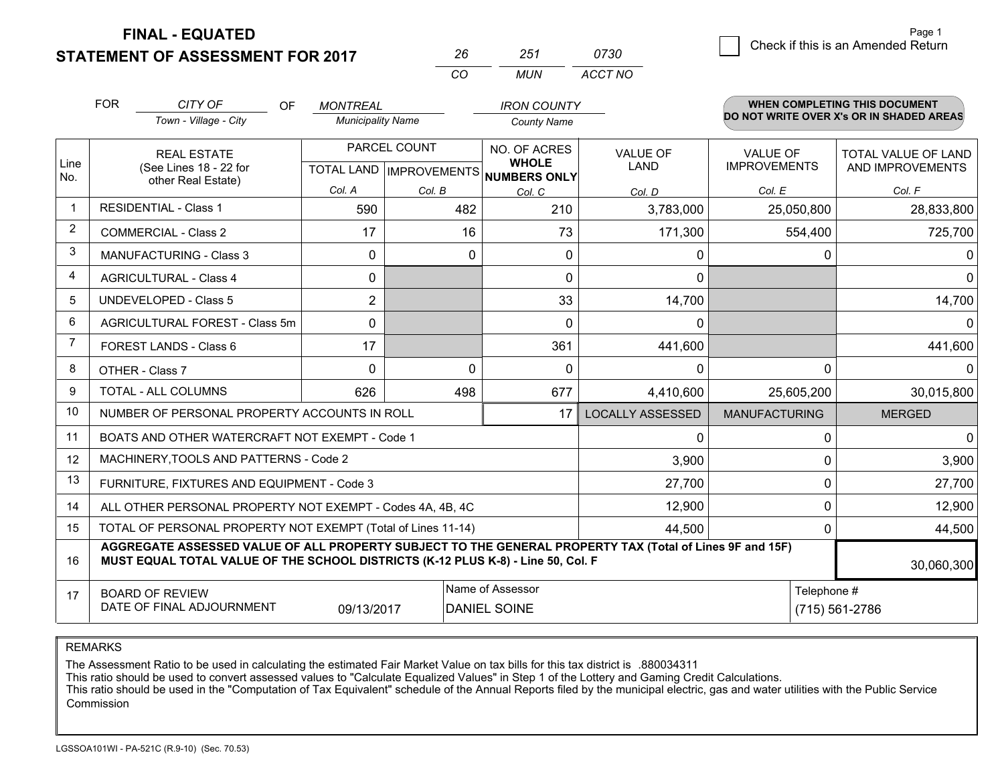**STATEMENT OF ASSESSMENT FOR 2017 FINAL - EQUATED**

0 **Check if this is an Amended Return** Page 1

|             | <b>FOR</b>                                                             | CITY OF<br>OF                                                                    | <b>MONTREAL</b>          |              | <b>IRON COUNTY</b>                                  |                                                                                                          |                      | <b>WHEN COMPLETING THIS DOCUMENT</b><br>DO NOT WRITE OVER X's OR IN SHADED AREAS |
|-------------|------------------------------------------------------------------------|----------------------------------------------------------------------------------|--------------------------|--------------|-----------------------------------------------------|----------------------------------------------------------------------------------------------------------|----------------------|----------------------------------------------------------------------------------|
|             |                                                                        | Town - Village - City                                                            | <b>Municipality Name</b> |              | <b>County Name</b>                                  |                                                                                                          |                      |                                                                                  |
|             | <b>REAL ESTATE</b><br>(See Lines 18 - 22 for<br>other Real Estate)     |                                                                                  |                          | PARCEL COUNT | NO. OF ACRES                                        | VALUE OF                                                                                                 | <b>VALUE OF</b>      | <b>TOTAL VALUE OF LAND</b>                                                       |
| Line<br>No. |                                                                        |                                                                                  |                          |              | <b>WHOLE</b><br>TOTAL LAND MPROVEMENTS NUMBERS ONLY | LAND                                                                                                     | <b>IMPROVEMENTS</b>  | AND IMPROVEMENTS                                                                 |
|             |                                                                        |                                                                                  | Col. A                   | Col. B       | Col. C                                              | Col. D                                                                                                   | Col. E               | Col. F                                                                           |
|             | <b>RESIDENTIAL - Class 1</b>                                           |                                                                                  | 590                      | 482          | 210                                                 | 3,783,000                                                                                                | 25,050,800           | 28,833,800                                                                       |
| 2           | <b>COMMERCIAL - Class 2</b>                                            |                                                                                  | 17                       | 16           | 73                                                  | 171,300                                                                                                  | 554,400              | 725,700                                                                          |
| 3           |                                                                        | <b>MANUFACTURING - Class 3</b>                                                   | 0                        | 0            | $\mathbf{0}$                                        | 0                                                                                                        | 0                    | 0                                                                                |
| 4           | <b>AGRICULTURAL - Class 4</b>                                          |                                                                                  | 0                        |              | $\mathbf{0}$                                        | $\mathbf{0}$                                                                                             |                      | 0                                                                                |
| 5           | <b>UNDEVELOPED - Class 5</b>                                           |                                                                                  | $\overline{2}$           |              | 33                                                  | 14,700                                                                                                   |                      | 14,700                                                                           |
| 6           |                                                                        | AGRICULTURAL FOREST - Class 5m                                                   | $\Omega$                 |              | $\Omega$                                            | 0                                                                                                        |                      | 0                                                                                |
| 7           | FOREST LANDS - Class 6                                                 |                                                                                  | 17                       |              | 361                                                 | 441,600                                                                                                  |                      | 441,600                                                                          |
| 8           | OTHER - Class 7                                                        |                                                                                  | $\Omega$                 | $\Omega$     | $\mathbf{0}$                                        | 0                                                                                                        | $\Omega$             |                                                                                  |
| 9           | <b>TOTAL - ALL COLUMNS</b>                                             |                                                                                  | 626                      | 498          | 677                                                 | 4,410,600                                                                                                | 25,605,200           | 30,015,800                                                                       |
| 10          |                                                                        | NUMBER OF PERSONAL PROPERTY ACCOUNTS IN ROLL                                     |                          |              | 17                                                  | <b>LOCALLY ASSESSED</b>                                                                                  | <b>MANUFACTURING</b> | <b>MERGED</b>                                                                    |
| 11          |                                                                        | BOATS AND OTHER WATERCRAFT NOT EXEMPT - Code 1                                   |                          |              |                                                     | 0                                                                                                        | 0                    | $\Omega$                                                                         |
| 12          |                                                                        | MACHINERY, TOOLS AND PATTERNS - Code 2                                           |                          |              |                                                     | 3,900                                                                                                    | 0                    | 3,900                                                                            |
| 13          |                                                                        | FURNITURE, FIXTURES AND EQUIPMENT - Code 3                                       |                          |              |                                                     | 27,700                                                                                                   | 0                    | 27,700                                                                           |
| 14          | 12,900<br>ALL OTHER PERSONAL PROPERTY NOT EXEMPT - Codes 4A, 4B, 4C    |                                                                                  |                          |              |                                                     | 0                                                                                                        | 12,900               |                                                                                  |
| 15          | TOTAL OF PERSONAL PROPERTY NOT EXEMPT (Total of Lines 11-14)<br>44,500 |                                                                                  |                          |              |                                                     | 0                                                                                                        | 44,500               |                                                                                  |
| 16          |                                                                        | MUST EQUAL TOTAL VALUE OF THE SCHOOL DISTRICTS (K-12 PLUS K-8) - Line 50, Col. F |                          |              |                                                     | AGGREGATE ASSESSED VALUE OF ALL PROPERTY SUBJECT TO THE GENERAL PROPERTY TAX (Total of Lines 9F and 15F) |                      | 30,060,300                                                                       |
| 17          | <b>BOARD OF REVIEW</b>                                                 |                                                                                  |                          |              | Name of Assessor                                    |                                                                                                          | Telephone #          |                                                                                  |
|             |                                                                        | DATE OF FINAL ADJOURNMENT                                                        | 09/13/2017               |              | <b>DANIEL SOINE</b>                                 |                                                                                                          |                      | (715) 561-2786                                                                   |

*CO*

*MUN*

*ACCT NO0730*

*<sup>26</sup> <sup>251</sup>*

REMARKS

The Assessment Ratio to be used in calculating the estimated Fair Market Value on tax bills for this tax district is .880034311<br>This ratio should be used to convert assessed values to "Calculate Equalized Values" in Step 1 Commission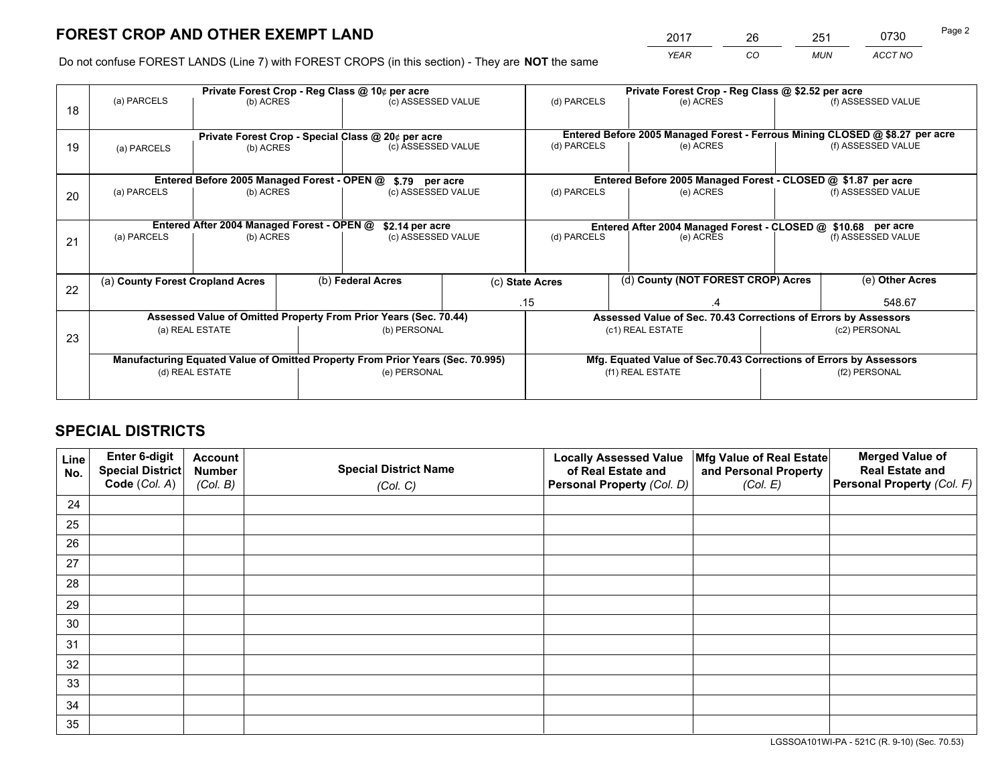*YEAR CO MUN ACCT NO* <sup>2017</sup> <sup>26</sup> <sup>251</sup> <sup>0730</sup> Page 2

Do not confuse FOREST LANDS (Line 7) with FOREST CROPS (in this section) - They are **NOT** the same

|    |                                                                                |                                             |                   | Private Forest Crop - Reg Class @ 10¢ per acre                   |                                                       | Private Forest Crop - Reg Class @ \$2.52 per acre             |                                                                              |                    |                    |
|----|--------------------------------------------------------------------------------|---------------------------------------------|-------------------|------------------------------------------------------------------|-------------------------------------------------------|---------------------------------------------------------------|------------------------------------------------------------------------------|--------------------|--------------------|
| 18 | (a) PARCELS                                                                    | (b) ACRES                                   |                   | (c) ASSESSED VALUE                                               |                                                       | (d) PARCELS                                                   | (e) ACRES                                                                    |                    | (f) ASSESSED VALUE |
|    |                                                                                |                                             |                   |                                                                  |                                                       |                                                               |                                                                              |                    |                    |
|    |                                                                                |                                             |                   | Private Forest Crop - Special Class @ 20¢ per acre               |                                                       |                                                               | Entered Before 2005 Managed Forest - Ferrous Mining CLOSED @ \$8.27 per acre |                    |                    |
| 19 | (a) PARCELS                                                                    | (b) ACRES                                   |                   | (c) ASSESSED VALUE                                               |                                                       | (d) PARCELS                                                   | (e) ACRES                                                                    |                    | (f) ASSESSED VALUE |
|    |                                                                                |                                             |                   |                                                                  |                                                       |                                                               |                                                                              |                    |                    |
|    |                                                                                | Entered Before 2005 Managed Forest - OPEN @ |                   | \$.79 per acre                                                   |                                                       |                                                               | Entered Before 2005 Managed Forest - CLOSED @ \$1.87 per acre                |                    |                    |
| 20 | (a) PARCELS                                                                    | (b) ACRES                                   |                   | (c) ASSESSED VALUE                                               |                                                       | (d) PARCELS                                                   | (e) ACRES                                                                    |                    | (f) ASSESSED VALUE |
|    |                                                                                |                                             |                   |                                                                  |                                                       |                                                               |                                                                              |                    |                    |
|    |                                                                                | Entered After 2004 Managed Forest - OPEN @  |                   | \$2.14 per acre                                                  |                                                       | Entered After 2004 Managed Forest - CLOSED @ \$10.68 per acre |                                                                              |                    |                    |
| 21 | (a) PARCELS                                                                    | (b) ACRES                                   |                   | (c) ASSESSED VALUE                                               |                                                       | (d) PARCELS<br>(e) ACRES                                      |                                                                              | (f) ASSESSED VALUE |                    |
|    |                                                                                |                                             |                   |                                                                  |                                                       |                                                               |                                                                              |                    |                    |
|    | (a) County Forest Cropland Acres                                               |                                             | (b) Federal Acres |                                                                  | (d) County (NOT FOREST CROP) Acres<br>(c) State Acres |                                                               |                                                                              | (e) Other Acres    |                    |
| 22 |                                                                                |                                             |                   |                                                                  |                                                       |                                                               |                                                                              |                    |                    |
|    |                                                                                |                                             |                   |                                                                  |                                                       | .15                                                           | $\cdot$                                                                      |                    | 548.67             |
|    |                                                                                |                                             |                   | Assessed Value of Omitted Property From Prior Years (Sec. 70.44) |                                                       |                                                               | Assessed Value of Sec. 70.43 Corrections of Errors by Assessors              |                    |                    |
| 23 |                                                                                | (a) REAL ESTATE                             |                   | (b) PERSONAL                                                     |                                                       |                                                               | (c1) REAL ESTATE<br>(c2) PERSONAL                                            |                    |                    |
|    |                                                                                |                                             |                   |                                                                  |                                                       |                                                               |                                                                              |                    |                    |
|    | Manufacturing Equated Value of Omitted Property From Prior Years (Sec. 70.995) |                                             |                   |                                                                  |                                                       |                                                               | Mfg. Equated Value of Sec.70.43 Corrections of Errors by Assessors           |                    |                    |
|    |                                                                                | (d) REAL ESTATE                             |                   | (e) PERSONAL                                                     |                                                       |                                                               | (f1) REAL ESTATE                                                             |                    | (f2) PERSONAL      |
|    |                                                                                |                                             |                   |                                                                  |                                                       |                                                               |                                                                              |                    |                    |

## **SPECIAL DISTRICTS**

| Line<br>No. | Enter 6-digit<br><b>Special District</b> | <b>Account</b><br><b>Number</b> | <b>Special District Name</b> | <b>Locally Assessed Value</b><br>of Real Estate and | Mfg Value of Real Estate<br>and Personal Property | <b>Merged Value of</b><br><b>Real Estate and</b> |
|-------------|------------------------------------------|---------------------------------|------------------------------|-----------------------------------------------------|---------------------------------------------------|--------------------------------------------------|
|             | Code (Col. A)                            | (Col. B)                        | (Col. C)                     | Personal Property (Col. D)                          | (Col. E)                                          | Personal Property (Col. F)                       |
| 24          |                                          |                                 |                              |                                                     |                                                   |                                                  |
| 25          |                                          |                                 |                              |                                                     |                                                   |                                                  |
| 26          |                                          |                                 |                              |                                                     |                                                   |                                                  |
| 27          |                                          |                                 |                              |                                                     |                                                   |                                                  |
| 28          |                                          |                                 |                              |                                                     |                                                   |                                                  |
| 29          |                                          |                                 |                              |                                                     |                                                   |                                                  |
| 30          |                                          |                                 |                              |                                                     |                                                   |                                                  |
| 31          |                                          |                                 |                              |                                                     |                                                   |                                                  |
| 32          |                                          |                                 |                              |                                                     |                                                   |                                                  |
| 33          |                                          |                                 |                              |                                                     |                                                   |                                                  |
| 34          |                                          |                                 |                              |                                                     |                                                   |                                                  |
| 35          |                                          |                                 |                              |                                                     |                                                   |                                                  |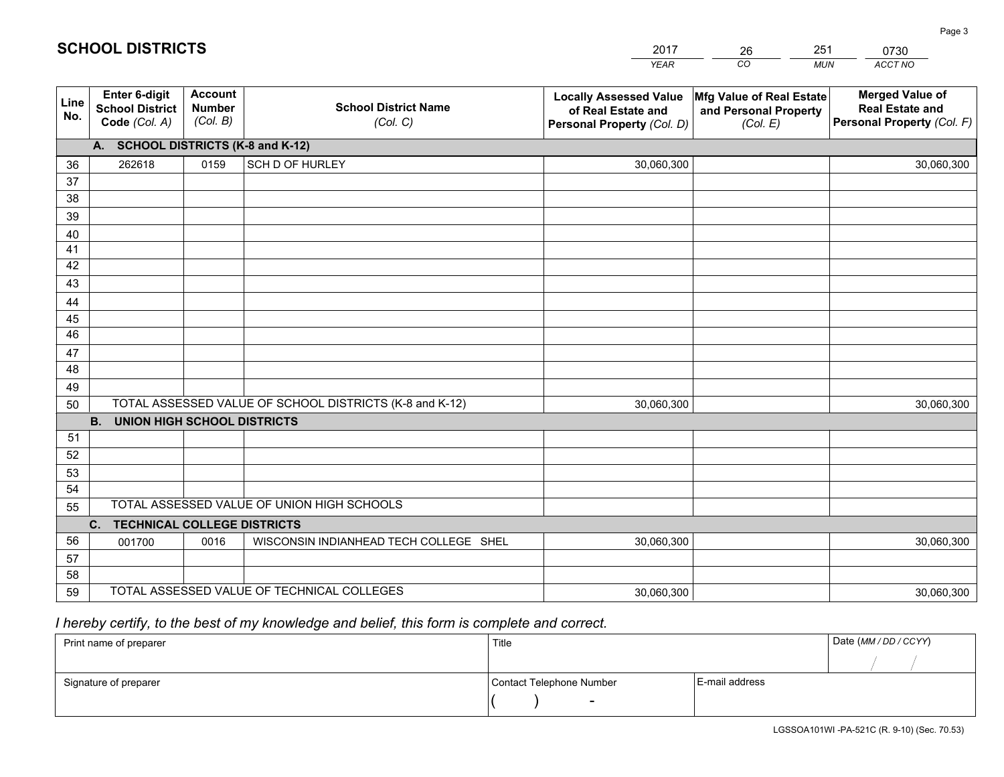|             |                                                          |                                             |                                                         | <b>YEAR</b>                                                                       | CO<br><b>MUN</b>                                              | ACCT NO                                                                        |
|-------------|----------------------------------------------------------|---------------------------------------------|---------------------------------------------------------|-----------------------------------------------------------------------------------|---------------------------------------------------------------|--------------------------------------------------------------------------------|
| Line<br>No. | Enter 6-digit<br><b>School District</b><br>Code (Col. A) | <b>Account</b><br><b>Number</b><br>(Col. B) | <b>School District Name</b><br>(Col. C)                 | <b>Locally Assessed Value</b><br>of Real Estate and<br>Personal Property (Col. D) | Mfg Value of Real Estate<br>and Personal Property<br>(Col. E) | <b>Merged Value of</b><br><b>Real Estate and</b><br>Personal Property (Col. F) |
|             | A. SCHOOL DISTRICTS (K-8 and K-12)                       |                                             |                                                         |                                                                                   |                                                               |                                                                                |
| 36          | 262618                                                   | 0159                                        | <b>SCH D OF HURLEY</b>                                  | 30,060,300                                                                        |                                                               | 30,060,300                                                                     |
| 37          |                                                          |                                             |                                                         |                                                                                   |                                                               |                                                                                |
| 38          |                                                          |                                             |                                                         |                                                                                   |                                                               |                                                                                |
| 39          |                                                          |                                             |                                                         |                                                                                   |                                                               |                                                                                |
| 40          |                                                          |                                             |                                                         |                                                                                   |                                                               |                                                                                |
| 41          |                                                          |                                             |                                                         |                                                                                   |                                                               |                                                                                |
| 42          |                                                          |                                             |                                                         |                                                                                   |                                                               |                                                                                |
| 43          |                                                          |                                             |                                                         |                                                                                   |                                                               |                                                                                |
| 44<br>45    |                                                          |                                             |                                                         |                                                                                   |                                                               |                                                                                |
| 46          |                                                          |                                             |                                                         |                                                                                   |                                                               |                                                                                |
| 47          |                                                          |                                             |                                                         |                                                                                   |                                                               |                                                                                |
| 48          |                                                          |                                             |                                                         |                                                                                   |                                                               |                                                                                |
| 49          |                                                          |                                             |                                                         |                                                                                   |                                                               |                                                                                |
| 50          |                                                          |                                             | TOTAL ASSESSED VALUE OF SCHOOL DISTRICTS (K-8 and K-12) | 30,060,300                                                                        |                                                               | 30,060,300                                                                     |
|             | <b>B.</b><br><b>UNION HIGH SCHOOL DISTRICTS</b>          |                                             |                                                         |                                                                                   |                                                               |                                                                                |
| 51          |                                                          |                                             |                                                         |                                                                                   |                                                               |                                                                                |
| 52          |                                                          |                                             |                                                         |                                                                                   |                                                               |                                                                                |
| 53          |                                                          |                                             |                                                         |                                                                                   |                                                               |                                                                                |
| 54          |                                                          |                                             |                                                         |                                                                                   |                                                               |                                                                                |
| 55          |                                                          |                                             | TOTAL ASSESSED VALUE OF UNION HIGH SCHOOLS              |                                                                                   |                                                               |                                                                                |
|             | C. TECHNICAL COLLEGE DISTRICTS                           |                                             |                                                         |                                                                                   |                                                               |                                                                                |
| 56          | 001700                                                   | 0016                                        | WISCONSIN INDIANHEAD TECH COLLEGE SHEL                  | 30,060,300                                                                        |                                                               | 30,060,300                                                                     |
| 57<br>58    |                                                          |                                             |                                                         |                                                                                   |                                                               |                                                                                |
| 59          |                                                          |                                             | TOTAL ASSESSED VALUE OF TECHNICAL COLLEGES              | 30,060,300                                                                        |                                                               | 30,060,300                                                                     |
|             |                                                          |                                             |                                                         |                                                                                   |                                                               |                                                                                |

26

251

## *I hereby certify, to the best of my knowledge and belief, this form is complete and correct.*

**SCHOOL DISTRICTS**

| Print name of preparer | Title                    |                | Date (MM / DD / CCYY) |
|------------------------|--------------------------|----------------|-----------------------|
|                        |                          |                |                       |
| Signature of preparer  | Contact Telephone Number | E-mail address |                       |
|                        | $\overline{\phantom{0}}$ |                |                       |